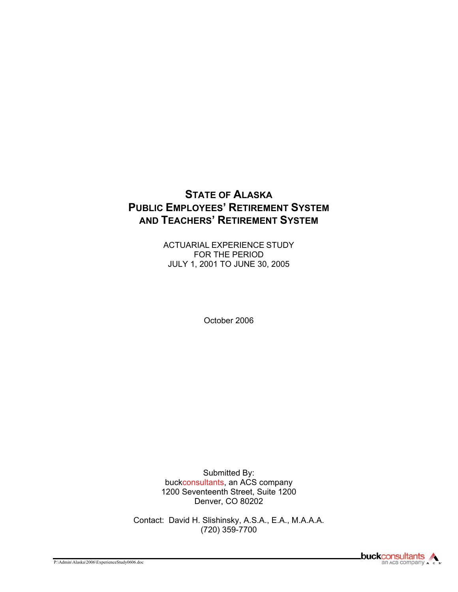# **STATE OF ALASKA PUBLIC EMPLOYEES' RETIREMENT SYSTEM AND TEACHERS' RETIREMENT SYSTEM**

ACTUARIAL EXPERIENCE STUDY FOR THE PERIOD JULY 1, 2001 TO JUNE 30, 2005

October 2006

Submitted By: buckconsultants, an ACS company 1200 Seventeenth Street, Suite 1200 Denver, CO 80202

Contact: David H. Slishinsky, A.S.A., E.A., M.A.A.A. (720) 359-7700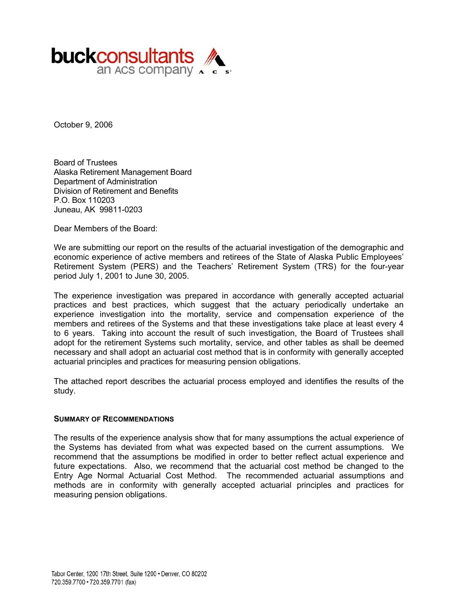

October 9, 2006

Board of Trustees Alaska Retirement Management Board Department of Administration Division of Retirement and Benefits P.O. Box 110203 Juneau, AK 99811-0203

Dear Members of the Board:

We are submitting our report on the results of the actuarial investigation of the demographic and economic experience of active members and retirees of the State of Alaska Public Employees' Retirement System (PERS) and the Teachers' Retirement System (TRS) for the four-year period July 1, 2001 to June 30, 2005.

The experience investigation was prepared in accordance with generally accepted actuarial practices and best practices, which suggest that the actuary periodically undertake an experience investigation into the mortality, service and compensation experience of the members and retirees of the Systems and that these investigations take place at least every 4 to 6 years. Taking into account the result of such investigation, the Board of Trustees shall adopt for the retirement Systems such mortality, service, and other tables as shall be deemed necessary and shall adopt an actuarial cost method that is in conformity with generally accepted actuarial principles and practices for measuring pension obligations.

The attached report describes the actuarial process employed and identifies the results of the study.

#### **SUMMARY OF RECOMMENDATIONS**

The results of the experience analysis show that for many assumptions the actual experience of the Systems has deviated from what was expected based on the current assumptions. We recommend that the assumptions be modified in order to better reflect actual experience and future expectations. Also, we recommend that the actuarial cost method be changed to the Entry Age Normal Actuarial Cost Method. The recommended actuarial assumptions and methods are in conformity with generally accepted actuarial principles and practices for measuring pension obligations.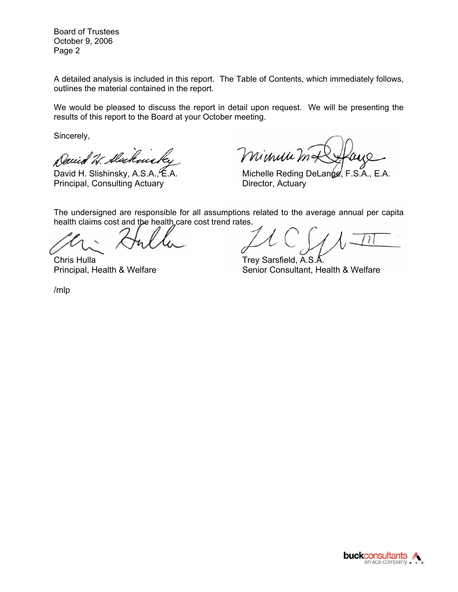Board of Trustees October 9, 2006 Page 2

A detailed analysis is included in this report. The Table of Contents, which immediately follows, outlines the material contained in the report.

We would be pleased to discuss the report in detail upon request. We will be presenting the results of this report to the Board at your October meeting.

Sincerely,

Daeid 20

Principal, Consulting Actuary **Director, Actuary** 

minuu h

David H. Slishinsky, A.S.A., E.A. Michelle Reding DeLange, F.S.A., E.A.

The undersigned are responsible for all assumptions related to the average annual per capita health claims cost and the health care cost trend rates.

Chris Hulla **Trey Sarsfield, A.S.** 

Principal, Health & Welfare Senior Consultant, Health & Welfare

/mlp

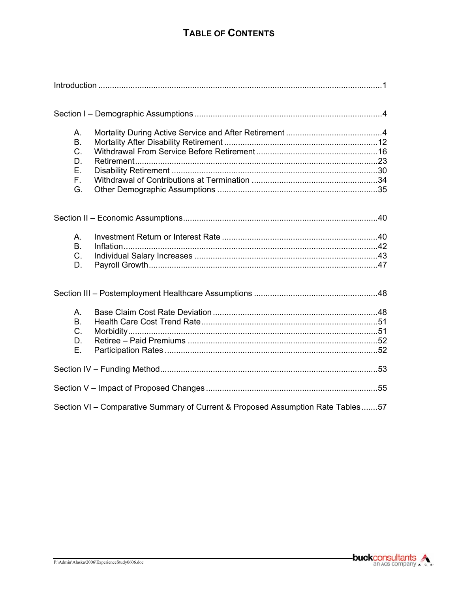# **TABLE OF CONTENTS**

| Α.<br>B.<br>$C$ .<br>D.<br>Ε.<br>F.<br>G.                                       |  |
|---------------------------------------------------------------------------------|--|
|                                                                                 |  |
| А.<br><b>B.</b><br>C.<br>D.                                                     |  |
|                                                                                 |  |
| Α.<br><b>B.</b><br>$C_{\cdot}$<br>D.<br>Ε.                                      |  |
|                                                                                 |  |
|                                                                                 |  |
| Section VI - Comparative Summary of Current & Proposed Assumption Rate Tables57 |  |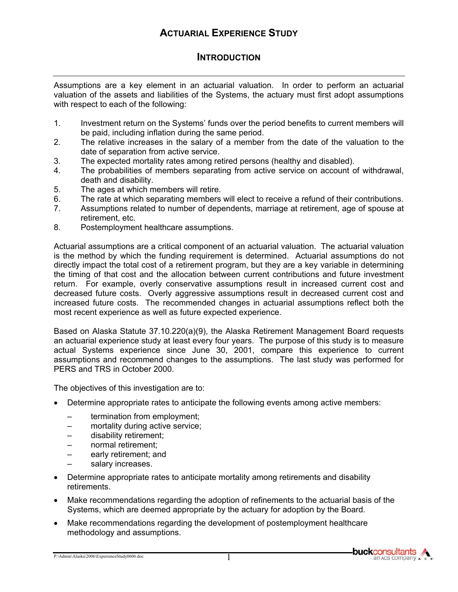# **ACTUARIAL EXPERIENCE STUDY**

### **INTRODUCTION**

Assumptions are a key element in an actuarial valuation. In order to perform an actuarial valuation of the assets and liabilities of the Systems, the actuary must first adopt assumptions with respect to each of the following:

- 1. Investment return on the Systems' funds over the period benefits to current members will be paid, including inflation during the same period.
- 2. The relative increases in the salary of a member from the date of the valuation to the date of separation from active service.
- 3. The expected mortality rates among retired persons (healthy and disabled).
- 4. The probabilities of members separating from active service on account of withdrawal, death and disability.
- 5. The ages at which members will retire.
- 6. The rate at which separating members will elect to receive a refund of their contributions.
- 7. Assumptions related to number of dependents, marriage at retirement, age of spouse at retirement, etc.
- 8. Postemployment healthcare assumptions.

Actuarial assumptions are a critical component of an actuarial valuation. The actuarial valuation is the method by which the funding requirement is determined. Actuarial assumptions do not directly impact the total cost of a retirement program, but they are a key variable in determining the timing of that cost and the allocation between current contributions and future investment return. For example, overly conservative assumptions result in increased current cost and decreased future costs. Overly aggressive assumptions result in decreased current cost and increased future costs. The recommended changes in actuarial assumptions reflect both the most recent experience as well as future expected experience.

Based on Alaska Statute 37.10.220(a)(9), the Alaska Retirement Management Board requests an actuarial experience study at least every four years. The purpose of this study is to measure actual Systems experience since June 30, 2001, compare this experience to current assumptions and recommend changes to the assumptions. The last study was performed for PERS and TRS in October 2000.

The objectives of this investigation are to:

- Determine appropriate rates to anticipate the following events among active members:
	- termination from employment;
	- mortality during active service;
	- disability retirement;
	- normal retirement;
	- early retirement; and
	- salary increases.
- Determine appropriate rates to anticipate mortality among retirements and disability retirements.
- Make recommendations regarding the adoption of refinements to the actuarial basis of the Systems, which are deemed appropriate by the actuary for adoption by the Board.
- Make recommendations regarding the development of postemployment healthcare methodology and assumptions.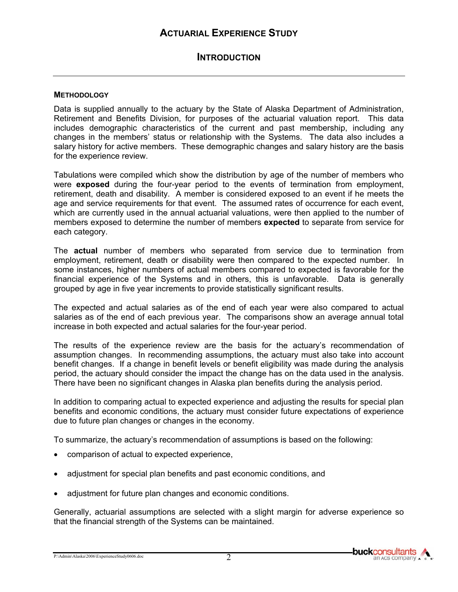#### **INTRODUCTION**

#### **METHODOLOGY**

Data is supplied annually to the actuary by the State of Alaska Department of Administration, Retirement and Benefits Division, for purposes of the actuarial valuation report. This data includes demographic characteristics of the current and past membership, including any changes in the members' status or relationship with the Systems. The data also includes a salary history for active members. These demographic changes and salary history are the basis for the experience review.

Tabulations were compiled which show the distribution by age of the number of members who were **exposed** during the four-year period to the events of termination from employment, retirement, death and disability. A member is considered exposed to an event if he meets the age and service requirements for that event. The assumed rates of occurrence for each event, which are currently used in the annual actuarial valuations, were then applied to the number of members exposed to determine the number of members **expected** to separate from service for each category.

The **actual** number of members who separated from service due to termination from employment, retirement, death or disability were then compared to the expected number. In some instances, higher numbers of actual members compared to expected is favorable for the financial experience of the Systems and in others, this is unfavorable. Data is generally grouped by age in five year increments to provide statistically significant results.

The expected and actual salaries as of the end of each year were also compared to actual salaries as of the end of each previous year. The comparisons show an average annual total increase in both expected and actual salaries for the four-year period.

The results of the experience review are the basis for the actuary's recommendation of assumption changes. In recommending assumptions, the actuary must also take into account benefit changes. If a change in benefit levels or benefit eligibility was made during the analysis period, the actuary should consider the impact the change has on the data used in the analysis. There have been no significant changes in Alaska plan benefits during the analysis period.

In addition to comparing actual to expected experience and adjusting the results for special plan benefits and economic conditions, the actuary must consider future expectations of experience due to future plan changes or changes in the economy.

To summarize, the actuary's recommendation of assumptions is based on the following:

- comparison of actual to expected experience,
- adjustment for special plan benefits and past economic conditions, and
- adjustment for future plan changes and economic conditions.

Generally, actuarial assumptions are selected with a slight margin for adverse experience so that the financial strength of the Systems can be maintained.

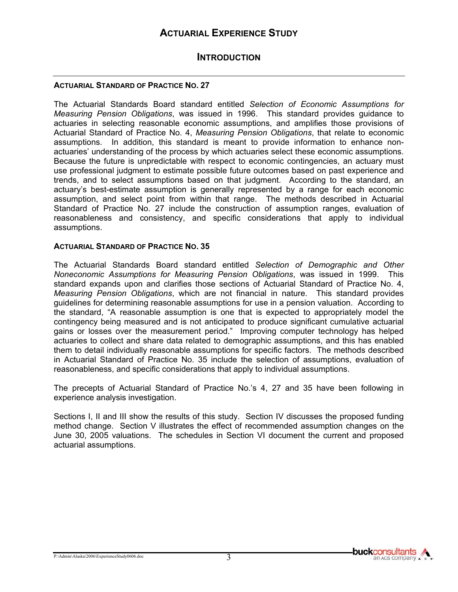#### **INTRODUCTION**

#### **ACTUARIAL STANDARD OF PRACTICE NO. 27**

The Actuarial Standards Board standard entitled *Selection of Economic Assumptions for Measuring Pension Obligations*, was issued in 1996. This standard provides guidance to actuaries in selecting reasonable economic assumptions, and amplifies those provisions of Actuarial Standard of Practice No. 4, *Measuring Pension Obligations*, that relate to economic assumptions. In addition, this standard is meant to provide information to enhance nonactuaries' understanding of the process by which actuaries select these economic assumptions. Because the future is unpredictable with respect to economic contingencies, an actuary must use professional judgment to estimate possible future outcomes based on past experience and trends, and to select assumptions based on that judgment. According to the standard, an actuary's best-estimate assumption is generally represented by a range for each economic assumption, and select point from within that range. The methods described in Actuarial Standard of Practice No. 27 include the construction of assumption ranges, evaluation of reasonableness and consistency, and specific considerations that apply to individual assumptions.

#### **ACTUARIAL STANDARD OF PRACTICE NO. 35**

The Actuarial Standards Board standard entitled *Selection of Demographic and Other Noneconomic Assumptions for Measuring Pension Obligations*, was issued in 1999. This standard expands upon and clarifies those sections of Actuarial Standard of Practice No. 4, *Measuring Pension Obligations*, which are not financial in nature. This standard provides guidelines for determining reasonable assumptions for use in a pension valuation. According to the standard, "A reasonable assumption is one that is expected to appropriately model the contingency being measured and is not anticipated to produce significant cumulative actuarial gains or losses over the measurement period." Improving computer technology has helped actuaries to collect and share data related to demographic assumptions, and this has enabled them to detail individually reasonable assumptions for specific factors. The methods described in Actuarial Standard of Practice No. 35 include the selection of assumptions, evaluation of reasonableness, and specific considerations that apply to individual assumptions.

The precepts of Actuarial Standard of Practice No.'s 4, 27 and 35 have been following in experience analysis investigation.

Sections I, II and III show the results of this study. Section IV discusses the proposed funding method change. Section V illustrates the effect of recommended assumption changes on the June 30, 2005 valuations. The schedules in Section VI document the current and proposed actuarial assumptions.

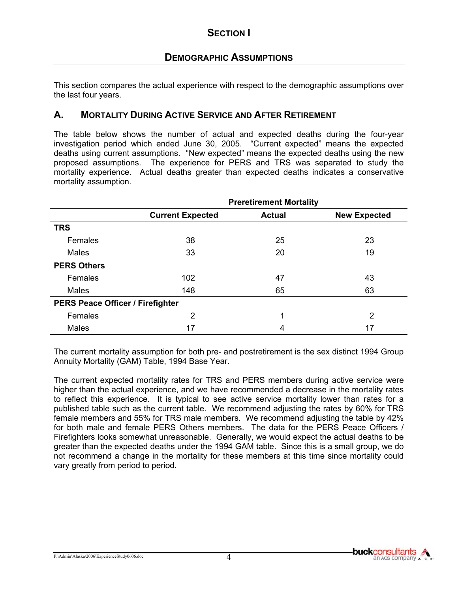This section compares the actual experience with respect to the demographic assumptions over the last four years.

#### **A. MORTALITY DURING ACTIVE SERVICE AND AFTER RETIREMENT**

The table below shows the number of actual and expected deaths during the four-year investigation period which ended June 30, 2005. "Current expected" means the expected deaths using current assumptions. "New expected" means the expected deaths using the new proposed assumptions. The experience for PERS and TRS was separated to study the mortality experience. Actual deaths greater than expected deaths indicates a conservative mortality assumption.

|                                         | <b>Preretirement Mortality</b> |               |                     |  |  |  |
|-----------------------------------------|--------------------------------|---------------|---------------------|--|--|--|
|                                         | <b>Current Expected</b>        | <b>Actual</b> | <b>New Expected</b> |  |  |  |
| <b>TRS</b>                              |                                |               |                     |  |  |  |
| Females                                 | 38                             | 25            | 23                  |  |  |  |
| Males                                   | 33                             | 20            | 19                  |  |  |  |
| <b>PERS Others</b>                      |                                |               |                     |  |  |  |
| Females                                 | 102                            | 47            | 43                  |  |  |  |
| <b>Males</b>                            | 148                            | 65            | 63                  |  |  |  |
| <b>PERS Peace Officer / Firefighter</b> |                                |               |                     |  |  |  |
| Females                                 | 2                              | 1             | 2                   |  |  |  |
| <b>Males</b>                            | 17                             | 4             | 17                  |  |  |  |

The current mortality assumption for both pre- and postretirement is the sex distinct 1994 Group Annuity Mortality (GAM) Table, 1994 Base Year.

The current expected mortality rates for TRS and PERS members during active service were higher than the actual experience, and we have recommended a decrease in the mortality rates to reflect this experience. It is typical to see active service mortality lower than rates for a published table such as the current table. We recommend adjusting the rates by 60% for TRS female members and 55% for TRS male members. We recommend adjusting the table by 42% for both male and female PERS Others members. The data for the PERS Peace Officers / Firefighters looks somewhat unreasonable. Generally, we would expect the actual deaths to be greater than the expected deaths under the 1994 GAM table. Since this is a small group, we do not recommend a change in the mortality for these members at this time since mortality could vary greatly from period to period.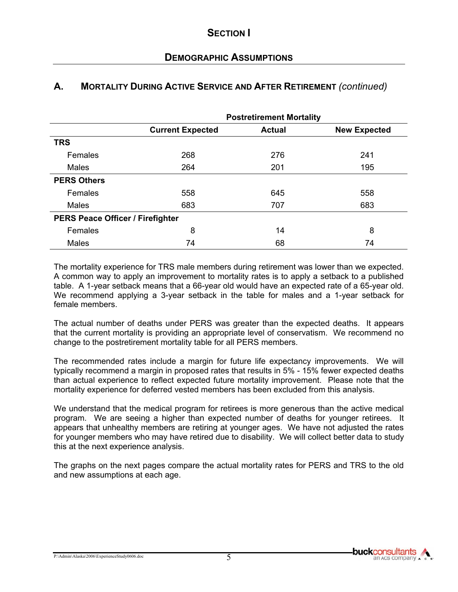## **DEMOGRAPHIC ASSUMPTIONS**

#### **A. MORTALITY DURING ACTIVE SERVICE AND AFTER RETIREMENT** *(continued)*

|                                         | <b>Postretirement Mortality</b> |               |                     |  |  |  |  |
|-----------------------------------------|---------------------------------|---------------|---------------------|--|--|--|--|
|                                         | <b>Current Expected</b>         | <b>Actual</b> | <b>New Expected</b> |  |  |  |  |
| <b>TRS</b>                              |                                 |               |                     |  |  |  |  |
| Females                                 | 268                             | 276           | 241                 |  |  |  |  |
| <b>Males</b>                            | 264                             | 201           | 195                 |  |  |  |  |
| <b>PERS Others</b>                      |                                 |               |                     |  |  |  |  |
| Females                                 | 558                             | 645           | 558                 |  |  |  |  |
| <b>Males</b>                            | 683                             | 707           | 683                 |  |  |  |  |
| <b>PERS Peace Officer / Firefighter</b> |                                 |               |                     |  |  |  |  |
| Females                                 | 8                               | 14            | 8                   |  |  |  |  |
| <b>Males</b>                            | 74                              | 68            | 74                  |  |  |  |  |

The mortality experience for TRS male members during retirement was lower than we expected. A common way to apply an improvement to mortality rates is to apply a setback to a published table. A 1-year setback means that a 66-year old would have an expected rate of a 65-year old. We recommend applying a 3-year setback in the table for males and a 1-year setback for female members.

The actual number of deaths under PERS was greater than the expected deaths. It appears that the current mortality is providing an appropriate level of conservatism. We recommend no change to the postretirement mortality table for all PERS members.

The recommended rates include a margin for future life expectancy improvements. We will typically recommend a margin in proposed rates that results in 5% - 15% fewer expected deaths than actual experience to reflect expected future mortality improvement. Please note that the mortality experience for deferred vested members has been excluded from this analysis.

We understand that the medical program for retirees is more generous than the active medical program. We are seeing a higher than expected number of deaths for younger retirees. It appears that unhealthy members are retiring at younger ages. We have not adjusted the rates for younger members who may have retired due to disability. We will collect better data to study this at the next experience analysis.

The graphs on the next pages compare the actual mortality rates for PERS and TRS to the old and new assumptions at each age.

P:\Admin\Alaska\2006\ExperienceStudy0606.doc 5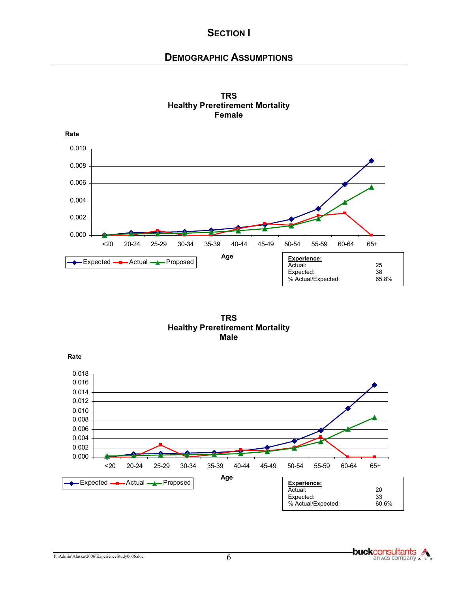### **DEMOGRAPHIC ASSUMPTIONS**



**TRS Healthy Preretirement Mortality Female**



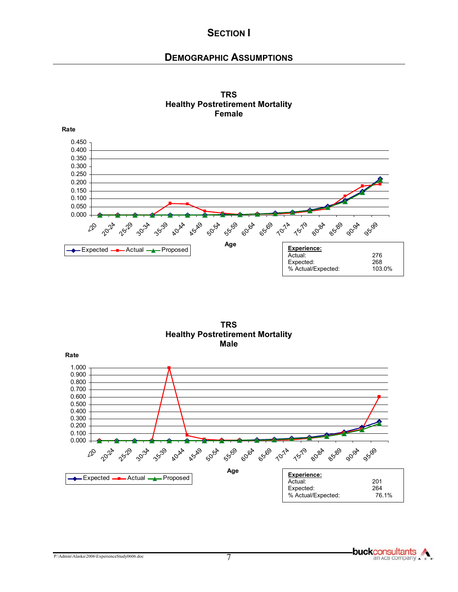#### **DEMOGRAPHIC ASSUMPTIONS**





**TRS Healthy Postretirement Mortality Male** 

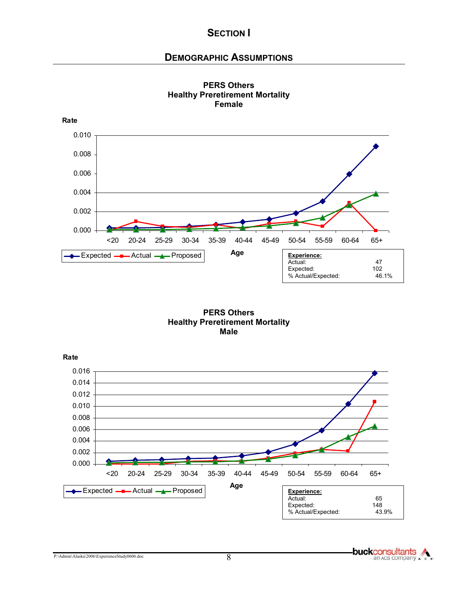## **DEMOGRAPHIC ASSUMPTIONS**



**PERS Others Healthy Preretirement Mortality Female**

**PERS Others Healthy Preretirement Mortality Male**

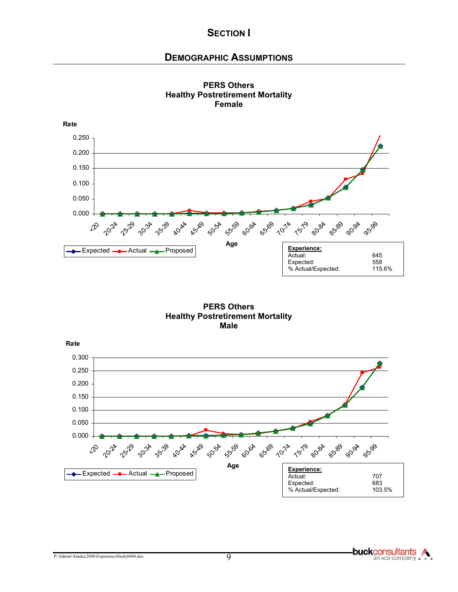#### **DEMOGRAPHIC ASSUMPTIONS**





**PERS Others Healthy Postretirement Mortality Male**



P:\Admin\Alaska\2006\ExperienceStudy0606.doc 9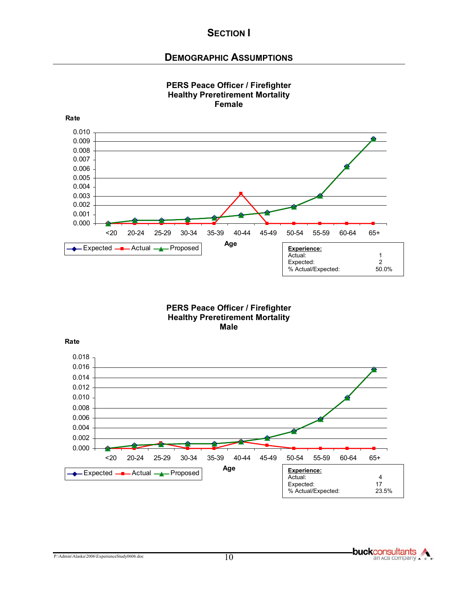### **DEMOGRAPHIC ASSUMPTIONS**



#### **PERS Peace Officer / Firefighter Healthy Preretirement Mortality Female**

#### **PERS Peace Officer / Firefighter Healthy Preretirement Mortality Male**

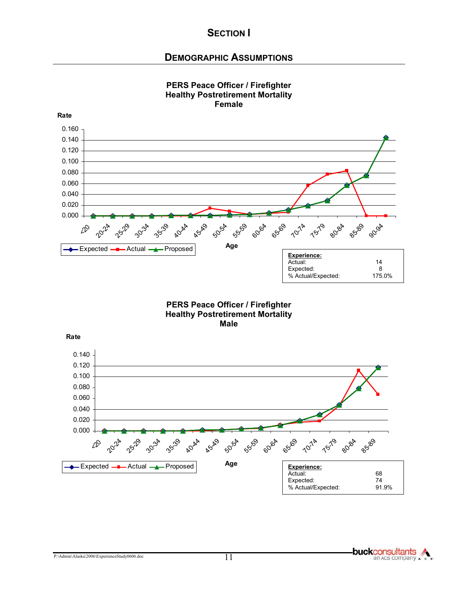#### **DEMOGRAPHIC ASSUMPTIONS**



#### **PERS Peace Officer / Firefighter Healthy Postretirement Mortality Female**

**PERS Peace Officer / Firefighter Healthy Postretirement Mortality Male**

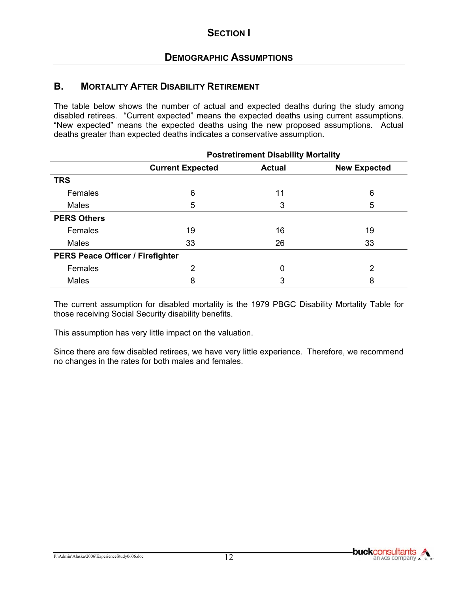### **B. MORTALITY AFTER DISABILITY RETIREMENT**

The table below shows the number of actual and expected deaths during the study among disabled retirees. "Current expected" means the expected deaths using current assumptions. "New expected" means the expected deaths using the new proposed assumptions. Actual deaths greater than expected deaths indicates a conservative assumption.

|                                         | <b>Postretirement Disability Mortality</b> |               |                     |  |  |  |  |
|-----------------------------------------|--------------------------------------------|---------------|---------------------|--|--|--|--|
|                                         | <b>Current Expected</b>                    | <b>Actual</b> | <b>New Expected</b> |  |  |  |  |
| <b>TRS</b>                              |                                            |               |                     |  |  |  |  |
| Females                                 | 6                                          | 11            | 6                   |  |  |  |  |
| <b>Males</b>                            | 5                                          | 3             |                     |  |  |  |  |
| <b>PERS Others</b>                      |                                            |               |                     |  |  |  |  |
| Females                                 | 19                                         | 16            | 19                  |  |  |  |  |
| Males                                   | 33                                         | 26            | 33                  |  |  |  |  |
| <b>PERS Peace Officer / Firefighter</b> |                                            |               |                     |  |  |  |  |
| Females                                 | 2                                          |               | 2                   |  |  |  |  |
| <b>Males</b>                            | 8                                          | 3             | 8                   |  |  |  |  |

The current assumption for disabled mortality is the 1979 PBGC Disability Mortality Table for those receiving Social Security disability benefits.

This assumption has very little impact on the valuation.

Since there are few disabled retirees, we have very little experience. Therefore, we recommend no changes in the rates for both males and females.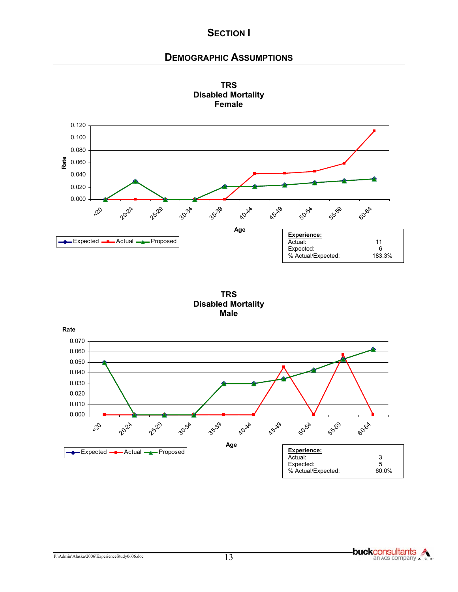### **DEMOGRAPHIC ASSUMPTIONS**





**TRS Disabled Mortality Male** 

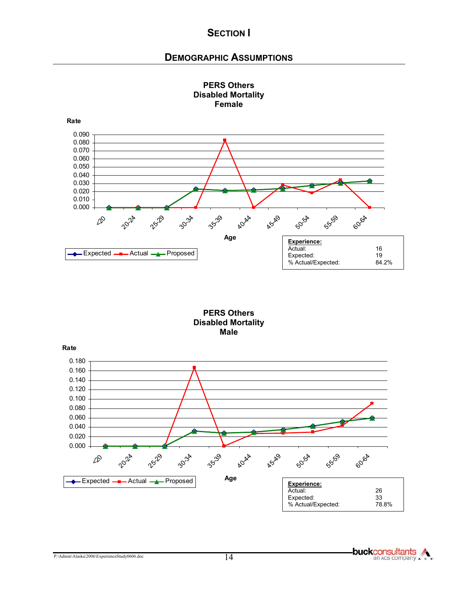#### **DEMOGRAPHIC ASSUMPTIONS**



#### **PERS Others Disabled Mortality Female**

**PERS Others Disabled Mortality Male** 

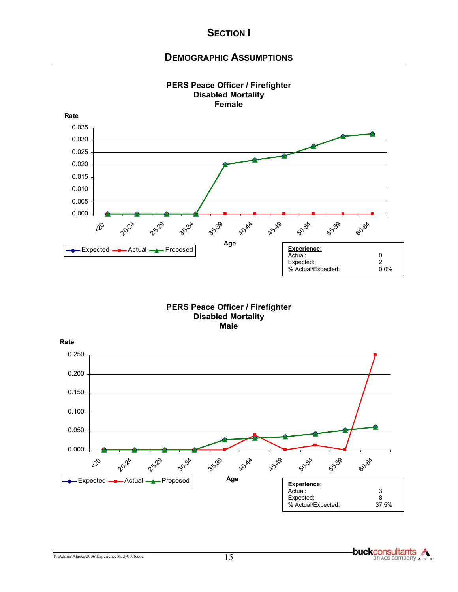#### **DEMOGRAPHIC ASSUMPTIONS**



**PERS Peace Officer / Firefighter Disabled Mortality** 

#### **PERS Peace Officer / Firefighter Disabled Mortality Male**

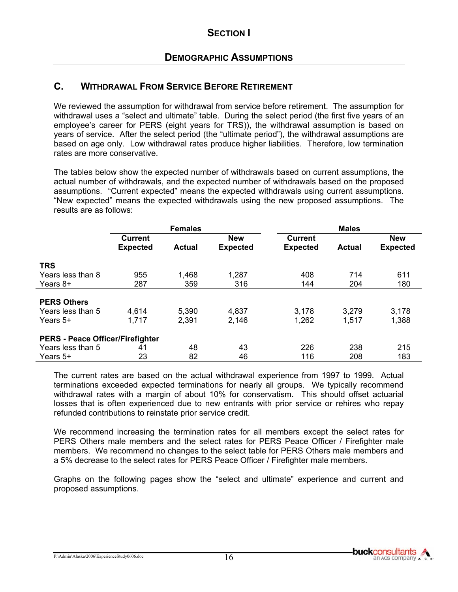### **C. WITHDRAWAL FROM SERVICE BEFORE RETIREMENT**

We reviewed the assumption for withdrawal from service before retirement. The assumption for withdrawal uses a "select and ultimate" table. During the select period (the first five years of an employee's career for PERS (eight years for TRS)), the withdrawal assumption is based on years of service. After the select period (the "ultimate period"), the withdrawal assumptions are based on age only. Low withdrawal rates produce higher liabilities. Therefore, low termination rates are more conservative.

The tables below show the expected number of withdrawals based on current assumptions, the actual number of withdrawals, and the expected number of withdrawals based on the proposed assumptions. "Current expected" means the expected withdrawals using current assumptions. "New expected" means the expected withdrawals using the new proposed assumptions. The results are as follows:

|                                         | <b>Females</b>  |               |                 | <b>Males</b>    |               |                 |
|-----------------------------------------|-----------------|---------------|-----------------|-----------------|---------------|-----------------|
|                                         | <b>Current</b>  |               | <b>New</b>      | <b>Current</b>  |               | <b>New</b>      |
|                                         | <b>Expected</b> | <b>Actual</b> | <b>Expected</b> | <b>Expected</b> | <b>Actual</b> | <b>Expected</b> |
| <b>TRS</b>                              |                 |               |                 |                 |               |                 |
|                                         |                 |               |                 |                 |               |                 |
| Years less than 8                       | 955             | 1,468         | 1,287           | 408             | 714           | 611             |
| Years $8+$                              | 287             | 359           | 316             | 144             | 204           | 180             |
|                                         |                 |               |                 |                 |               |                 |
| <b>PERS Others</b>                      |                 |               |                 |                 |               |                 |
| Years less than 5                       | 4,614           | 5,390         | 4,837           | 3,178           | 3,279         | 3,178           |
| Years $5+$                              | 1,717           | 2,391         | 2,146           | 1,262           | 1,517         | 1,388           |
|                                         |                 |               |                 |                 |               |                 |
| <b>PERS - Peace Officer/Firefighter</b> |                 |               |                 |                 |               |                 |
| Years less than 5                       | 41              | 48            | 43              | 226             | 238           | 215             |
| Years 5+                                | 23              | 82            | 46              | 116             | 208           | 183             |

The current rates are based on the actual withdrawal experience from 1997 to 1999. Actual terminations exceeded expected terminations for nearly all groups. We typically recommend withdrawal rates with a margin of about 10% for conservatism. This should offset actuarial losses that is often experienced due to new entrants with prior service or rehires who repay refunded contributions to reinstate prior service credit.

We recommend increasing the termination rates for all members except the select rates for PERS Others male members and the select rates for PERS Peace Officer / Firefighter male members. We recommend no changes to the select table for PERS Others male members and a 5% decrease to the select rates for PERS Peace Officer / Firefighter male members.

Graphs on the following pages show the "select and ultimate" experience and current and proposed assumptions.

P:\Admin\Alaska\2006\ExperienceStudy0606.doc 16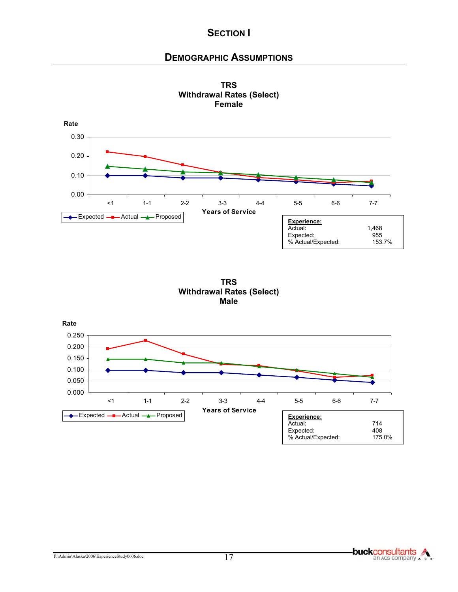## **DEMOGRAPHIC ASSUMPTIONS**



**TRS Withdrawal Rates (Select) Female** 





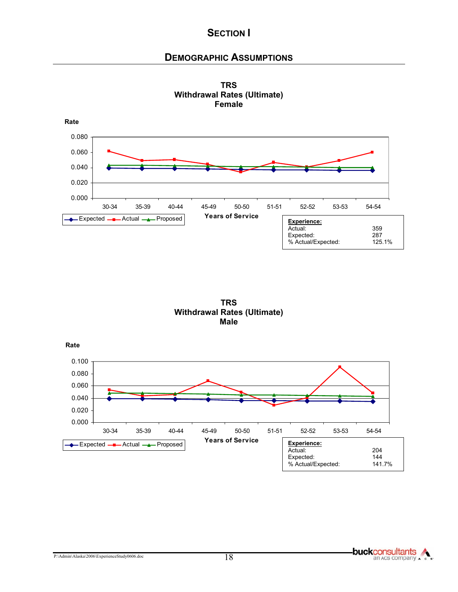## **DEMOGRAPHIC ASSUMPTIONS**







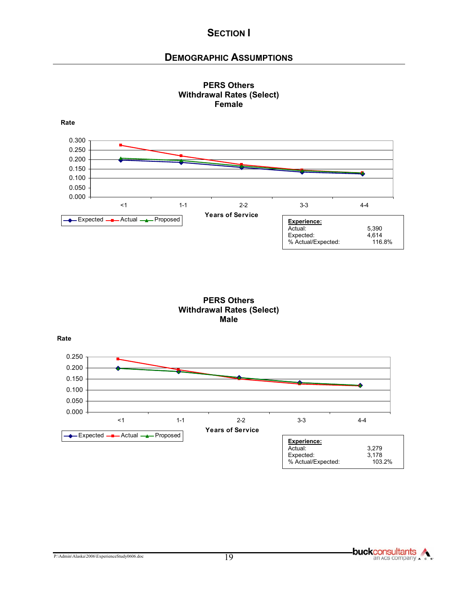## **DEMOGRAPHIC ASSUMPTIONS**



**PERS Others Withdrawal Rates (Select) Female** 





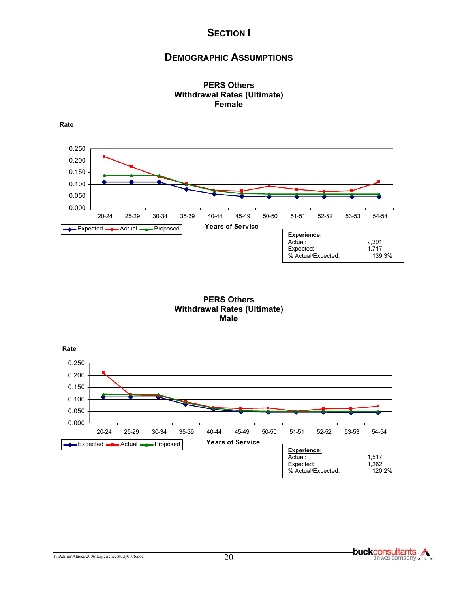### **DEMOGRAPHIC ASSUMPTIONS**





#### **PERS Others Withdrawal Rates (Ultimate) Male**



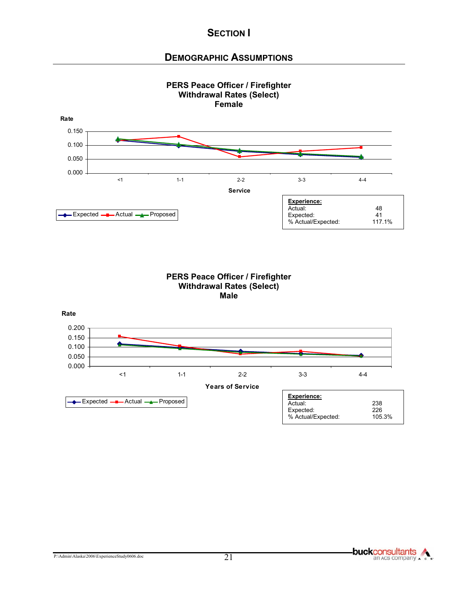### **DEMOGRAPHIC ASSUMPTIONS**



#### **PERS Peace Officer / Firefighter Withdrawal Rates (Select) Male**



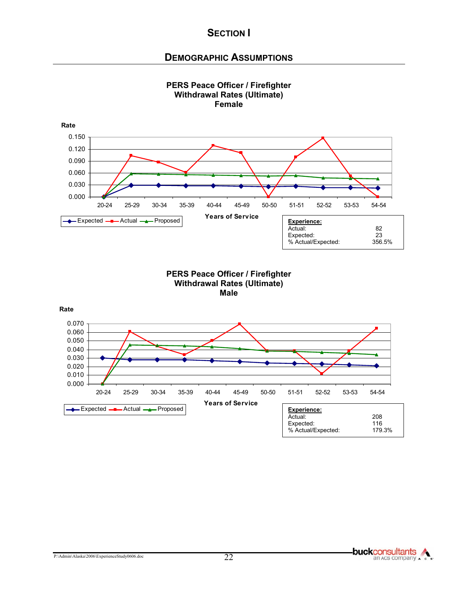### **DEMOGRAPHIC ASSUMPTIONS**



P:\Admin\Alaska\2006\ExperienceStudy0606.doc 22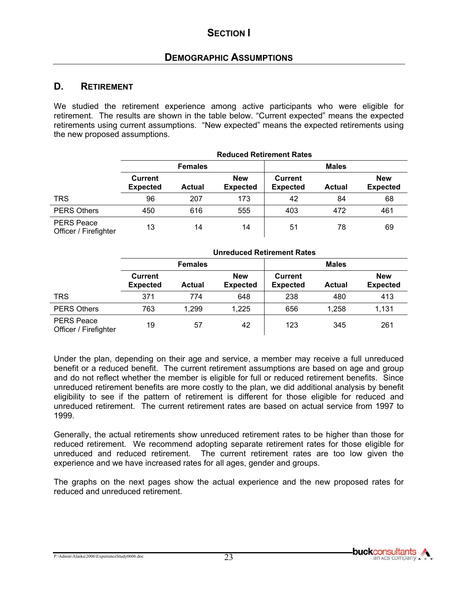#### **D. RETIREMENT**

We studied the retirement experience among active participants who were eligible for retirement. The results are shown in the table below. "Current expected" means the expected retirements using current assumptions. "New expected" means the expected retirements using the new proposed assumptions.

**Reduced Retirement Rates** 

|                                            | REUULEU RELIIEIIIEIIL RALES       |               |                               |                                   |               |                               |
|--------------------------------------------|-----------------------------------|---------------|-------------------------------|-----------------------------------|---------------|-------------------------------|
|                                            | <b>Females</b>                    |               |                               | <b>Males</b>                      |               |                               |
|                                            | <b>Current</b><br><b>Expected</b> | <b>Actual</b> | <b>New</b><br><b>Expected</b> | <b>Current</b><br><b>Expected</b> | <b>Actual</b> | <b>New</b><br><b>Expected</b> |
| <b>TRS</b>                                 | 96                                | 207           | 173                           | 42                                | 84            | 68                            |
| <b>PERS Others</b>                         | 450                               | 616           | 555                           | 403                               | 472           | 461                           |
| <b>PERS Peace</b><br>Officer / Firefighter | 13                                | 14            | 14                            | 51                                | 78            | 69                            |

|                                            | <b>Unreduced Retirement Rates</b> |               |                               |                                   |               |                               |
|--------------------------------------------|-----------------------------------|---------------|-------------------------------|-----------------------------------|---------------|-------------------------------|
|                                            | <b>Females</b>                    |               |                               | <b>Males</b>                      |               |                               |
|                                            | <b>Current</b><br><b>Expected</b> | <b>Actual</b> | <b>New</b><br><b>Expected</b> | <b>Current</b><br><b>Expected</b> | <b>Actual</b> | <b>New</b><br><b>Expected</b> |
| <b>TRS</b>                                 | 371                               | 774           | 648                           | 238                               | 480           | 413                           |
| <b>PERS Others</b>                         | 763                               | 1,299         | 1,225                         | 656                               | 1,258         | 1,131                         |
| <b>PERS Peace</b><br>Officer / Firefighter | 19                                | 57            | 42                            | 123                               | 345           | 261                           |

Under the plan, depending on their age and service, a member may receive a full unreduced benefit or a reduced benefit. The current retirement assumptions are based on age and group and do not reflect whether the member is eligible for full or reduced retirement benefits. Since unreduced retirement benefits are more costly to the plan, we did additional analysis by benefit eligibility to see if the pattern of retirement is different for those eligible for reduced and unreduced retirement. The current retirement rates are based on actual service from 1997 to 1999.

Generally, the actual retirements show unreduced retirement rates to be higher than those for reduced retirement. We recommend adopting separate retirement rates for those eligible for unreduced and reduced retirement. The current retirement rates are too low given the experience and we have increased rates for all ages, gender and groups.

The graphs on the next pages show the actual experience and the new proposed rates for reduced and unreduced retirement.

P:\Admin\Alaska\2006\ExperienceStudy0606.doc 23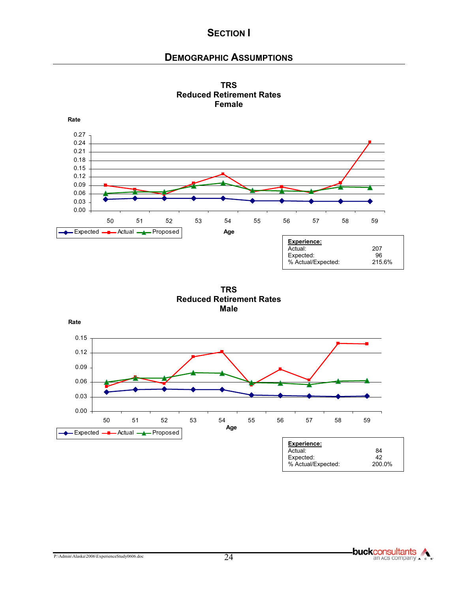### **DEMOGRAPHIC ASSUMPTIONS**





**TRS Reduced Retirement Rates Male**

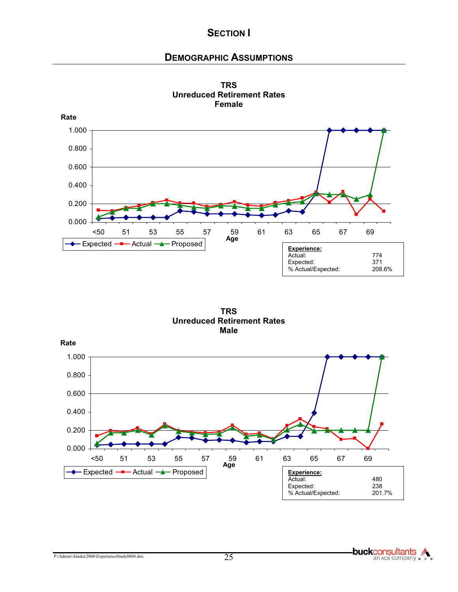### **DEMOGRAPHIC ASSUMPTIONS**



**TRS Unreduced Retirement Rates Female**

**TRS Unreduced Retirement Rates Male**

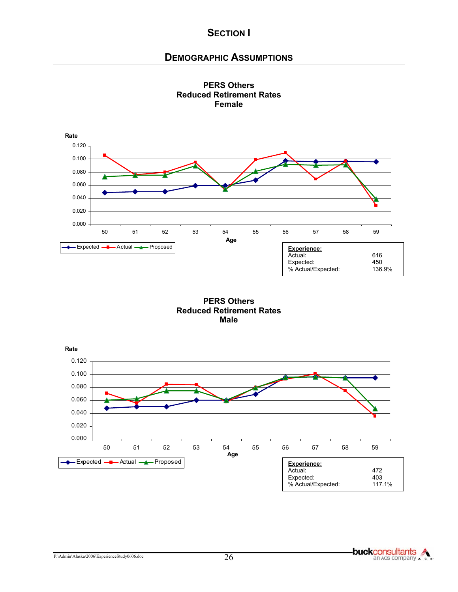#### **DEMOGRAPHIC ASSUMPTIONS**





**PERS Others Reduced Retirement Rates Male** 

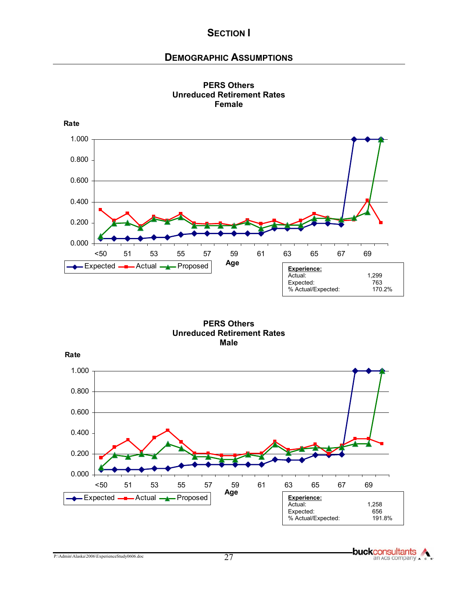## **DEMOGRAPHIC ASSUMPTIONS**





**PERS Others Unreduced Retirement Rates Male** 



**buckconsultants**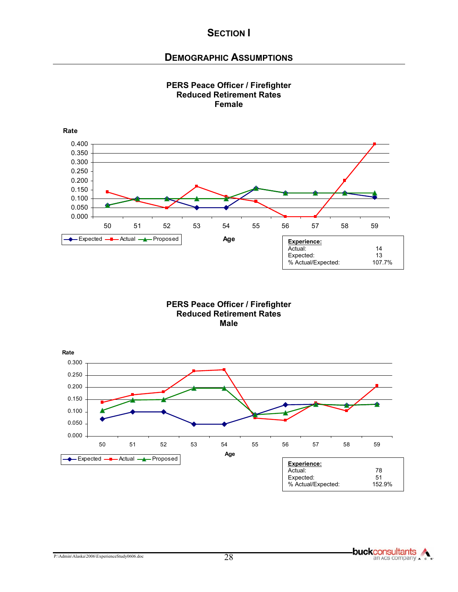#### **DEMOGRAPHIC ASSUMPTIONS**



**PERS Peace Officer / Firefighter Reduced Retirement Rates Male** 



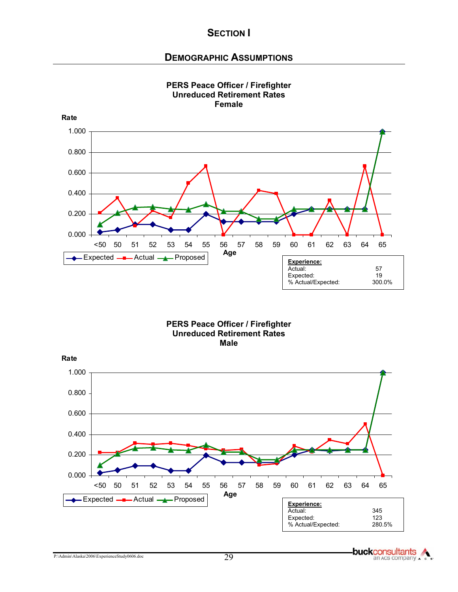#### **DEMOGRAPHIC ASSUMPTIONS**



#### **PERS Peace Officer / Firefighter Unreduced Retirement Rates Female**





**buckconsultants** an Acs company . .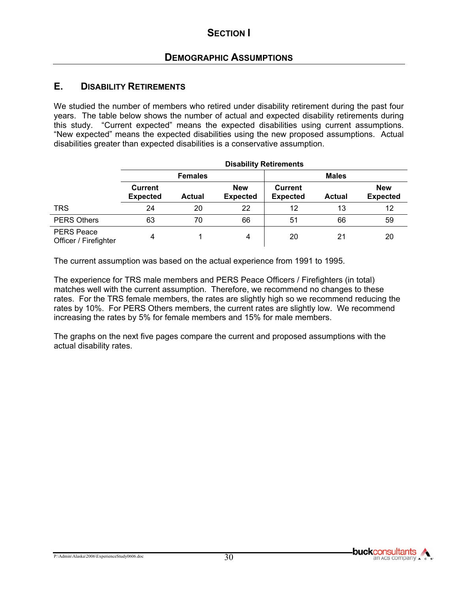#### **E. DISABILITY RETIREMENTS**

We studied the number of members who retired under disability retirement during the past four years. The table below shows the number of actual and expected disability retirements during this study. "Current expected" means the expected disabilities using current assumptions. "New expected" means the expected disabilities using the new proposed assumptions. Actual disabilities greater than expected disabilities is a conservative assumption.

|                                            | <b>Disability Retirements</b>     |               |                               |                                   |               |                               |
|--------------------------------------------|-----------------------------------|---------------|-------------------------------|-----------------------------------|---------------|-------------------------------|
|                                            | <b>Females</b>                    |               |                               |                                   | <b>Males</b>  |                               |
|                                            | <b>Current</b><br><b>Expected</b> | <b>Actual</b> | <b>New</b><br><b>Expected</b> | <b>Current</b><br><b>Expected</b> | <b>Actual</b> | <b>New</b><br><b>Expected</b> |
| <b>TRS</b>                                 | 24                                | 20            | 22                            | 12                                | 13            | 12                            |
| <b>PERS Others</b>                         | 63                                | 70            | 66                            | 51                                | 66            | 59                            |
| <b>PERS Peace</b><br>Officer / Firefighter | Δ                                 |               | 4                             | 20                                | 21            | 20                            |

The current assumption was based on the actual experience from 1991 to 1995.

The experience for TRS male members and PERS Peace Officers / Firefighters (in total) matches well with the current assumption. Therefore, we recommend no changes to these rates. For the TRS female members, the rates are slightly high so we recommend reducing the rates by 10%. For PERS Others members, the current rates are slightly low. We recommend increasing the rates by 5% for female members and 15% for male members.

The graphs on the next five pages compare the current and proposed assumptions with the actual disability rates.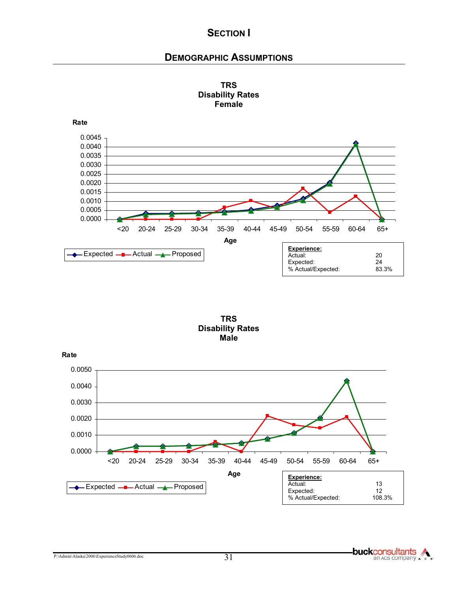## **DEMOGRAPHIC ASSUMPTIONS**





**TRS Disability Rates Male** 

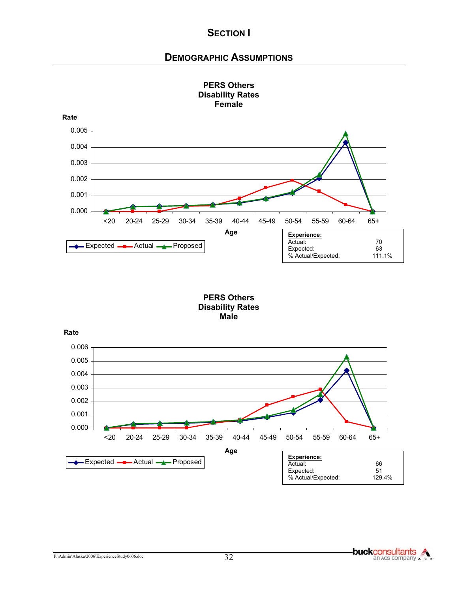### **DEMOGRAPHIC ASSUMPTIONS**



# **PERS Others Disability Rates**

#### **PERS Others Disability Rates Male**

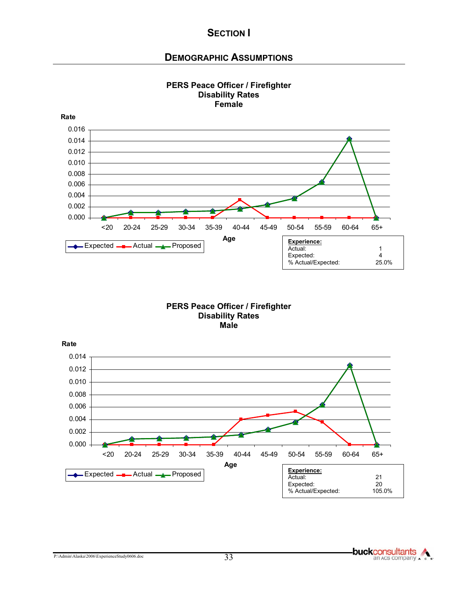## **DEMOGRAPHIC ASSUMPTIONS**



#### **PERS Peace Officer / Firefighter Disability Rates Female**

#### **PERS Peace Officer / Firefighter Disability Rates Male**

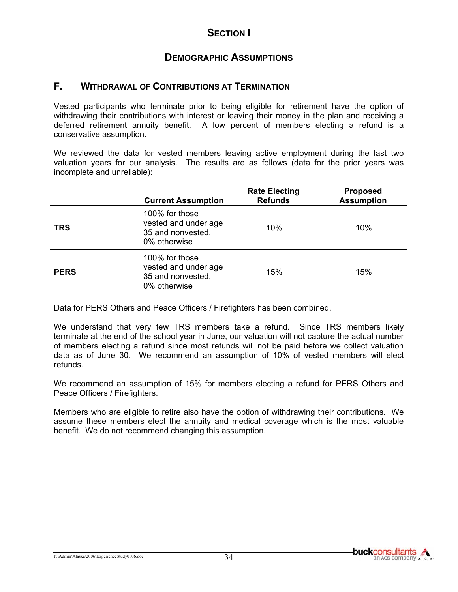### **F. WITHDRAWAL OF CONTRIBUTIONS AT TERMINATION**

Vested participants who terminate prior to being eligible for retirement have the option of withdrawing their contributions with interest or leaving their money in the plan and receiving a deferred retirement annuity benefit. A low percent of members electing a refund is a conservative assumption.

We reviewed the data for vested members leaving active employment during the last two valuation years for our analysis. The results are as follows (data for the prior years was incomplete and unreliable):

|             | <b>Current Assumption</b>                                                   | <b>Rate Electing</b><br><b>Refunds</b> | <b>Proposed</b><br><b>Assumption</b> |
|-------------|-----------------------------------------------------------------------------|----------------------------------------|--------------------------------------|
| <b>TRS</b>  | 100% for those<br>vested and under age<br>35 and nonvested,<br>0% otherwise | 10%                                    | 10%                                  |
| <b>PERS</b> | 100% for those<br>vested and under age<br>35 and nonvested,<br>0% otherwise | 15%                                    | 15%                                  |

Data for PERS Others and Peace Officers / Firefighters has been combined.

We understand that very few TRS members take a refund. Since TRS members likely terminate at the end of the school year in June, our valuation will not capture the actual number of members electing a refund since most refunds will not be paid before we collect valuation data as of June 30. We recommend an assumption of 10% of vested members will elect refunds.

We recommend an assumption of 15% for members electing a refund for PERS Others and Peace Officers / Firefighters.

Members who are eligible to retire also have the option of withdrawing their contributions. We assume these members elect the annuity and medical coverage which is the most valuable benefit. We do not recommend changing this assumption.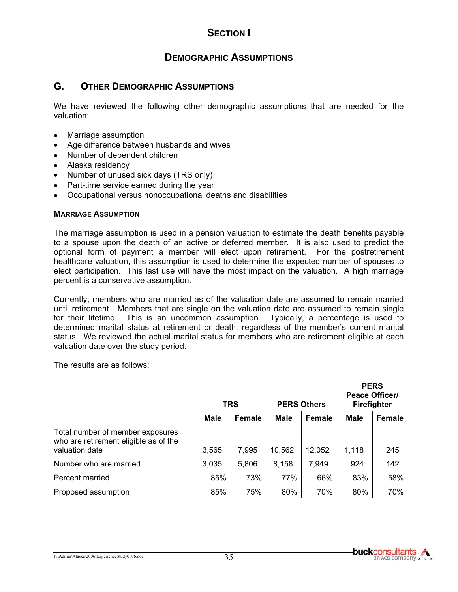## **DEMOGRAPHIC ASSUMPTIONS**

### **G. OTHER DEMOGRAPHIC ASSUMPTIONS**

We have reviewed the following other demographic assumptions that are needed for the valuation:

- Marriage assumption
- Age difference between husbands and wives
- Number of dependent children
- Alaska residency
- Number of unused sick days (TRS only)
- Part-time service earned during the year
- Occupational versus nonoccupational deaths and disabilities

#### **MARRIAGE ASSUMPTION**

The marriage assumption is used in a pension valuation to estimate the death benefits payable to a spouse upon the death of an active or deferred member. It is also used to predict the optional form of payment a member will elect upon retirement. For the postretirement healthcare valuation, this assumption is used to determine the expected number of spouses to elect participation. This last use will have the most impact on the valuation. A high marriage percent is a conservative assumption.

Currently, members who are married as of the valuation date are assumed to remain married until retirement. Members that are single on the valuation date are assumed to remain single for their lifetime. This is an uncommon assumption. Typically, a percentage is used to determined marital status at retirement or death, regardless of the member's current marital status. We reviewed the actual marital status for members who are retirement eligible at each valuation date over the study period.

The results are as follows:

|                                                                                             | <b>TRS</b> |               | <b>PERS Others</b> |               | <b>PERS</b><br><b>Peace Officer/</b><br><b>Firefighter</b> |        |
|---------------------------------------------------------------------------------------------|------------|---------------|--------------------|---------------|------------------------------------------------------------|--------|
|                                                                                             | Male       | <b>Female</b> | <b>Male</b>        | <b>Female</b> | Male                                                       | Female |
| Total number of member exposures<br>who are retirement eligible as of the<br>valuation date | 3,565      | 7,995         | 10,562             | 12,052        | 1,118                                                      | 245    |
| Number who are married                                                                      | 3,035      | 5,806         | 8,158              | 7,949         | 924                                                        | 142    |
| Percent married                                                                             | 85%        | 73%           | 77%                | 66%           | 83%                                                        | 58%    |
| Proposed assumption                                                                         | 85%        | 75%           | 80%                | 70%           | 80%                                                        | 70%    |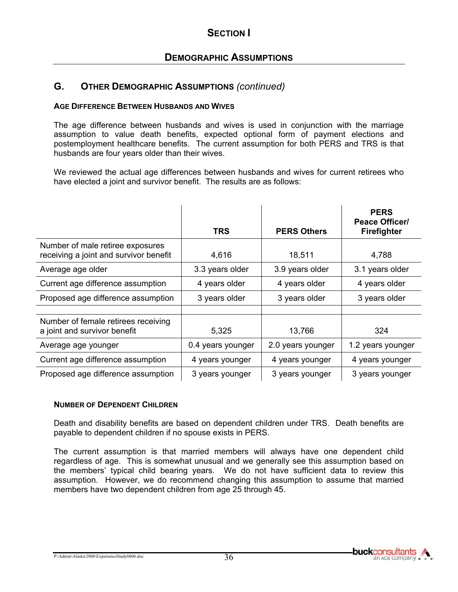#### **AGE DIFFERENCE BETWEEN HUSBANDS AND WIVES**

The age difference between husbands and wives is used in conjunction with the marriage assumption to value death benefits, expected optional form of payment elections and postemployment healthcare benefits. The current assumption for both PERS and TRS is that husbands are four years older than their wives.

We reviewed the actual age differences between husbands and wives for current retirees who have elected a joint and survivor benefit. The results are as follows:

|                                                                            | <b>TRS</b>        | <b>PERS Others</b> | <b>PERS</b><br><b>Peace Officer/</b><br>Firefighter |
|----------------------------------------------------------------------------|-------------------|--------------------|-----------------------------------------------------|
| Number of male retiree exposures<br>receiving a joint and survivor benefit | 4,616             | 18,511             | 4,788                                               |
| Average age older                                                          | 3.3 years older   | 3.9 years older    | 3.1 years older                                     |
| Current age difference assumption                                          | 4 years older     | 4 years older      | 4 years older                                       |
| Proposed age difference assumption                                         | 3 years older     | 3 years older      | 3 years older                                       |
| Number of female retirees receiving<br>a joint and survivor benefit        | 5,325             | 13,766             | 324                                                 |
| Average age younger                                                        | 0.4 years younger | 2.0 years younger  | 1.2 years younger                                   |
| Current age difference assumption                                          | 4 years younger   | 4 years younger    | 4 years younger                                     |
| Proposed age difference assumption                                         | 3 years younger   | 3 years younger    | 3 years younger                                     |

### **NUMBER OF DEPENDENT CHILDREN**

Death and disability benefits are based on dependent children under TRS. Death benefits are payable to dependent children if no spouse exists in PERS.

The current assumption is that married members will always have one dependent child regardless of age. This is somewhat unusual and we generally see this assumption based on the members' typical child bearing years. We do not have sufficient data to review this assumption. However, we do recommend changing this assumption to assume that married members have two dependent children from age 25 through 45.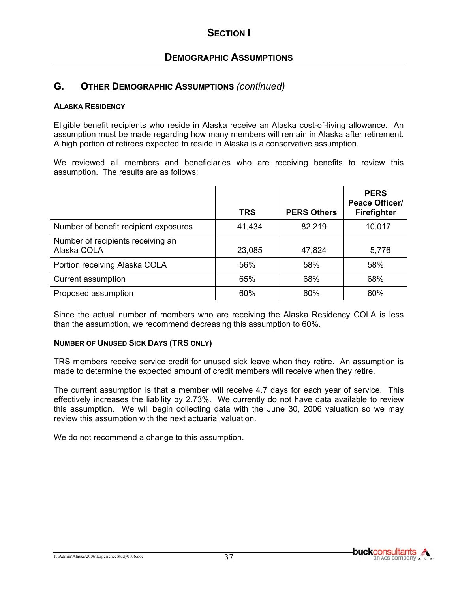#### **ALASKA RESIDENCY**

Eligible benefit recipients who reside in Alaska receive an Alaska cost-of-living allowance. An assumption must be made regarding how many members will remain in Alaska after retirement. A high portion of retirees expected to reside in Alaska is a conservative assumption.

We reviewed all members and beneficiaries who are receiving benefits to review this assumption. The results are as follows:

|                                                  | <b>TRS</b> | <b>PERS Others</b> | <b>PERS</b><br><b>Peace Officer/</b><br><b>Firefighter</b> |
|--------------------------------------------------|------------|--------------------|------------------------------------------------------------|
| Number of benefit recipient exposures            | 41,434     | 82,219             | 10,017                                                     |
| Number of recipients receiving an<br>Alaska COLA | 23,085     | 47,824             | 5,776                                                      |
| Portion receiving Alaska COLA                    | 56%        | 58%                | 58%                                                        |
| Current assumption                               | 65%        | 68%                | 68%                                                        |
| Proposed assumption                              | 60%        | 60%                | 60%                                                        |

Since the actual number of members who are receiving the Alaska Residency COLA is less than the assumption, we recommend decreasing this assumption to 60%.

#### **NUMBER OF UNUSED SICK DAYS (TRS ONLY)**

TRS members receive service credit for unused sick leave when they retire. An assumption is made to determine the expected amount of credit members will receive when they retire.

The current assumption is that a member will receive 4.7 days for each year of service. This effectively increases the liability by 2.73%. We currently do not have data available to review this assumption. We will begin collecting data with the June 30, 2006 valuation so we may review this assumption with the next actuarial valuation.

We do not recommend a change to this assumption.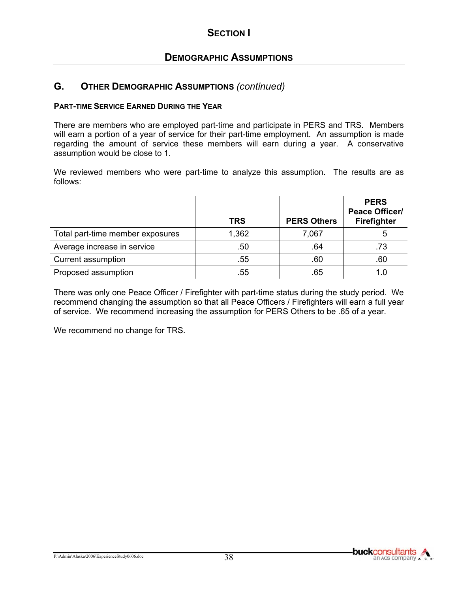#### **PART-TIME SERVICE EARNED DURING THE YEAR**

There are members who are employed part-time and participate in PERS and TRS. Members will earn a portion of a year of service for their part-time employment. An assumption is made regarding the amount of service these members will earn during a year. A conservative assumption would be close to 1.

We reviewed members who were part-time to analyze this assumption. The results are as follows:

|                                  | <b>TRS</b>       | <b>PERS Others</b> | <b>PERS</b><br><b>Peace Officer/</b><br><b>Firefighter</b> |
|----------------------------------|------------------|--------------------|------------------------------------------------------------|
| Total part-time member exposures | 1,362            | 7,067              | 5                                                          |
| Average increase in service      | .50 <sub>1</sub> | .64                | .73                                                        |
| Current assumption               | .55              | .60                | .60                                                        |
| Proposed assumption              | .55              | .65                |                                                            |

There was only one Peace Officer / Firefighter with part-time status during the study period. We recommend changing the assumption so that all Peace Officers / Firefighters will earn a full year of service. We recommend increasing the assumption for PERS Others to be .65 of a year.

We recommend no change for TRS.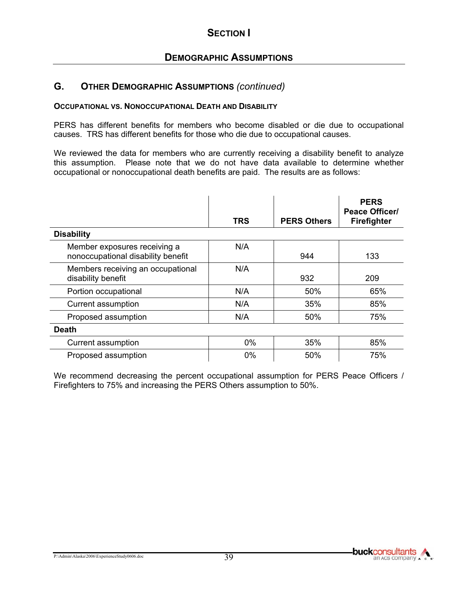#### **OCCUPATIONAL VS. NONOCCUPATIONAL DEATH AND DISABILITY**

PERS has different benefits for members who become disabled or die due to occupational causes. TRS has different benefits for those who die due to occupational causes.

We reviewed the data for members who are currently receiving a disability benefit to analyze this assumption. Please note that we do not have data available to determine whether occupational or nonoccupational death benefits are paid. The results are as follows:

|                                                                    | TRS   | <b>PERS Others</b> | <b>PERS</b><br><b>Peace Officer/</b><br><b>Firefighter</b> |
|--------------------------------------------------------------------|-------|--------------------|------------------------------------------------------------|
| <b>Disability</b>                                                  |       |                    |                                                            |
| Member exposures receiving a<br>nonoccupational disability benefit | N/A   | 944                | 133                                                        |
| Members receiving an occupational<br>disability benefit            | N/A   | 932                | 209                                                        |
| Portion occupational                                               | N/A   | 50%                | 65%                                                        |
| Current assumption                                                 | N/A   | 35%                | 85%                                                        |
| Proposed assumption                                                | N/A   | 50%                | 75%                                                        |
| <b>Death</b>                                                       |       |                    |                                                            |
| Current assumption                                                 | $0\%$ | 35%                | 85%                                                        |
| Proposed assumption                                                | $0\%$ | 50%                | 75%                                                        |

We recommend decreasing the percent occupational assumption for PERS Peace Officers / Firefighters to 75% and increasing the PERS Others assumption to 50%.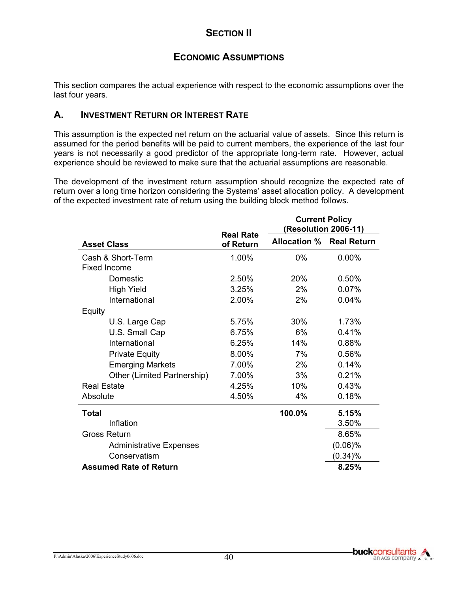# **ECONOMIC ASSUMPTIONS**

This section compares the actual experience with respect to the economic assumptions over the last four years.

### **A. INVESTMENT RETURN OR INTEREST RATE**

This assumption is the expected net return on the actuarial value of assets. Since this return is assumed for the period benefits will be paid to current members, the experience of the last four years is not necessarily a good predictor of the appropriate long-term rate. However, actual experience should be reviewed to make sure that the actuarial assumptions are reasonable.

The development of the investment return assumption should recognize the expected rate of return over a long time horizon considering the Systems' asset allocation policy. A development of the expected investment rate of return using the building block method follows.

|                                |                               | <b>Current Policy</b><br>(Resolution 2006-11) |            |
|--------------------------------|-------------------------------|-----------------------------------------------|------------|
| <b>Asset Class</b>             | <b>Real Rate</b><br>of Return | <b>Allocation % Real Return</b>               |            |
| Cash & Short-Term              | 1.00%                         | $0\%$                                         | 0.00%      |
| <b>Fixed Income</b>            |                               |                                               |            |
| Domestic                       | 2.50%                         | 20%                                           | 0.50%      |
| <b>High Yield</b>              | 3.25%                         | 2%                                            | 0.07%      |
| International                  | 2.00%                         | 2%                                            | 0.04%      |
| Equity                         |                               |                                               |            |
| U.S. Large Cap                 | 5.75%                         | 30%                                           | 1.73%      |
| U.S. Small Cap                 | 6.75%                         | 6%                                            | 0.41%      |
| International                  | 6.25%                         | 14%                                           | 0.88%      |
| <b>Private Equity</b>          | 8.00%                         | 7%                                            | 0.56%      |
| <b>Emerging Markets</b>        | 7.00%                         | 2%                                            | 0.14%      |
| Other (Limited Partnership)    | 7.00%                         | 3%                                            | 0.21%      |
| <b>Real Estate</b>             | 4.25%                         | 10%                                           | 0.43%      |
| Absolute                       | 4.50%                         | 4%                                            | 0.18%      |
| Total                          |                               | 100.0%                                        | 5.15%      |
| Inflation                      |                               |                                               | 3.50%      |
| <b>Gross Return</b>            |                               |                                               | 8.65%      |
| <b>Administrative Expenses</b> |                               |                                               | $(0.06)\%$ |
| Conservatism                   |                               |                                               | $(0.34)\%$ |
| <b>Assumed Rate of Return</b>  |                               |                                               | 8.25%      |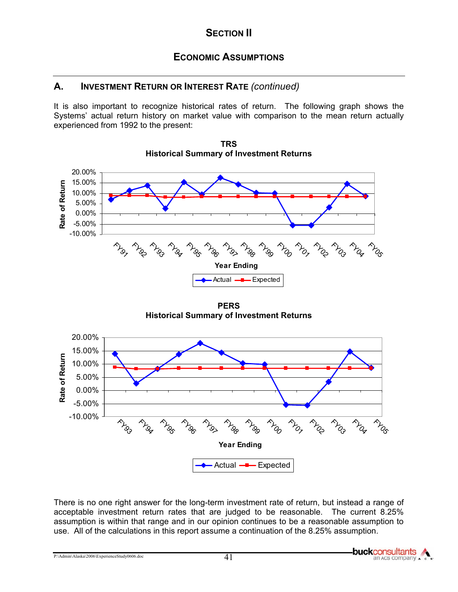## **ECONOMIC ASSUMPTIONS**

## **A. INVESTMENT RETURN OR INTEREST RATE** *(continued)*

It is also important to recognize historical rates of return. The following graph shows the Systems' actual return history on market value with comparison to the mean return actually experienced from 1992 to the present:



**TRS Historical Summary of Investment Returns** 

**PERS Historical Summary of Investment Returns**



There is no one right answer for the long-term investment rate of return, but instead a range of acceptable investment return rates that are judged to be reasonable. The current 8.25% assumption is within that range and in our opinion continues to be a reasonable assumption to use. All of the calculations in this report assume a continuation of the 8.25% assumption.

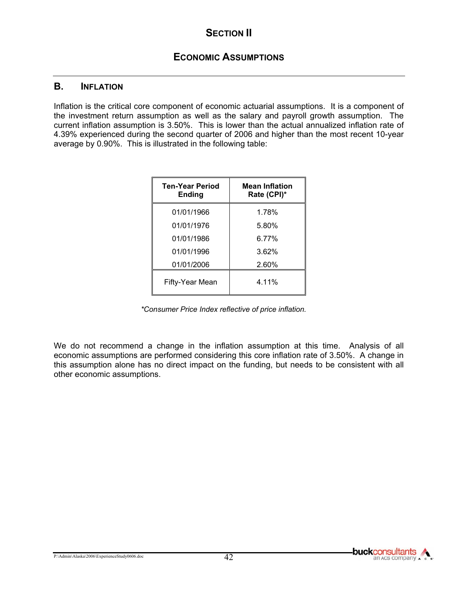### **B. INFLATION**

Inflation is the critical core component of economic actuarial assumptions. It is a component of the investment return assumption as well as the salary and payroll growth assumption. The current inflation assumption is 3.50%. This is lower than the actual annualized inflation rate of 4.39% experienced during the second quarter of 2006 and higher than the most recent 10-year average by 0.90%. This is illustrated in the following table:

| <b>Ten-Year Period</b><br><b>Ending</b> | <b>Mean Inflation</b><br>Rate (CPI)* |
|-----------------------------------------|--------------------------------------|
| 01/01/1966                              | 1.78%                                |
| 01/01/1976                              | 5.80%                                |
| 01/01/1986                              | 6.77%                                |
| 01/01/1996                              | 3.62%                                |
| 01/01/2006                              | 2.60%                                |
| Fifty-Year Mean                         | 4.11%                                |

 *\*Consumer Price Index reflective of price inflation.* 

We do not recommend a change in the inflation assumption at this time. Analysis of all economic assumptions are performed considering this core inflation rate of 3.50%. A change in this assumption alone has no direct impact on the funding, but needs to be consistent with all other economic assumptions.

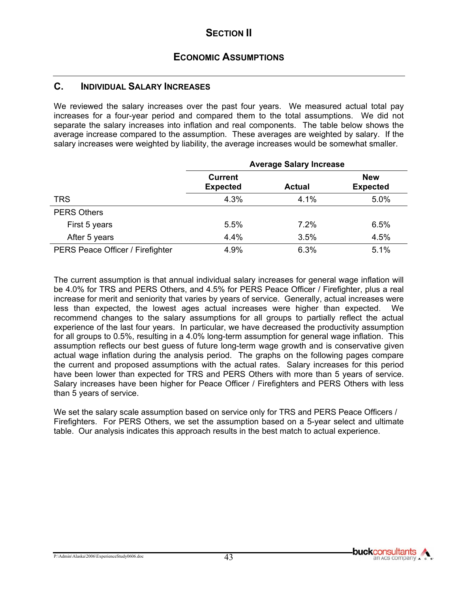## **C. INDIVIDUAL SALARY INCREASES**

We reviewed the salary increases over the past four years. We measured actual total pay increases for a four-year period and compared them to the total assumptions. We did not separate the salary increases into inflation and real components. The table below shows the average increase compared to the assumption. These averages are weighted by salary. If the salary increases were weighted by liability, the average increases would be somewhat smaller.

|                                  | <b>Average Salary Increase</b>    |               |                               |  |  |
|----------------------------------|-----------------------------------|---------------|-------------------------------|--|--|
|                                  | <b>Current</b><br><b>Expected</b> | <b>Actual</b> | <b>New</b><br><b>Expected</b> |  |  |
| <b>TRS</b>                       | 4.3%                              | 4.1%          | 5.0%                          |  |  |
| <b>PERS Others</b>               |                                   |               |                               |  |  |
| First 5 years                    | 5.5%                              | 7.2%          | 6.5%                          |  |  |
| After 5 years                    | 4.4%                              | 3.5%          | 4.5%                          |  |  |
| PERS Peace Officer / Firefighter | 4.9%                              | 6.3%          | 5.1%                          |  |  |

The current assumption is that annual individual salary increases for general wage inflation will be 4.0% for TRS and PERS Others, and 4.5% for PERS Peace Officer / Firefighter, plus a real increase for merit and seniority that varies by years of service. Generally, actual increases were less than expected, the lowest ages actual increases were higher than expected. We recommend changes to the salary assumptions for all groups to partially reflect the actual experience of the last four years. In particular, we have decreased the productivity assumption for all groups to 0.5%, resulting in a 4.0% long-term assumption for general wage inflation. This assumption reflects our best guess of future long-term wage growth and is conservative given actual wage inflation during the analysis period. The graphs on the following pages compare the current and proposed assumptions with the actual rates. Salary increases for this period have been lower than expected for TRS and PERS Others with more than 5 years of service. Salary increases have been higher for Peace Officer / Firefighters and PERS Others with less than 5 years of service.

We set the salary scale assumption based on service only for TRS and PERS Peace Officers / Firefighters. For PERS Others, we set the assumption based on a 5-year select and ultimate table. Our analysis indicates this approach results in the best match to actual experience.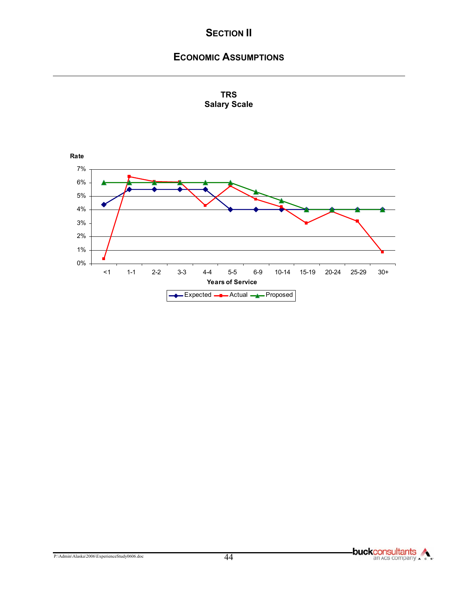# **ECONOMIC ASSUMPTIONS**



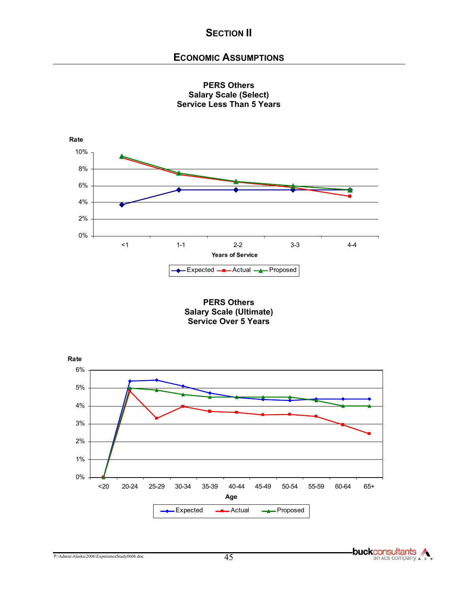## **ECONOMIC ASSUMPTIONS**



**PERS Others Salary Scale (Select) Service Less Than 5 Years** 

**PERS Others Salary Scale (Ultimate) Service Over 5 Years** 

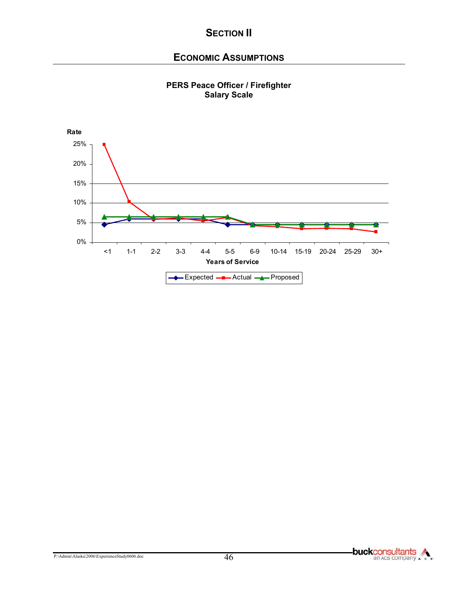## **ECONOMIC ASSUMPTIONS**



#### **PERS Peace Officer / Firefighter Salary Scale**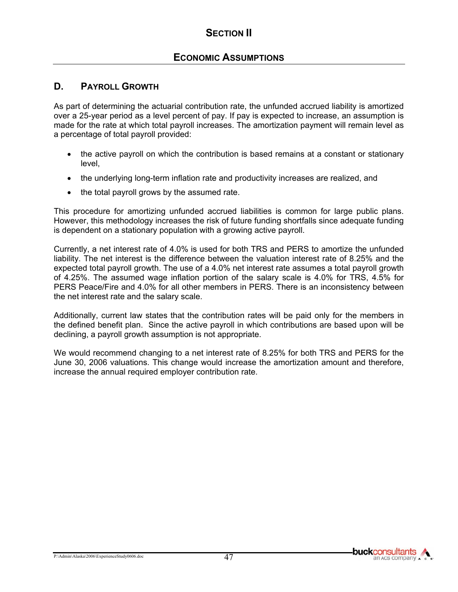## **ECONOMIC ASSUMPTIONS**

## **D. PAYROLL GROWTH**

As part of determining the actuarial contribution rate, the unfunded accrued liability is amortized over a 25-year period as a level percent of pay. If pay is expected to increase, an assumption is made for the rate at which total payroll increases. The amortization payment will remain level as a percentage of total payroll provided:

- the active payroll on which the contribution is based remains at a constant or stationary level,
- the underlying long-term inflation rate and productivity increases are realized, and
- the total payroll grows by the assumed rate.

This procedure for amortizing unfunded accrued liabilities is common for large public plans. However, this methodology increases the risk of future funding shortfalls since adequate funding is dependent on a stationary population with a growing active payroll.

Currently, a net interest rate of 4.0% is used for both TRS and PERS to amortize the unfunded liability. The net interest is the difference between the valuation interest rate of 8.25% and the expected total payroll growth. The use of a 4.0% net interest rate assumes a total payroll growth of 4.25%. The assumed wage inflation portion of the salary scale is 4.0% for TRS, 4.5% for PERS Peace/Fire and 4.0% for all other members in PERS. There is an inconsistency between the net interest rate and the salary scale.

Additionally, current law states that the contribution rates will be paid only for the members in the defined benefit plan. Since the active payroll in which contributions are based upon will be declining, a payroll growth assumption is not appropriate.

We would recommend changing to a net interest rate of 8.25% for both TRS and PERS for the June 30, 2006 valuations. This change would increase the amortization amount and therefore, increase the annual required employer contribution rate.



**buckconsultants** an Acs company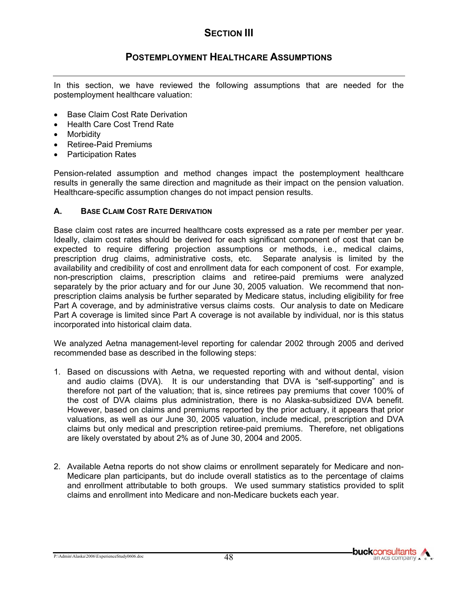## **POSTEMPLOYMENT HEALTHCARE ASSUMPTIONS**

In this section, we have reviewed the following assumptions that are needed for the postemployment healthcare valuation:

- Base Claim Cost Rate Derivation
- Health Care Cost Trend Rate
- **Morbidity**
- Retiree-Paid Premiums
- Participation Rates

Pension-related assumption and method changes impact the postemployment healthcare results in generally the same direction and magnitude as their impact on the pension valuation. Healthcare-specific assumption changes do not impact pension results.

#### **A. BASE CLAIM COST RATE DERIVATION**

Base claim cost rates are incurred healthcare costs expressed as a rate per member per year. Ideally, claim cost rates should be derived for each significant component of cost that can be expected to require differing projection assumptions or methods, i.e., medical claims, prescription drug claims, administrative costs, etc. Separate analysis is limited by the availability and credibility of cost and enrollment data for each component of cost. For example, non-prescription claims, prescription claims and retiree-paid premiums were analyzed separately by the prior actuary and for our June 30, 2005 valuation. We recommend that nonprescription claims analysis be further separated by Medicare status, including eligibility for free Part A coverage, and by administrative versus claims costs. Our analysis to date on Medicare Part A coverage is limited since Part A coverage is not available by individual, nor is this status incorporated into historical claim data.

We analyzed Aetna management-level reporting for calendar 2002 through 2005 and derived recommended base as described in the following steps:

- 1. Based on discussions with Aetna, we requested reporting with and without dental, vision and audio claims (DVA). It is our understanding that DVA is "self-supporting" and is therefore not part of the valuation; that is, since retirees pay premiums that cover 100% of the cost of DVA claims plus administration, there is no Alaska-subsidized DVA benefit. However, based on claims and premiums reported by the prior actuary, it appears that prior valuations, as well as our June 30, 2005 valuation, include medical, prescription and DVA claims but only medical and prescription retiree-paid premiums. Therefore, net obligations are likely overstated by about 2% as of June 30, 2004 and 2005.
- 2. Available Aetna reports do not show claims or enrollment separately for Medicare and non-Medicare plan participants, but do include overall statistics as to the percentage of claims and enrollment attributable to both groups. We used summary statistics provided to split claims and enrollment into Medicare and non-Medicare buckets each year.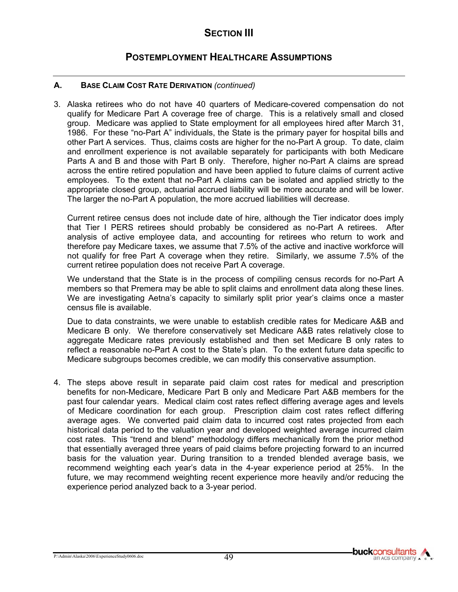## **POSTEMPLOYMENT HEALTHCARE ASSUMPTIONS**

#### **A. BASE CLAIM COST RATE DERIVATION** *(continued)*

3. Alaska retirees who do not have 40 quarters of Medicare-covered compensation do not qualify for Medicare Part A coverage free of charge. This is a relatively small and closed group. Medicare was applied to State employment for all employees hired after March 31, 1986. For these "no-Part A" individuals, the State is the primary payer for hospital bills and other Part A services. Thus, claims costs are higher for the no-Part A group. To date, claim and enrollment experience is not available separately for participants with both Medicare Parts A and B and those with Part B only. Therefore, higher no-Part A claims are spread across the entire retired population and have been applied to future claims of current active employees. To the extent that no-Part A claims can be isolated and applied strictly to the appropriate closed group, actuarial accrued liability will be more accurate and will be lower. The larger the no-Part A population, the more accrued liabilities will decrease.

Current retiree census does not include date of hire, although the Tier indicator does imply that Tier I PERS retirees should probably be considered as no-Part A retirees. After analysis of active employee data, and accounting for retirees who return to work and therefore pay Medicare taxes, we assume that 7.5% of the active and inactive workforce will not qualify for free Part A coverage when they retire. Similarly, we assume 7.5% of the current retiree population does not receive Part A coverage.

We understand that the State is in the process of compiling census records for no-Part A members so that Premera may be able to split claims and enrollment data along these lines. We are investigating Aetna's capacity to similarly split prior year's claims once a master census file is available.

Due to data constraints, we were unable to establish credible rates for Medicare A&B and Medicare B only. We therefore conservatively set Medicare A&B rates relatively close to aggregate Medicare rates previously established and then set Medicare B only rates to reflect a reasonable no-Part A cost to the State's plan. To the extent future data specific to Medicare subgroups becomes credible, we can modify this conservative assumption.

4. The steps above result in separate paid claim cost rates for medical and prescription benefits for non-Medicare, Medicare Part B only and Medicare Part A&B members for the past four calendar years. Medical claim cost rates reflect differing average ages and levels of Medicare coordination for each group. Prescription claim cost rates reflect differing average ages. We converted paid claim data to incurred cost rates projected from each historical data period to the valuation year and developed weighted average incurred claim cost rates. This "trend and blend" methodology differs mechanically from the prior method that essentially averaged three years of paid claims before projecting forward to an incurred basis for the valuation year. During transition to a trended blended average basis, we recommend weighting each year's data in the 4-year experience period at 25%. In the future, we may recommend weighting recent experience more heavily and/or reducing the experience period analyzed back to a 3-year period.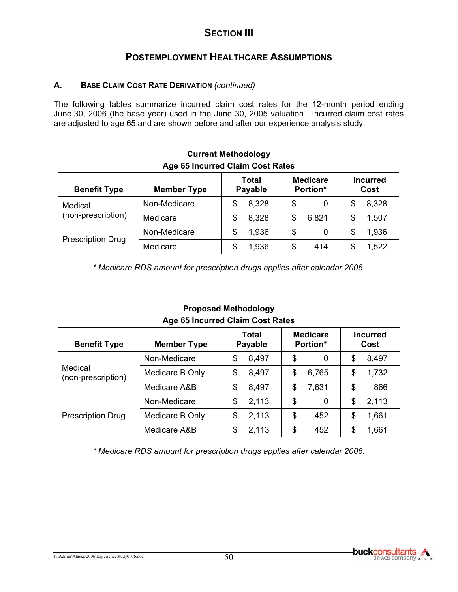## **POSTEMPLOYMENT HEALTHCARE ASSUMPTIONS**

### **A. BASE CLAIM COST RATE DERIVATION** *(continued)*

The following tables summarize incurred claim cost rates for the 12-month period ending June 30, 2006 (the base year) used in the June 30, 2005 valuation. Incurred claim cost rates are adjusted to age 65 and are shown before and after our experience analysis study:

| <b>Benefit Type</b>           | <b>Member Type</b> | <b>Total</b><br>Payable | <b>Medicare</b><br>Portion* | <b>Incurred</b><br>Cost |  |  |  |
|-------------------------------|--------------------|-------------------------|-----------------------------|-------------------------|--|--|--|
| Medical<br>(non-prescription) | Non-Medicare       | 8,328<br>\$             | \$<br>0                     | 8,328                   |  |  |  |
|                               | Medicare           | 8,328<br>\$             | 6,821<br>\$                 | 1,507                   |  |  |  |
| <b>Prescription Drug</b>      | Non-Medicare       | 1,936<br>S              | \$<br>0                     | 1,936<br>S              |  |  |  |
|                               | Medicare           | 1,936<br>\$             | \$<br>414                   | 1,522<br>\$             |  |  |  |

### **Current Methodology Age 65 Incurred Claim Cost Rates**

*\* Medicare RDS amount for prescription drugs applies after calendar 2006.* 

| <b>Benefit Type</b>           | <b>Member Type</b> | Total<br><b>Payable</b> | <b>Medicare</b><br>Portion* | <b>Incurred</b><br>Cost |
|-------------------------------|--------------------|-------------------------|-----------------------------|-------------------------|
| Medical<br>(non-prescription) | Non-Medicare       | 8,497<br>\$             | \$<br>0                     | 8,497<br>\$             |
|                               | Medicare B Only    | \$<br>8,497             | 6,765<br>\$                 | 1,732<br>\$             |
|                               | Medicare A&B       | 8,497<br>\$             | 7,631<br>\$                 | 866<br>\$               |
| <b>Prescription Drug</b>      | Non-Medicare       | 2,113<br>\$             | \$<br>0                     | 2,113<br>\$             |
|                               | Medicare B Only    | 2,113<br>\$             | \$<br>452                   | \$<br>1,661             |
|                               | Medicare A&B       | 2,113<br>\$             | \$<br>452                   | 1,661<br>\$             |

## **Proposed Methodology Age 65 Incurred Claim Cost Rates**

*\* Medicare RDS amount for prescription drugs applies after calendar 2006.*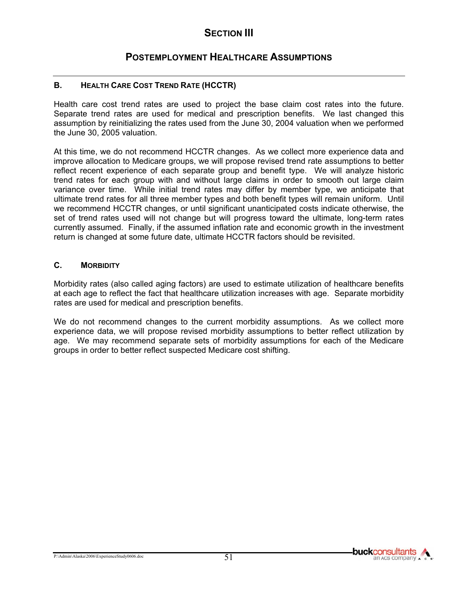## **POSTEMPLOYMENT HEALTHCARE ASSUMPTIONS**

#### **B. HEALTH CARE COST TREND RATE (HCCTR)**

Health care cost trend rates are used to project the base claim cost rates into the future. Separate trend rates are used for medical and prescription benefits. We last changed this assumption by reinitializing the rates used from the June 30, 2004 valuation when we performed the June 30, 2005 valuation.

At this time, we do not recommend HCCTR changes. As we collect more experience data and improve allocation to Medicare groups, we will propose revised trend rate assumptions to better reflect recent experience of each separate group and benefit type. We will analyze historic trend rates for each group with and without large claims in order to smooth out large claim variance over time. While initial trend rates may differ by member type, we anticipate that ultimate trend rates for all three member types and both benefit types will remain uniform. Until we recommend HCCTR changes, or until significant unanticipated costs indicate otherwise, the set of trend rates used will not change but will progress toward the ultimate, long-term rates currently assumed. Finally, if the assumed inflation rate and economic growth in the investment return is changed at some future date, ultimate HCCTR factors should be revisited.

#### **C. MORBIDITY**

Morbidity rates (also called aging factors) are used to estimate utilization of healthcare benefits at each age to reflect the fact that healthcare utilization increases with age. Separate morbidity rates are used for medical and prescription benefits.

We do not recommend changes to the current morbidity assumptions. As we collect more experience data, we will propose revised morbidity assumptions to better reflect utilization by age. We may recommend separate sets of morbidity assumptions for each of the Medicare groups in order to better reflect suspected Medicare cost shifting.

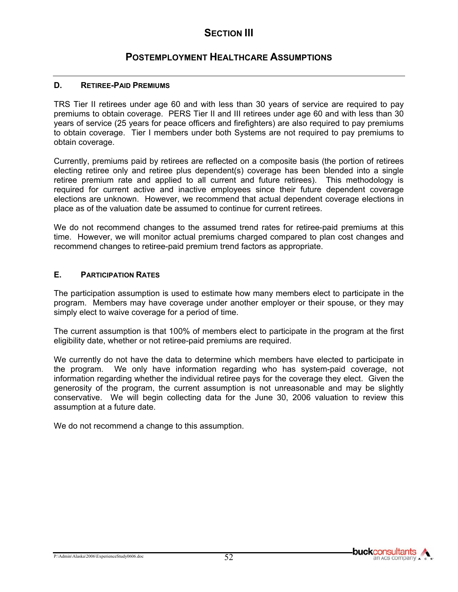## **POSTEMPLOYMENT HEALTHCARE ASSUMPTIONS**

#### **D. RETIREE-PAID PREMIUMS**

TRS Tier II retirees under age 60 and with less than 30 years of service are required to pay premiums to obtain coverage. PERS Tier II and III retirees under age 60 and with less than 30 years of service (25 years for peace officers and firefighters) are also required to pay premiums to obtain coverage. Tier I members under both Systems are not required to pay premiums to obtain coverage.

Currently, premiums paid by retirees are reflected on a composite basis (the portion of retirees electing retiree only and retiree plus dependent(s) coverage has been blended into a single retiree premium rate and applied to all current and future retirees). This methodology is required for current active and inactive employees since their future dependent coverage elections are unknown. However, we recommend that actual dependent coverage elections in place as of the valuation date be assumed to continue for current retirees.

We do not recommend changes to the assumed trend rates for retiree-paid premiums at this time. However, we will monitor actual premiums charged compared to plan cost changes and recommend changes to retiree-paid premium trend factors as appropriate.

#### **E. PARTICIPATION RATES**

The participation assumption is used to estimate how many members elect to participate in the program. Members may have coverage under another employer or their spouse, or they may simply elect to waive coverage for a period of time.

The current assumption is that 100% of members elect to participate in the program at the first eligibility date, whether or not retiree-paid premiums are required.

We currently do not have the data to determine which members have elected to participate in the program. We only have information regarding who has system-paid coverage, not information regarding whether the individual retiree pays for the coverage they elect. Given the generosity of the program, the current assumption is not unreasonable and may be slightly conservative. We will begin collecting data for the June 30, 2006 valuation to review this assumption at a future date.

We do not recommend a change to this assumption.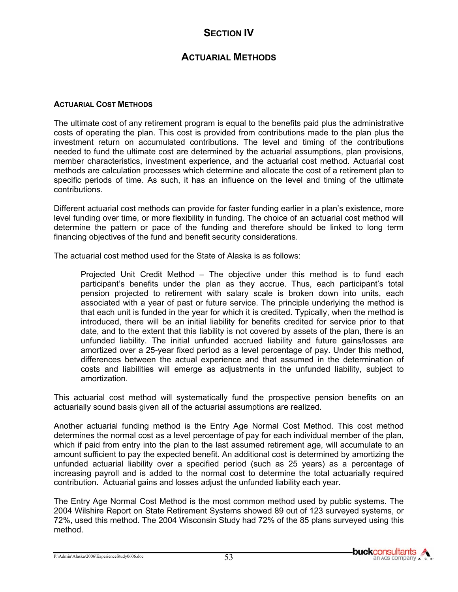# **SECTION IV**

## **ACTUARIAL METHODS**

#### **ACTUARIAL COST METHODS**

The ultimate cost of any retirement program is equal to the benefits paid plus the administrative costs of operating the plan. This cost is provided from contributions made to the plan plus the investment return on accumulated contributions. The level and timing of the contributions needed to fund the ultimate cost are determined by the actuarial assumptions, plan provisions, member characteristics, investment experience, and the actuarial cost method. Actuarial cost methods are calculation processes which determine and allocate the cost of a retirement plan to specific periods of time. As such, it has an influence on the level and timing of the ultimate contributions.

Different actuarial cost methods can provide for faster funding earlier in a plan's existence, more level funding over time, or more flexibility in funding. The choice of an actuarial cost method will determine the pattern or pace of the funding and therefore should be linked to long term financing objectives of the fund and benefit security considerations.

The actuarial cost method used for the State of Alaska is as follows:

Projected Unit Credit Method – The objective under this method is to fund each participant's benefits under the plan as they accrue. Thus, each participant's total pension projected to retirement with salary scale is broken down into units, each associated with a year of past or future service. The principle underlying the method is that each unit is funded in the year for which it is credited. Typically, when the method is introduced, there will be an initial liability for benefits credited for service prior to that date, and to the extent that this liability is not covered by assets of the plan, there is an unfunded liability. The initial unfunded accrued liability and future gains/losses are amortized over a 25-year fixed period as a level percentage of pay. Under this method, differences between the actual experience and that assumed in the determination of costs and liabilities will emerge as adjustments in the unfunded liability, subject to amortization.

This actuarial cost method will systematically fund the prospective pension benefits on an actuarially sound basis given all of the actuarial assumptions are realized.

Another actuarial funding method is the Entry Age Normal Cost Method. This cost method determines the normal cost as a level percentage of pay for each individual member of the plan, which if paid from entry into the plan to the last assumed retirement age, will accumulate to an amount sufficient to pay the expected benefit. An additional cost is determined by amortizing the unfunded actuarial liability over a specified period (such as 25 years) as a percentage of increasing payroll and is added to the normal cost to determine the total actuarially required contribution. Actuarial gains and losses adjust the unfunded liability each year.

The Entry Age Normal Cost Method is the most common method used by public systems. The 2004 Wilshire Report on State Retirement Systems showed 89 out of 123 surveyed systems, or 72%, used this method. The 2004 Wisconsin Study had 72% of the 85 plans surveyed using this method.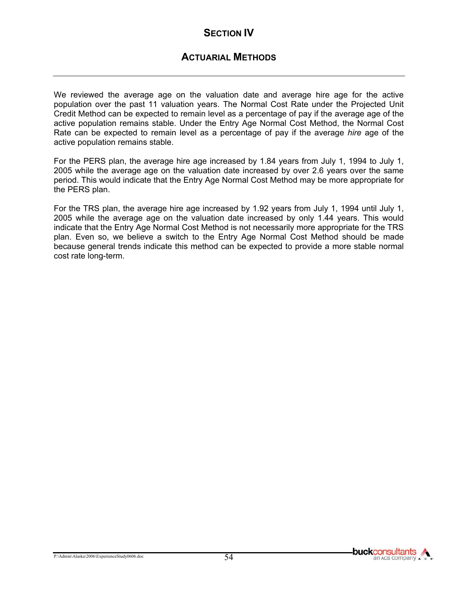# **SECTION IV**

## **ACTUARIAL METHODS**

We reviewed the average age on the valuation date and average hire age for the active population over the past 11 valuation years. The Normal Cost Rate under the Projected Unit Credit Method can be expected to remain level as a percentage of pay if the average age of the active population remains stable. Under the Entry Age Normal Cost Method, the Normal Cost Rate can be expected to remain level as a percentage of pay if the average *hire* age of the active population remains stable.

For the PERS plan, the average hire age increased by 1.84 years from July 1, 1994 to July 1, 2005 while the average age on the valuation date increased by over 2.6 years over the same period. This would indicate that the Entry Age Normal Cost Method may be more appropriate for the PERS plan.

For the TRS plan, the average hire age increased by 1.92 years from July 1, 1994 until July 1, 2005 while the average age on the valuation date increased by only 1.44 years. This would indicate that the Entry Age Normal Cost Method is not necessarily more appropriate for the TRS plan. Even so, we believe a switch to the Entry Age Normal Cost Method should be made because general trends indicate this method can be expected to provide a more stable normal cost rate long-term.

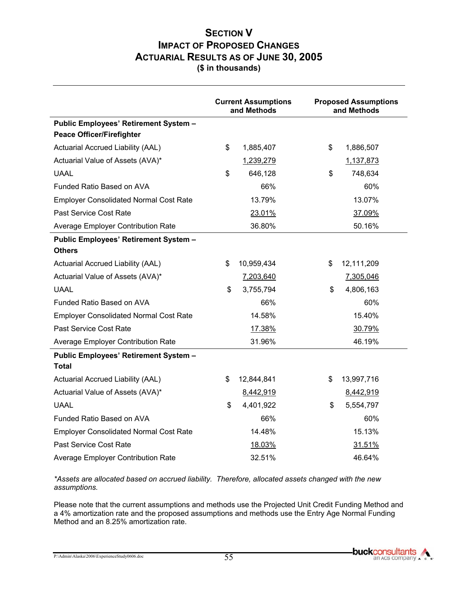## **SECTION V IMPACT OF PROPOSED CHANGES ACTUARIAL RESULTS AS OF JUNE 30, 2005 (\$ in thousands)**

|                                                                                  | <b>Current Assumptions</b><br>and Methods | <b>Proposed Assumptions</b><br>and Methods |  |
|----------------------------------------------------------------------------------|-------------------------------------------|--------------------------------------------|--|
| <b>Public Employees' Retirement System -</b><br><b>Peace Officer/Firefighter</b> |                                           |                                            |  |
| Actuarial Accrued Liability (AAL)                                                | \$<br>1,885,407                           | \$<br>1,886,507                            |  |
| Actuarial Value of Assets (AVA)*                                                 | 1,239,279                                 | 1,137,873                                  |  |
| <b>UAAL</b>                                                                      | \$<br>646,128                             | \$<br>748,634                              |  |
| Funded Ratio Based on AVA                                                        | 66%                                       | 60%                                        |  |
| <b>Employer Consolidated Normal Cost Rate</b>                                    | 13.79%                                    | 13.07%                                     |  |
| Past Service Cost Rate                                                           | 23.01%                                    | 37.09%                                     |  |
| Average Employer Contribution Rate                                               | 36.80%                                    | 50.16%                                     |  |
| <b>Public Employees' Retirement System -</b>                                     |                                           |                                            |  |
| <b>Others</b>                                                                    |                                           |                                            |  |
| Actuarial Accrued Liability (AAL)                                                | \$<br>10,959,434                          | \$<br>12,111,209                           |  |
| Actuarial Value of Assets (AVA)*                                                 | 7,203,640                                 | 7,305,046                                  |  |
| <b>UAAL</b>                                                                      | \$<br>3,755,794                           | \$<br>4,806,163                            |  |
| Funded Ratio Based on AVA                                                        | 66%                                       | 60%                                        |  |
| <b>Employer Consolidated Normal Cost Rate</b>                                    | 14.58%                                    | 15.40%                                     |  |
| Past Service Cost Rate                                                           | 17.38%                                    | 30.79%                                     |  |
| Average Employer Contribution Rate                                               | 31.96%                                    | 46.19%                                     |  |
| <b>Public Employees' Retirement System -</b>                                     |                                           |                                            |  |
| Total                                                                            |                                           |                                            |  |
| Actuarial Accrued Liability (AAL)                                                | \$<br>12,844,841                          | \$<br>13,997,716                           |  |
| Actuarial Value of Assets (AVA)*                                                 | 8,442,919                                 | 8,442,919                                  |  |
| <b>UAAL</b>                                                                      | \$<br>4,401,922                           | \$<br>5,554,797                            |  |
| Funded Ratio Based on AVA                                                        | 66%                                       | 60%                                        |  |
| <b>Employer Consolidated Normal Cost Rate</b>                                    | 14.48%                                    | 15.13%                                     |  |
| Past Service Cost Rate                                                           | 18.03%                                    | 31.51%                                     |  |
| Average Employer Contribution Rate                                               | 32.51%                                    | 46.64%                                     |  |

*\*Assets are allocated based on accrued liability. Therefore, allocated assets changed with the new assumptions.* 

Please note that the current assumptions and methods use the Projected Unit Credit Funding Method and a 4% amortization rate and the proposed assumptions and methods use the Entry Age Normal Funding Method and an 8.25% amortization rate.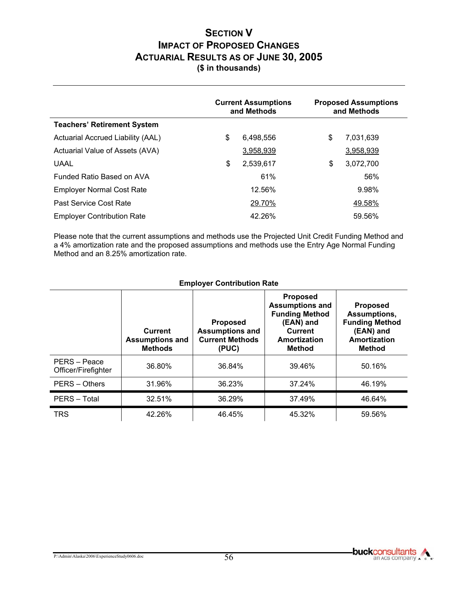## **SECTION V IMPACT OF PROPOSED CHANGES ACTUARIAL RESULTS AS OF JUNE 30, 2005 (\$ in thousands)**

|                                    | <b>Current Assumptions</b><br>and Methods | <b>Proposed Assumptions</b><br>and Methods |           |
|------------------------------------|-------------------------------------------|--------------------------------------------|-----------|
| <b>Teachers' Retirement System</b> |                                           |                                            |           |
| Actuarial Accrued Liability (AAL)  | \$<br>6,498,556                           | \$                                         | 7,031,639 |
| Actuarial Value of Assets (AVA)    | 3,958,939                                 |                                            | 3,958,939 |
| <b>UAAL</b>                        | \$<br>2,539,617                           | \$                                         | 3,072,700 |
| Funded Ratio Based on AVA          | 61%                                       |                                            | 56%       |
| <b>Employer Normal Cost Rate</b>   | 12.56%                                    |                                            | 9.98%     |
| Past Service Cost Rate             | 29.70%                                    |                                            | 49.58%    |
| <b>Employer Contribution Rate</b>  | 42.26%                                    |                                            | 59.56%    |

Please note that the current assumptions and methods use the Projected Unit Credit Funding Method and a 4% amortization rate and the proposed assumptions and methods use the Entry Age Normal Funding Method and an 8.25% amortization rate.

|                                     | <b>Current</b><br><b>Assumptions and</b><br><b>Methods</b> | <b>Proposed</b><br><b>Assumptions and</b><br><b>Current Methods</b><br>(PUC) | <b>Proposed</b><br><b>Assumptions and</b><br><b>Funding Method</b><br>(EAN) and<br><b>Current</b><br>Amortization<br>Method | <b>Proposed</b><br>Assumptions,<br><b>Funding Method</b><br>(EAN) and<br>Amortization<br>Method |
|-------------------------------------|------------------------------------------------------------|------------------------------------------------------------------------------|-----------------------------------------------------------------------------------------------------------------------------|-------------------------------------------------------------------------------------------------|
| PERS – Peace<br>Officer/Firefighter | 36.80%                                                     | 36.84%                                                                       | 39.46%                                                                                                                      | 50.16%                                                                                          |
| <b>PERS - Others</b>                | 31.96%                                                     | 36.23%                                                                       | 37.24%                                                                                                                      | 46.19%                                                                                          |
| PERS - Total                        | 32.51%                                                     | 36.29%                                                                       | 37.49%                                                                                                                      | 46.64%                                                                                          |
| <b>TRS</b>                          | 42.26%                                                     | 46.45%                                                                       | 45.32%                                                                                                                      | 59.56%                                                                                          |

#### **Employer Contribution Rate**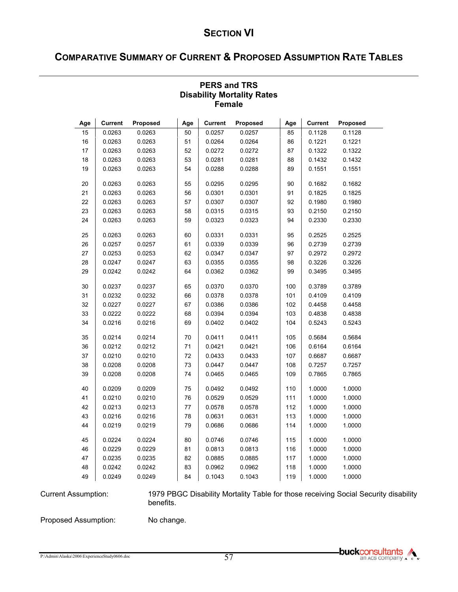# **COMPARATIVE SUMMARY OF CURRENT & PROPOSED ASSUMPTION RATE TABLES**

|     | סווומוס        |          |     |                |          |     |                |          |  |  |  |
|-----|----------------|----------|-----|----------------|----------|-----|----------------|----------|--|--|--|
| Age | <b>Current</b> | Proposed | Age | <b>Current</b> | Proposed | Age | <b>Current</b> | Proposed |  |  |  |
| 15  | 0.0263         | 0.0263   | 50  | 0.0257         | 0.0257   | 85  | 0.1128         | 0.1128   |  |  |  |
| 16  | 0.0263         | 0.0263   | 51  | 0.0264         | 0.0264   | 86  | 0.1221         | 0.1221   |  |  |  |
| 17  | 0.0263         | 0.0263   | 52  | 0.0272         | 0.0272   | 87  | 0.1322         | 0.1322   |  |  |  |
| 18  | 0.0263         | 0.0263   | 53  | 0.0281         | 0.0281   | 88  | 0.1432         | 0.1432   |  |  |  |
| 19  | 0.0263         | 0.0263   | 54  | 0.0288         | 0.0288   | 89  | 0.1551         | 0.1551   |  |  |  |
| 20  | 0.0263         | 0.0263   | 55  | 0.0295         | 0.0295   | 90  | 0.1682         | 0.1682   |  |  |  |
| 21  | 0.0263         | 0.0263   | 56  | 0.0301         | 0.0301   | 91  | 0.1825         | 0.1825   |  |  |  |
| 22  | 0.0263         | 0.0263   | 57  | 0.0307         | 0.0307   | 92  | 0.1980         | 0.1980   |  |  |  |
| 23  | 0.0263         | 0.0263   | 58  | 0.0315         | 0.0315   | 93  | 0.2150         | 0.2150   |  |  |  |
| 24  | 0.0263         | 0.0263   | 59  | 0.0323         | 0.0323   | 94  | 0.2330         | 0.2330   |  |  |  |
| 25  | 0.0263         | 0.0263   | 60  | 0.0331         | 0.0331   | 95  | 0.2525         | 0.2525   |  |  |  |
| 26  | 0.0257         | 0.0257   | 61  | 0.0339         | 0.0339   | 96  | 0.2739         | 0.2739   |  |  |  |
| 27  | 0.0253         | 0.0253   | 62  | 0.0347         | 0.0347   | 97  | 0.2972         | 0.2972   |  |  |  |
| 28  | 0.0247         | 0.0247   | 63  | 0.0355         | 0.0355   | 98  | 0.3226         | 0.3226   |  |  |  |
| 29  | 0.0242         | 0.0242   | 64  | 0.0362         | 0.0362   | 99  | 0.3495         | 0.3495   |  |  |  |
| 30  | 0.0237         | 0.0237   | 65  | 0.0370         | 0.0370   | 100 | 0.3789         | 0.3789   |  |  |  |
| 31  | 0.0232         | 0.0232   | 66  | 0.0378         | 0.0378   | 101 | 0.4109         | 0.4109   |  |  |  |
| 32  | 0.0227         | 0.0227   | 67  | 0.0386         | 0.0386   | 102 | 0.4458         | 0.4458   |  |  |  |
| 33  | 0.0222         | 0.0222   | 68  | 0.0394         | 0.0394   | 103 | 0.4838         | 0.4838   |  |  |  |
| 34  | 0.0216         | 0.0216   | 69  | 0.0402         | 0.0402   | 104 | 0.5243         | 0.5243   |  |  |  |
| 35  | 0.0214         | 0.0214   | 70  | 0.0411         | 0.0411   | 105 | 0.5684         | 0.5684   |  |  |  |
| 36  | 0.0212         | 0.0212   | 71  | 0.0421         | 0.0421   | 106 | 0.6164         | 0.6164   |  |  |  |
| 37  | 0.0210         | 0.0210   | 72  | 0.0433         | 0.0433   | 107 | 0.6687         | 0.6687   |  |  |  |
| 38  | 0.0208         | 0.0208   | 73  | 0.0447         | 0.0447   | 108 | 0.7257         | 0.7257   |  |  |  |
| 39  | 0.0208         | 0.0208   | 74  | 0.0465         | 0.0465   | 109 | 0.7865         | 0.7865   |  |  |  |
| 40  | 0.0209         | 0.0209   | 75  | 0.0492         | 0.0492   | 110 | 1.0000         | 1.0000   |  |  |  |
| 41  | 0.0210         | 0.0210   | 76  | 0.0529         | 0.0529   | 111 | 1.0000         | 1.0000   |  |  |  |
| 42  | 0.0213         | 0.0213   | 77  | 0.0578         | 0.0578   | 112 | 1.0000         | 1.0000   |  |  |  |
| 43  | 0.0216         | 0.0216   | 78  | 0.0631         | 0.0631   | 113 | 1.0000         | 1.0000   |  |  |  |
| 44  | 0.0219         | 0.0219   | 79  | 0.0686         | 0.0686   | 114 | 1.0000         | 1.0000   |  |  |  |
| 45  | 0.0224         | 0.0224   | 80  | 0.0746         | 0.0746   | 115 | 1.0000         | 1.0000   |  |  |  |
| 46  | 0.0229         | 0.0229   | 81  | 0.0813         | 0.0813   | 116 | 1.0000         | 1.0000   |  |  |  |
| 47  | 0.0235         | 0.0235   | 82  | 0.0885         | 0.0885   | 117 | 1.0000         | 1.0000   |  |  |  |
| 48  | 0.0242         | 0.0242   | 83  | 0.0962         | 0.0962   | 118 | 1.0000         | 1.0000   |  |  |  |
| 49  | 0.0249         | 0.0249   | 84  | 0.1043         | 0.1043   | 119 | 1.0000         | 1.0000   |  |  |  |

#### **PERS and TRS Disability Mortality Rates Female**

Current Assumption: 1979 PBGC Disability Mortality Table for those receiving Social Security disability benefits.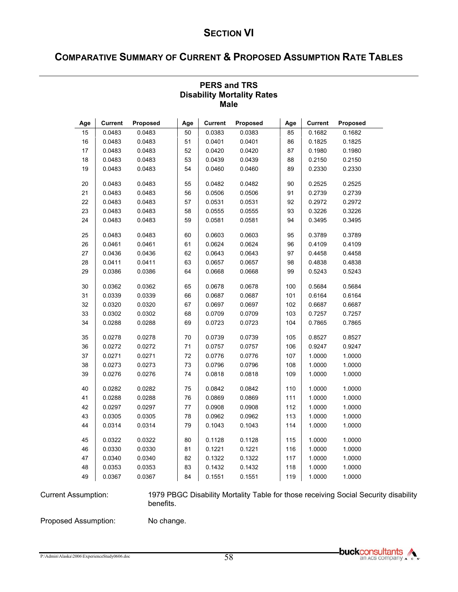# **COMPARATIVE SUMMARY OF CURRENT & PROPOSED ASSUMPTION RATE TABLES**

|     | <b>IVIAIC</b>  |          |     |                |          |     |                |          |  |  |  |
|-----|----------------|----------|-----|----------------|----------|-----|----------------|----------|--|--|--|
| Age | <b>Current</b> | Proposed | Age | <b>Current</b> | Proposed | Age | <b>Current</b> | Proposed |  |  |  |
| 15  | 0.0483         | 0.0483   | 50  | 0.0383         | 0.0383   | 85  | 0.1682         | 0.1682   |  |  |  |
| 16  | 0.0483         | 0.0483   | 51  | 0.0401         | 0.0401   | 86  | 0.1825         | 0.1825   |  |  |  |
| 17  | 0.0483         | 0.0483   | 52  | 0.0420         | 0.0420   | 87  | 0.1980         | 0.1980   |  |  |  |
| 18  | 0.0483         | 0.0483   | 53  | 0.0439         | 0.0439   | 88  | 0.2150         | 0.2150   |  |  |  |
| 19  | 0.0483         | 0.0483   | 54  | 0.0460         | 0.0460   | 89  | 0.2330         | 0.2330   |  |  |  |
| 20  | 0.0483         | 0.0483   | 55  | 0.0482         | 0.0482   | 90  | 0.2525         | 0.2525   |  |  |  |
| 21  | 0.0483         | 0.0483   | 56  | 0.0506         | 0.0506   | 91  | 0.2739         | 0.2739   |  |  |  |
| 22  | 0.0483         | 0.0483   | 57  | 0.0531         | 0.0531   | 92  | 0.2972         | 0.2972   |  |  |  |
| 23  | 0.0483         | 0.0483   | 58  | 0.0555         | 0.0555   | 93  | 0.3226         | 0.3226   |  |  |  |
| 24  | 0.0483         | 0.0483   | 59  | 0.0581         | 0.0581   | 94  | 0.3495         | 0.3495   |  |  |  |
| 25  | 0.0483         | 0.0483   | 60  | 0.0603         | 0.0603   | 95  | 0.3789         | 0.3789   |  |  |  |
| 26  | 0.0461         | 0.0461   | 61  | 0.0624         | 0.0624   | 96  | 0.4109         | 0.4109   |  |  |  |
| 27  | 0.0436         | 0.0436   | 62  | 0.0643         | 0.0643   | 97  | 0.4458         | 0.4458   |  |  |  |
| 28  | 0.0411         | 0.0411   | 63  | 0.0657         | 0.0657   | 98  | 0.4838         | 0.4838   |  |  |  |
| 29  | 0.0386         | 0.0386   | 64  | 0.0668         | 0.0668   | 99  | 0.5243         | 0.5243   |  |  |  |
| 30  | 0.0362         | 0.0362   | 65  | 0.0678         | 0.0678   | 100 | 0.5684         | 0.5684   |  |  |  |
| 31  | 0.0339         | 0.0339   | 66  | 0.0687         | 0.0687   | 101 | 0.6164         | 0.6164   |  |  |  |
| 32  | 0.0320         | 0.0320   | 67  | 0.0697         | 0.0697   | 102 | 0.6687         | 0.6687   |  |  |  |
| 33  | 0.0302         | 0.0302   | 68  | 0.0709         | 0.0709   | 103 | 0.7257         | 0.7257   |  |  |  |
| 34  | 0.0288         | 0.0288   | 69  | 0.0723         | 0.0723   | 104 | 0.7865         | 0.7865   |  |  |  |
| 35  | 0.0278         | 0.0278   | 70  | 0.0739         | 0.0739   | 105 | 0.8527         | 0.8527   |  |  |  |
| 36  | 0.0272         | 0.0272   | 71  | 0.0757         | 0.0757   | 106 | 0.9247         | 0.9247   |  |  |  |
| 37  | 0.0271         | 0.0271   | 72  | 0.0776         | 0.0776   | 107 | 1.0000         | 1.0000   |  |  |  |
| 38  | 0.0273         | 0.0273   | 73  | 0.0796         | 0.0796   | 108 | 1.0000         | 1.0000   |  |  |  |
| 39  | 0.0276         | 0.0276   | 74  | 0.0818         | 0.0818   | 109 | 1.0000         | 1.0000   |  |  |  |
| 40  | 0.0282         | 0.0282   | 75  | 0.0842         | 0.0842   | 110 | 1.0000         | 1.0000   |  |  |  |
| 41  | 0.0288         | 0.0288   | 76  | 0.0869         | 0.0869   | 111 | 1.0000         | 1.0000   |  |  |  |
| 42  | 0.0297         | 0.0297   | 77  | 0.0908         | 0.0908   | 112 | 1.0000         | 1.0000   |  |  |  |
| 43  | 0.0305         | 0.0305   | 78  | 0.0962         | 0.0962   | 113 | 1.0000         | 1.0000   |  |  |  |
| 44  | 0.0314         | 0.0314   | 79  | 0.1043         | 0.1043   | 114 | 1.0000         | 1.0000   |  |  |  |
| 45  | 0.0322         | 0.0322   | 80  | 0.1128         | 0.1128   | 115 | 1.0000         | 1.0000   |  |  |  |
| 46  | 0.0330         | 0.0330   | 81  | 0.1221         | 0.1221   | 116 | 1.0000         | 1.0000   |  |  |  |
| 47  | 0.0340         | 0.0340   | 82  | 0.1322         | 0.1322   | 117 | 1.0000         | 1.0000   |  |  |  |
| 48  | 0.0353         | 0.0353   | 83  | 0.1432         | 0.1432   | 118 | 1.0000         | 1.0000   |  |  |  |
| 49  | 0.0367         | 0.0367   | 84  | 0.1551         | 0.1551   | 119 | 1.0000         | 1.0000   |  |  |  |

#### **PERS and TRS Disability Mortality Rates Male**

Current Assumption: 1979 PBGC Disability Mortality Table for those receiving Social Security disability benefits.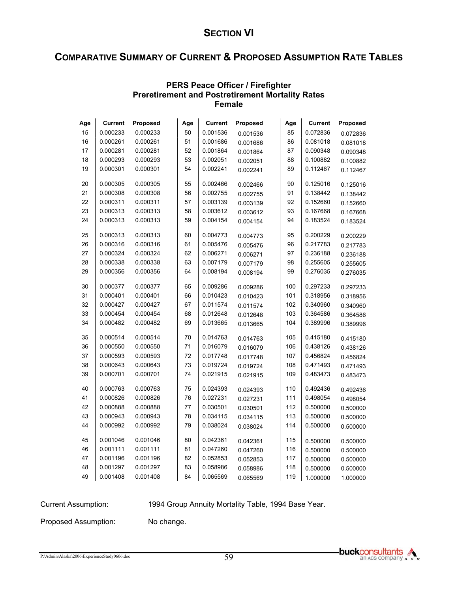# **COMPARATIVE SUMMARY OF CURRENT & PROPOSED ASSUMPTION RATE TABLES**

|     | <b>Female</b>  |          |     |                |                 |     |                |          |  |  |  |
|-----|----------------|----------|-----|----------------|-----------------|-----|----------------|----------|--|--|--|
| Age | <b>Current</b> | Proposed | Age | <b>Current</b> | <b>Proposed</b> | Age | <b>Current</b> | Proposed |  |  |  |
| 15  | 0.000233       | 0.000233 | 50  | 0.001536       | 0.001536        | 85  | 0.072836       | 0.072836 |  |  |  |
| 16  | 0.000261       | 0.000261 | 51  | 0.001686       | 0.001686        | 86  | 0.081018       | 0.081018 |  |  |  |
| 17  | 0.000281       | 0.000281 | 52  | 0.001864       | 0.001864        | 87  | 0.090348       | 0.090348 |  |  |  |
| 18  | 0.000293       | 0.000293 | 53  | 0.002051       | 0.002051        | 88  | 0.100882       | 0.100882 |  |  |  |
| 19  | 0.000301       | 0.000301 | 54  | 0.002241       | 0.002241        | 89  | 0.112467       | 0.112467 |  |  |  |
| 20  | 0.000305       | 0.000305 | 55  | 0.002466       | 0.002466        | 90  | 0.125016       | 0.125016 |  |  |  |
| 21  | 0.000308       | 0.000308 | 56  | 0.002755       | 0.002755        | 91  | 0.138442       | 0.138442 |  |  |  |
| 22  | 0.000311       | 0.000311 | 57  | 0.003139       | 0.003139        | 92  | 0.152660       | 0.152660 |  |  |  |
| 23  | 0.000313       | 0.000313 | 58  | 0.003612       | 0.003612        | 93  | 0.167668       | 0.167668 |  |  |  |
| 24  | 0.000313       | 0.000313 | 59  | 0.004154       | 0.004154        | 94  | 0.183524       | 0.183524 |  |  |  |
| 25  | 0.000313       | 0.000313 | 60  | 0.004773       | 0.004773        | 95  | 0.200229       | 0.200229 |  |  |  |
| 26  | 0.000316       | 0.000316 | 61  | 0.005476       | 0.005476        | 96  | 0.217783       | 0.217783 |  |  |  |
| 27  | 0.000324       | 0.000324 | 62  | 0.006271       | 0.006271        | 97  | 0.236188       | 0.236188 |  |  |  |
| 28  | 0.000338       | 0.000338 | 63  | 0.007179       | 0.007179        | 98  | 0.255605       | 0.255605 |  |  |  |
| 29  | 0.000356       | 0.000356 | 64  | 0.008194       | 0.008194        | 99  | 0.276035       | 0.276035 |  |  |  |
| 30  | 0.000377       | 0.000377 | 65  | 0.009286       | 0.009286        | 100 | 0.297233       | 0.297233 |  |  |  |
| 31  | 0.000401       | 0.000401 | 66  | 0.010423       | 0.010423        | 101 | 0.318956       | 0.318956 |  |  |  |
| 32  | 0.000427       | 0.000427 | 67  | 0.011574       | 0.011574        | 102 | 0.340960       | 0.340960 |  |  |  |
| 33  | 0.000454       | 0.000454 | 68  | 0.012648       | 0.012648        | 103 | 0.364586       | 0.364586 |  |  |  |
| 34  | 0.000482       | 0.000482 | 69  | 0.013665       | 0.013665        | 104 | 0.389996       | 0.389996 |  |  |  |
| 35  | 0.000514       | 0.000514 | 70  | 0.014763       | 0.014763        | 105 | 0.415180       | 0.415180 |  |  |  |
| 36  | 0.000550       | 0.000550 | 71  | 0.016079       | 0.016079        | 106 | 0.438126       | 0.438126 |  |  |  |
| 37  | 0.000593       | 0.000593 | 72  | 0.017748       | 0.017748        | 107 | 0.456824       | 0.456824 |  |  |  |
| 38  | 0.000643       | 0.000643 | 73  | 0.019724       | 0.019724        | 108 | 0.471493       | 0.471493 |  |  |  |
| 39  | 0.000701       | 0.000701 | 74  | 0.021915       | 0.021915        | 109 | 0.483473       | 0.483473 |  |  |  |
| 40  | 0.000763       | 0.000763 | 75  | 0.024393       | 0.024393        | 110 | 0.492436       | 0.492436 |  |  |  |
| 41  | 0.000826       | 0.000826 | 76  | 0.027231       | 0.027231        | 111 | 0.498054       | 0.498054 |  |  |  |
| 42  | 0.000888       | 0.000888 | 77  | 0.030501       | 0.030501        | 112 | 0.500000       | 0.500000 |  |  |  |
| 43  | 0.000943       | 0.000943 | 78  | 0.034115       | 0.034115        | 113 | 0.500000       | 0.500000 |  |  |  |
| 44  | 0.000992       | 0.000992 | 79  | 0.038024       | 0.038024        | 114 | 0.500000       | 0.500000 |  |  |  |
| 45  | 0.001046       | 0.001046 | 80  | 0.042361       | 0.042361        | 115 | 0.500000       | 0.500000 |  |  |  |
| 46  | 0.001111       | 0.001111 | 81  | 0.047260       | 0.047260        | 116 | 0.500000       | 0.500000 |  |  |  |
| 47  | 0.001196       | 0.001196 | 82  | 0.052853       | 0.052853        | 117 | 0.500000       | 0.500000 |  |  |  |
| 48  | 0.001297       | 0.001297 | 83  | 0.058986       | 0.058986        | 118 | 0.500000       | 0.500000 |  |  |  |
| 49  | 0.001408       | 0.001408 | 84  | 0.065569       | 0.065569        | 119 | 1.000000       | 1.000000 |  |  |  |

#### **PERS Peace Officer / Firefighter Preretirement and Postretirement Mortality Rates Female**

Current Assumption: 1994 Group Annuity Mortality Table, 1994 Base Year.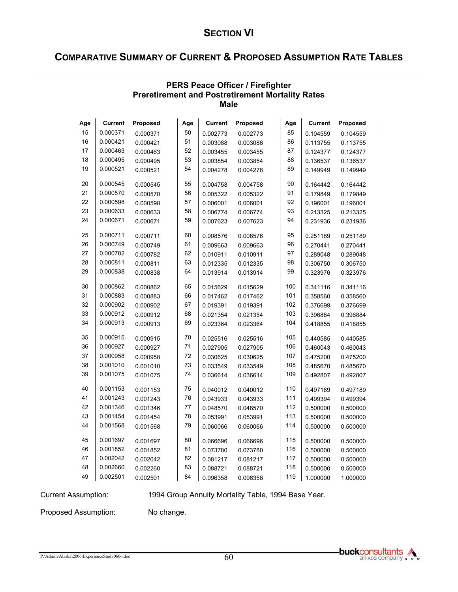# **COMPARATIVE SUMMARY OF CURRENT & PROPOSED ASSUMPTION RATE TABLES**

|     | <b>Male</b>    |          |     |                |          |     |                |                 |  |  |  |
|-----|----------------|----------|-----|----------------|----------|-----|----------------|-----------------|--|--|--|
| Age | <b>Current</b> | Proposed | Age | <b>Current</b> | Proposed | Age | <b>Current</b> | <b>Proposed</b> |  |  |  |
| 15  | 0.000371       | 0.000371 | 50  | 0.002773       | 0.002773 | 85  | 0.104559       | 0.104559        |  |  |  |
| 16  | 0.000421       | 0.000421 | 51  | 0.003088       | 0.003088 | 86  | 0.113755       | 0.113755        |  |  |  |
| 17  | 0.000463       | 0.000463 | 52  | 0.003455       | 0.003455 | 87  | 0.124377       | 0.124377        |  |  |  |
| 18  | 0.000495       | 0.000495 | 53  | 0.003854       | 0.003854 | 88  | 0.136537       | 0.136537        |  |  |  |
| 19  | 0.000521       | 0.000521 | 54  | 0.004278       | 0.004278 | 89  | 0.149949       | 0.149949        |  |  |  |
| 20  | 0.000545       | 0.000545 | 55  | 0.004758       | 0.004758 | 90  | 0.164442       | 0.164442        |  |  |  |
| 21  | 0.000570       | 0.000570 | 56  | 0.005322       | 0.005322 | 91  | 0.179849       | 0.179849        |  |  |  |
| 22  | 0.000598       | 0.000598 | 57  | 0.006001       | 0.006001 | 92  | 0.196001       | 0.196001        |  |  |  |
| 23  | 0.000633       | 0.000633 | 58  | 0.006774       | 0.006774 | 93  | 0.213325       | 0.213325        |  |  |  |
| 24  | 0.000671       | 0.000671 | 59  | 0.007623       | 0.007623 | 94  | 0.231936       | 0.231936        |  |  |  |
| 25  | 0.000711       | 0.000711 | 60  | 0.008576       | 0.008576 | 95  | 0.251189       | 0.251189        |  |  |  |
| 26  | 0.000749       | 0.000749 | 61  | 0.009663       | 0.009663 | 96  | 0.270441       | 0.270441        |  |  |  |
| 27  | 0.000782       | 0.000782 | 62  | 0.010911       | 0.010911 | 97  | 0.289048       | 0.289048        |  |  |  |
| 28  | 0.000811       | 0.000811 | 63  | 0.012335       | 0.012335 | 98  | 0.306750       | 0.306750        |  |  |  |
| 29  | 0.000838       | 0.000838 | 64  | 0.013914       | 0.013914 | 99  | 0.323976       | 0.323976        |  |  |  |
| 30  | 0.000862       | 0.000862 | 65  | 0.015629       | 0.015629 | 100 | 0.341116       | 0.341116        |  |  |  |
| 31  | 0.000883       | 0.000883 | 66  | 0.017462       | 0.017462 | 101 | 0.358560       | 0.358560        |  |  |  |
| 32  | 0.000902       | 0.000902 | 67  | 0.019391       | 0.019391 | 102 | 0.376699       | 0.376699        |  |  |  |
| 33  | 0.000912       | 0.000912 | 68  | 0.021354       | 0.021354 | 103 | 0.396884       | 0.396884        |  |  |  |
| 34  | 0.000913       | 0.000913 | 69  | 0.023364       | 0.023364 | 104 | 0.418855       | 0.418855        |  |  |  |
| 35  | 0.000915       | 0.000915 | 70  | 0.025516       | 0.025516 | 105 | 0.440585       | 0.440585        |  |  |  |
| 36  | 0.000927       | 0.000927 | 71  | 0.027905       | 0.027905 | 106 | 0.460043       | 0.460043        |  |  |  |
| 37  | 0.000958       | 0.000958 | 72  | 0.030625       | 0.030625 | 107 | 0.475200       | 0.475200        |  |  |  |
| 38  | 0.001010       | 0.001010 | 73  | 0.033549       | 0.033549 | 108 | 0.485670       | 0.485670        |  |  |  |
| 39  | 0.001075       | 0.001075 | 74  | 0.036614       | 0.036614 | 109 | 0.492807       | 0.492807        |  |  |  |
| 40  | 0.001153       | 0.001153 | 75  | 0.040012       | 0.040012 | 110 | 0.497189       | 0.497189        |  |  |  |
| 41  | 0.001243       | 0.001243 | 76  | 0.043933       | 0.043933 | 111 | 0.499394       | 0.499394        |  |  |  |
| 42  | 0.001346       | 0.001346 | 77  | 0.048570       | 0.048570 | 112 | 0.500000       | 0.500000        |  |  |  |
| 43  | 0.001454       | 0.001454 | 78  | 0.053991       | 0.053991 | 113 | 0.500000       | 0.500000        |  |  |  |
| 44  | 0.001568       | 0.001568 | 79  | 0.060066       | 0.060066 | 114 | 0.500000       | 0.500000        |  |  |  |
| 45  | 0.001697       | 0.001697 | 80  | 0.066696       | 0.066696 | 115 | 0.500000       | 0.500000        |  |  |  |
| 46  | 0.001852       | 0.001852 | 81  | 0.073780       | 0.073780 | 116 | 0.500000       | 0.500000        |  |  |  |
| 47  | 0.002042       | 0.002042 | 82  | 0.081217       | 0.081217 | 117 | 0.500000       | 0.500000        |  |  |  |
| 48  | 0.002660       | 0.002260 | 83  | 0.088721       | 0.088721 | 118 | 0.500000       | 0.500000        |  |  |  |
| 49  | 0.002501       | 0.002501 | 84  | 0.096358       | 0.096358 | 119 | 1.000000       | 1.000000        |  |  |  |

#### **PERS Peace Officer / Firefighter Preretirement and Postretirement Mortality Rates Male**

Current Assumption: 1994 Group Annuity Mortality Table, 1994 Base Year.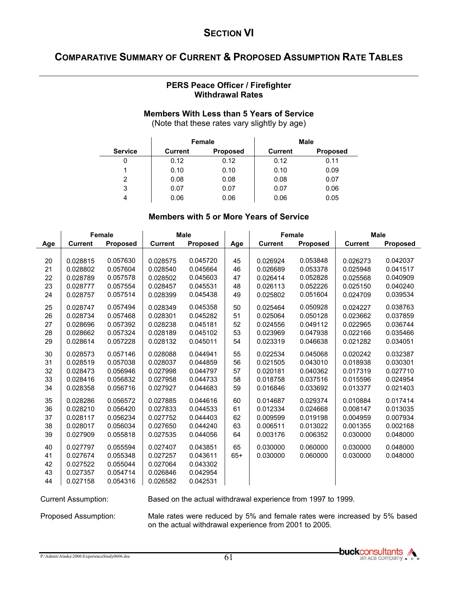## **COMPARATIVE SUMMARY OF CURRENT & PROPOSED ASSUMPTION RATE TABLES**

#### **PERS Peace Officer / Firefighter Withdrawal Rates**

#### **Members With Less than 5 Years of Service**

(Note that these rates vary slightly by age)

|                |                | Female          |                | <b>Male</b>     |
|----------------|----------------|-----------------|----------------|-----------------|
| <b>Service</b> | <b>Current</b> | <b>Proposed</b> | <b>Current</b> | <b>Proposed</b> |
| 0              | 0.12           | 0.12            | 0.12           | 0.11            |
|                | 0.10           | 0.10            | 0.10           | 0.09            |
| 2              | 0.08           | 0.08            | 0.08           | 0.07            |
| 3              | 0.07           | 0.07            | 0.07           | 0.06            |
|                | 0.06           | 0.06            | 0.06           | 0.05            |

#### **Members with 5 or More Years of Service**

|                            |                                                          | <b>Female</b>                                            | <b>Male</b>                                              |                                                          |             | Female               |                      |                      | <b>Male</b>          |
|----------------------------|----------------------------------------------------------|----------------------------------------------------------|----------------------------------------------------------|----------------------------------------------------------|-------------|----------------------|----------------------|----------------------|----------------------|
| Age                        | <b>Current</b>                                           | <b>Proposed</b>                                          | <b>Current</b>                                           | <b>Proposed</b>                                          | Age         | <b>Current</b>       | Proposed             | <b>Current</b>       | Proposed             |
| 20                         | 0.028815                                                 | 0.057630                                                 | 0.028575                                                 | 0.045720                                                 | 45          | 0.026924             | 0.053848             | 0.026273             | 0.042037             |
| 21                         | 0.028802                                                 | 0.057604                                                 | 0.028540                                                 | 0.045664                                                 | 46          | 0.026689             | 0.053378             | 0.025948             | 0.041517             |
| 22                         | 0.028789                                                 | 0.057578                                                 | 0.028502                                                 | 0.045603                                                 | 47          | 0.026414             | 0.052828             | 0.025568             | 0.040909             |
| 23                         | 0.028777                                                 | 0.057554                                                 | 0.028457                                                 | 0.045531                                                 | 48          | 0.026113             | 0.052226             | 0.025150             | 0.040240             |
| 24                         | 0.028757                                                 | 0.057514                                                 | 0.028399                                                 | 0.045438                                                 | 49          | 0.025802             | 0.051604             | 0.024709             | 0.039534             |
| 25                         | 0.028747                                                 | 0.057494                                                 | 0.028349                                                 | 0.045358                                                 | 50          | 0.025464             | 0.050928             | 0.024227             | 0.038763             |
| 26                         | 0.028734                                                 | 0.057468                                                 | 0.028301                                                 | 0.045282                                                 | 51          | 0.025064             | 0.050128             | 0.023662             | 0.037859             |
| 27                         | 0.028696                                                 | 0.057392                                                 | 0.028238                                                 | 0.045181                                                 | 52          | 0.024556             | 0.049112             | 0.022965             | 0.036744             |
| 28                         | 0.028662                                                 | 0.057324                                                 | 0.028189                                                 | 0.045102                                                 | 53          | 0.023969             | 0.047938             | 0.022166             | 0.035466             |
| 29                         | 0.028614                                                 | 0.057228                                                 | 0.028132                                                 | 0.045011                                                 | 54          | 0.023319             | 0.046638             | 0.021282             | 0.034051             |
| 30                         | 0.028573                                                 | 0.057146                                                 | 0.028088                                                 | 0.044941                                                 | 55          | 0.022534             | 0.045068             | 0.020242             | 0.032387             |
| 31                         | 0.028519                                                 | 0.057038                                                 | 0.028037                                                 | 0.044859                                                 | 56          | 0.021505             | 0.043010             | 0.018938             | 0.030301             |
| 32                         | 0.028473                                                 | 0.056946                                                 | 0.027998                                                 | 0.044797                                                 | 57          | 0.020181             | 0.040362             | 0.017319             | 0.027710             |
| 33                         | 0.028416                                                 | 0.056832                                                 | 0.027958                                                 | 0.044733                                                 | 58          | 0.018758             | 0.037516             | 0.015596             | 0.024954             |
| 34                         | 0.028358                                                 | 0.056716                                                 | 0.027927                                                 | 0.044683                                                 | 59          | 0.016846             | 0.033692             | 0.013377             | 0.021403             |
| 35                         | 0.028286                                                 | 0.056572                                                 | 0.027885                                                 | 0.044616                                                 | 60          | 0.014687             | 0.029374             | 0.010884             | 0.017414             |
| 36                         | 0.028210                                                 | 0.056420                                                 | 0.027833                                                 | 0.044533                                                 | 61          | 0.012334             | 0.024668             | 0.008147             | 0.013035             |
| 37                         | 0.028117                                                 | 0.056234                                                 | 0.027752                                                 | 0.044403                                                 | 62          | 0.009599             | 0.019198             | 0.004959             | 0.007934             |
| 38                         | 0.028017                                                 | 0.056034                                                 | 0.027650                                                 | 0.044240                                                 | 63          | 0.006511             | 0.013022             | 0.001355             | 0.002168             |
| 39                         | 0.027909                                                 | 0.055818                                                 | 0.027535                                                 | 0.044056                                                 | 64          | 0.003176             | 0.006352             | 0.030000             | 0.048000             |
| 40<br>41<br>42<br>43<br>44 | 0.027797<br>0.027674<br>0.027522<br>0.027357<br>0.027158 | 0.055594<br>0.055348<br>0.055044<br>0.054714<br>0.054316 | 0.027407<br>0.027257<br>0.027064<br>0.026846<br>0.026582 | 0.043851<br>0.043611<br>0.043302<br>0.042954<br>0.042531 | 65<br>$65+$ | 0.030000<br>0.030000 | 0.060000<br>0.060000 | 0.030000<br>0.030000 | 0.048000<br>0.048000 |

Current Assumption: Based on the actual withdrawal experience from 1997 to 1999.

Proposed Assumption: Male rates were reduced by 5% and female rates were increased by 5% based on the actual withdrawal experience from 2001 to 2005.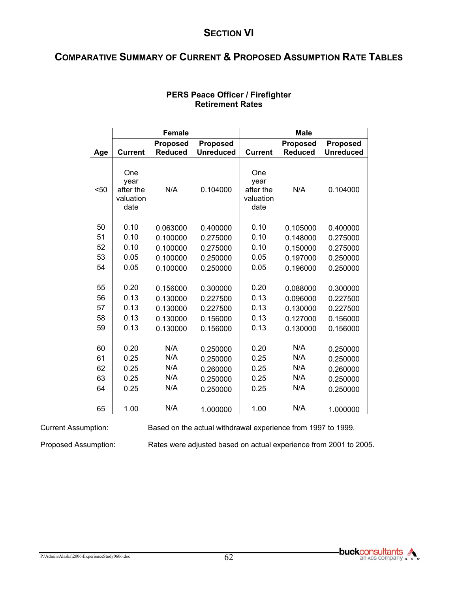# **COMPARATIVE SUMMARY OF CURRENT & PROPOSED ASSUMPTION RATE TABLES**

|      |                                               | <b>Female</b>                     |                                     |                                               | <b>Male</b>                       |                                     |
|------|-----------------------------------------------|-----------------------------------|-------------------------------------|-----------------------------------------------|-----------------------------------|-------------------------------------|
| Age  | <b>Current</b>                                | <b>Proposed</b><br><b>Reduced</b> | <b>Proposed</b><br><b>Unreduced</b> | <b>Current</b>                                | <b>Proposed</b><br><b>Reduced</b> | <b>Proposed</b><br><b>Unreduced</b> |
|      |                                               |                                   |                                     |                                               |                                   |                                     |
| $50$ | One<br>year<br>after the<br>valuation<br>date | N/A                               | 0.104000                            | One<br>year<br>after the<br>valuation<br>date | N/A                               | 0.104000                            |
| 50   | 0.10                                          | 0.063000                          | 0.400000                            | 0.10                                          | 0.105000                          | 0.400000                            |
| 51   | 0.10                                          | 0.100000                          | 0.275000                            | 0.10                                          | 0.148000                          | 0.275000                            |
| 52   | 0.10                                          | 0.100000                          | 0.275000                            | 0.10                                          | 0.150000                          | 0.275000                            |
| 53   | 0.05                                          | 0.100000                          | 0.250000                            | 0.05                                          | 0.197000                          | 0.250000                            |
| 54   | 0.05                                          | 0.100000                          | 0.250000                            | 0.05                                          | 0.196000                          | 0.250000                            |
|      |                                               |                                   |                                     |                                               |                                   |                                     |
| 55   | 0.20                                          | 0.156000                          | 0.300000                            | 0.20                                          | 0.088000                          | 0.300000                            |
| 56   | 0.13                                          | 0.130000                          | 0.227500                            | 0.13                                          | 0.096000                          | 0.227500                            |
| 57   | 0.13                                          | 0.130000                          | 0.227500                            | 0.13                                          | 0.130000                          | 0.227500                            |
| 58   | 0.13                                          | 0.130000                          | 0.156000                            | 0.13                                          | 0.127000                          | 0.156000                            |
| 59   | 0.13                                          | 0.130000                          | 0.156000                            | 0.13                                          | 0.130000                          | 0.156000                            |
|      |                                               |                                   |                                     |                                               |                                   |                                     |
| 60   | 0.20                                          | N/A                               | 0.250000                            | 0.20                                          | N/A                               | 0.250000                            |
| 61   | 0.25                                          | N/A                               | 0.250000                            | 0.25                                          | N/A                               | 0.250000                            |
| 62   | 0.25                                          | N/A                               | 0.260000                            | 0.25                                          | N/A                               | 0.260000                            |
| 63   | 0.25                                          | N/A                               | 0.250000                            | 0.25                                          | N/A                               | 0.250000                            |
| 64   | 0.25                                          | N/A                               | 0.250000                            | 0.25                                          | N/A                               | 0.250000                            |
| 65   | 1.00                                          | N/A                               | 1.000000                            | 1.00                                          | N/A                               | 1.000000                            |

#### **PERS Peace Officer / Firefighter Retirement Rates**

Current Assumption: Based on the actual withdrawal experience from 1997 to 1999.

Proposed Assumption: Rates were adjusted based on actual experience from 2001 to 2005.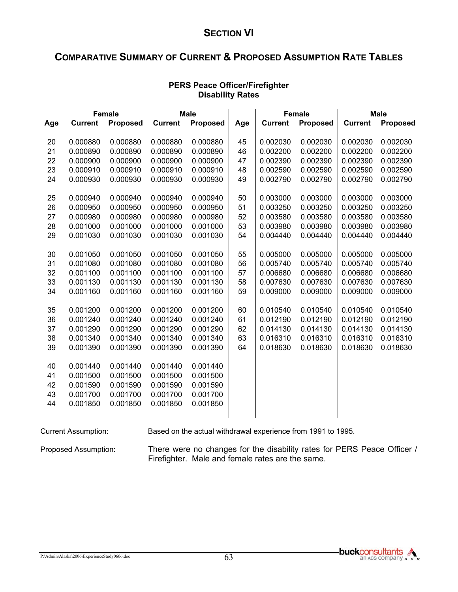# **COMPARATIVE SUMMARY OF CURRENT & PROPOSED ASSUMPTION RATE TABLES**

|     |                | <b>Female</b>   |                | <b>Male</b> |     |                | <b>Female</b>   |                | <b>Male</b>     |
|-----|----------------|-----------------|----------------|-------------|-----|----------------|-----------------|----------------|-----------------|
| Age | <b>Current</b> | <b>Proposed</b> | <b>Current</b> | Proposed    | Age | <b>Current</b> | <b>Proposed</b> | <b>Current</b> | <b>Proposed</b> |
|     |                |                 |                |             |     |                |                 |                |                 |
| 20  | 0.000880       | 0.000880        | 0.000880       | 0.000880    | 45  | 0.002030       | 0.002030        | 0.002030       | 0.002030        |
| 21  | 0.000890       | 0.000890        | 0.000890       | 0.000890    | 46  | 0.002200       | 0.002200        | 0.002200       | 0.002200        |
| 22  | 0.000900       | 0.000900        | 0.000900       | 0.000900    | 47  | 0.002390       | 0.002390        | 0.002390       | 0.002390        |
| 23  | 0.000910       | 0.000910        | 0.000910       | 0.000910    | 48  | 0.002590       | 0.002590        | 0.002590       | 0.002590        |
| 24  | 0.000930       | 0.000930        | 0.000930       | 0.000930    | 49  | 0.002790       | 0.002790        | 0.002790       | 0.002790        |
|     |                |                 |                |             |     |                |                 |                |                 |
| 25  | 0.000940       | 0.000940        | 0.000940       | 0.000940    | 50  | 0.003000       | 0.003000        | 0.003000       | 0.003000        |
| 26  | 0.000950       | 0.000950        | 0.000950       | 0.000950    | 51  | 0.003250       | 0.003250        | 0.003250       | 0.003250        |
| 27  | 0.000980       | 0.000980        | 0.000980       | 0.000980    | 52  | 0.003580       | 0.003580        | 0.003580       | 0.003580        |
| 28  | 0.001000       | 0.001000        | 0.001000       | 0.001000    | 53  | 0.003980       | 0.003980        | 0.003980       | 0.003980        |
| 29  | 0.001030       | 0.001030        | 0.001030       | 0.001030    | 54  | 0.004440       | 0.004440        | 0.004440       | 0.004440        |
|     |                |                 |                |             |     |                |                 |                |                 |
| 30  | 0.001050       | 0.001050        | 0.001050       | 0.001050    | 55  | 0.005000       | 0.005000        | 0.005000       | 0.005000        |
| 31  | 0.001080       | 0.001080        | 0.001080       | 0.001080    | 56  | 0.005740       | 0.005740        | 0.005740       | 0.005740        |
| 32  | 0.001100       | 0.001100        | 0.001100       | 0.001100    | 57  | 0.006680       | 0.006680        | 0.006680       | 0.006680        |
| 33  | 0.001130       | 0.001130        | 0.001130       | 0.001130    | 58  | 0.007630       | 0.007630        | 0.007630       | 0.007630        |
| 34  | 0.001160       | 0.001160        | 0.001160       | 0.001160    | 59  | 0.009000       | 0.009000        | 0.009000       | 0.009000        |
|     |                |                 |                |             |     |                |                 |                |                 |
| 35  | 0.001200       | 0.001200        | 0.001200       | 0.001200    | 60  | 0.010540       | 0.010540        | 0.010540       | 0.010540        |
| 36  | 0.001240       | 0.001240        | 0.001240       | 0.001240    | 61  | 0.012190       | 0.012190        | 0.012190       | 0.012190        |
| 37  | 0.001290       | 0.001290        | 0.001290       | 0.001290    | 62  | 0.014130       | 0.014130        | 0.014130       | 0.014130        |
| 38  | 0.001340       | 0.001340        | 0.001340       | 0.001340    | 63  | 0.016310       | 0.016310        | 0.016310       | 0.016310        |
| 39  | 0.001390       | 0.001390        | 0.001390       | 0.001390    | 64  | 0.018630       | 0.018630        | 0.018630       | 0.018630        |
|     |                |                 |                |             |     |                |                 |                |                 |
| 40  | 0.001440       | 0.001440        | 0.001440       | 0.001440    |     |                |                 |                |                 |
| 41  | 0.001500       | 0.001500        | 0.001500       | 0.001500    |     |                |                 |                |                 |
| 42  | 0.001590       | 0.001590        | 0.001590       | 0.001590    |     |                |                 |                |                 |
| 43  | 0.001700       | 0.001700        | 0.001700       | 0.001700    |     |                |                 |                |                 |
| 44  | 0.001850       | 0.001850        | 0.001850       | 0.001850    |     |                |                 |                |                 |
|     |                |                 |                |             |     |                |                 |                |                 |

### **PERS Peace Officer/Firefighter Disability Rates**

Current Assumption: Based on the actual withdrawal experience from 1991 to 1995.

Proposed Assumption: There were no changes for the disability rates for PERS Peace Officer / Firefighter. Male and female rates are the same.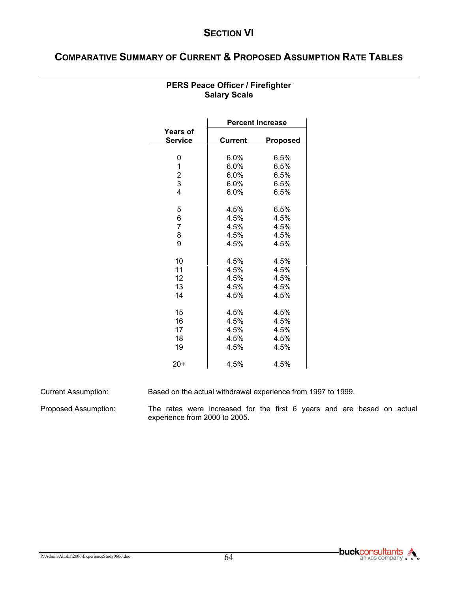# **COMPARATIVE SUMMARY OF CURRENT & PROPOSED ASSUMPTION RATE TABLES**

|                            | <b>Percent Increase</b> |                 |  |  |  |  |  |
|----------------------------|-------------------------|-----------------|--|--|--|--|--|
| Years of<br><b>Service</b> | <b>Current</b>          | <b>Proposed</b> |  |  |  |  |  |
|                            |                         |                 |  |  |  |  |  |
| 0                          | $6.0\%$                 | 6.5%            |  |  |  |  |  |
| 1                          | 6.0%                    | 6.5%            |  |  |  |  |  |
| $\overline{c}$             | $6.0\%$                 | 6.5%            |  |  |  |  |  |
| 3                          | 6.0%                    | 6.5%            |  |  |  |  |  |
| 4                          | $6.0\%$                 | 6.5%            |  |  |  |  |  |
| 5                          | 4.5%                    | 6.5%            |  |  |  |  |  |
| 6                          | 4.5%                    | 4.5%            |  |  |  |  |  |
| $\overline{7}$             | 4.5%                    | 4.5%            |  |  |  |  |  |
| 8                          | 4.5%                    | 4.5%            |  |  |  |  |  |
| 9                          | 4.5%                    | 4.5%            |  |  |  |  |  |
| 10                         | 4.5%                    | 4.5%            |  |  |  |  |  |
| 11                         | 4.5%                    | 4.5%            |  |  |  |  |  |
| 12                         | 4.5%                    | 4.5%            |  |  |  |  |  |
| 13                         | 4.5%                    | 4.5%            |  |  |  |  |  |
| 14                         | 4.5%                    | 4.5%            |  |  |  |  |  |
| 15                         | 4.5%                    | 4.5%            |  |  |  |  |  |
| 16                         | 4.5%                    | 4.5%            |  |  |  |  |  |
| 17                         | 4.5%                    | 4.5%            |  |  |  |  |  |
| 18                         | 4.5%                    | 4.5%            |  |  |  |  |  |
| 19                         | 4.5%                    | 4.5%            |  |  |  |  |  |
|                            |                         |                 |  |  |  |  |  |
| $20+$                      | 4.5%                    | 4.5%            |  |  |  |  |  |

### **PERS Peace Officer / Firefighter Salary Scale**

Current Assumption: Based on the actual withdrawal experience from 1997 to 1999.

Proposed Assumption: The rates were increased for the first 6 years and are based on actual experience from 2000 to 2005.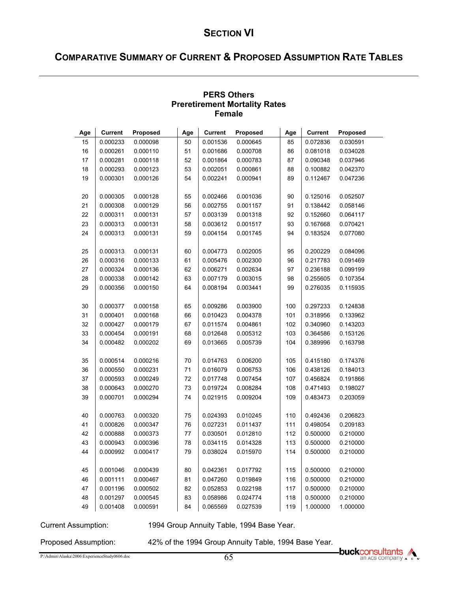# **COMPARATIVE SUMMARY OF CURRENT & PROPOSED ASSUMPTION RATE TABLES**

|     | <b>Female</b>  |          |     |                |          |     |                |          |  |  |  |  |
|-----|----------------|----------|-----|----------------|----------|-----|----------------|----------|--|--|--|--|
| Age | <b>Current</b> | Proposed | Age | <b>Current</b> | Proposed | Age | <b>Current</b> | Proposed |  |  |  |  |
| 15  | 0.000233       | 0.000098 | 50  | 0.001536       | 0.000645 | 85  | 0.072836       | 0.030591 |  |  |  |  |
| 16  | 0.000261       | 0.000110 | 51  | 0.001686       | 0.000708 | 86  | 0.081018       | 0.034028 |  |  |  |  |
| 17  | 0.000281       | 0.000118 | 52  | 0.001864       | 0.000783 | 87  | 0.090348       | 0.037946 |  |  |  |  |
| 18  | 0.000293       | 0.000123 | 53  | 0.002051       | 0.000861 | 88  | 0.100882       | 0.042370 |  |  |  |  |
| 19  | 0.000301       | 0.000126 | 54  | 0.002241       | 0.000941 | 89  | 0.112467       | 0.047236 |  |  |  |  |
| 20  | 0.000305       | 0.000128 | 55  | 0.002466       | 0.001036 | 90  | 0.125016       | 0.052507 |  |  |  |  |
| 21  | 0.000308       | 0.000129 | 56  | 0.002755       | 0.001157 | 91  | 0.138442       | 0.058146 |  |  |  |  |
| 22  | 0.000311       | 0.000131 | 57  | 0.003139       | 0.001318 | 92  | 0.152660       | 0.064117 |  |  |  |  |
| 23  | 0.000313       | 0.000131 | 58  | 0.003612       | 0.001517 | 93  | 0.167668       | 0.070421 |  |  |  |  |
| 24  | 0.000313       | 0.000131 | 59  | 0.004154       | 0.001745 | 94  | 0.183524       | 0.077080 |  |  |  |  |
| 25  | 0.000313       | 0.000131 | 60  | 0.004773       | 0.002005 | 95  | 0.200229       | 0.084096 |  |  |  |  |
| 26  | 0.000316       | 0.000133 | 61  | 0.005476       | 0.002300 | 96  | 0.217783       | 0.091469 |  |  |  |  |
| 27  | 0.000324       | 0.000136 | 62  | 0.006271       | 0.002634 | 97  | 0.236188       | 0.099199 |  |  |  |  |
| 28  | 0.000338       | 0.000142 | 63  | 0.007179       | 0.003015 | 98  | 0.255605       | 0.107354 |  |  |  |  |
| 29  | 0.000356       | 0.000150 | 64  | 0.008194       | 0.003441 | 99  | 0.276035       | 0.115935 |  |  |  |  |
| 30  | 0.000377       | 0.000158 | 65  | 0.009286       | 0.003900 | 100 | 0.297233       | 0.124838 |  |  |  |  |
| 31  | 0.000401       | 0.000168 | 66  | 0.010423       | 0.004378 | 101 | 0.318956       | 0.133962 |  |  |  |  |
| 32  | 0.000427       | 0.000179 | 67  | 0.011574       | 0.004861 | 102 | 0.340960       | 0.143203 |  |  |  |  |
| 33  | 0.000454       | 0.000191 | 68  | 0.012648       | 0.005312 | 103 | 0.364586       | 0.153126 |  |  |  |  |
| 34  | 0.000482       | 0.000202 | 69  | 0.013665       | 0.005739 | 104 | 0.389996       | 0.163798 |  |  |  |  |
| 35  | 0.000514       | 0.000216 | 70  | 0.014763       | 0.006200 | 105 | 0.415180       | 0.174376 |  |  |  |  |
| 36  | 0.000550       | 0.000231 | 71  | 0.016079       | 0.006753 | 106 | 0.438126       | 0.184013 |  |  |  |  |
| 37  | 0.000593       | 0.000249 | 72  | 0.017748       | 0.007454 | 107 | 0.456824       | 0.191866 |  |  |  |  |
| 38  | 0.000643       | 0.000270 | 73  | 0.019724       | 0.008284 | 108 | 0.471493       | 0.198027 |  |  |  |  |
| 39  | 0.000701       | 0.000294 | 74  | 0.021915       | 0.009204 | 109 | 0.483473       | 0.203059 |  |  |  |  |
| 40  | 0.000763       | 0.000320 | 75  | 0.024393       | 0.010245 | 110 | 0.492436       | 0.206823 |  |  |  |  |
| 41  | 0.000826       | 0.000347 | 76  | 0.027231       | 0.011437 | 111 | 0.498054       | 0.209183 |  |  |  |  |
| 42  | 0.000888       | 0.000373 | 77  | 0.030501       | 0.012810 | 112 | 0.500000       | 0.210000 |  |  |  |  |
| 43  | 0.000943       | 0.000396 | 78  | 0.034115       | 0.014328 | 113 | 0.500000       | 0.210000 |  |  |  |  |
| 44  | 0.000992       | 0.000417 | 79  | 0.038024       | 0.015970 | 114 | 0.500000       | 0.210000 |  |  |  |  |
| 45  | 0.001046       | 0.000439 | 80  | 0.042361       | 0.017792 | 115 | 0.500000       | 0.210000 |  |  |  |  |
| 46  | 0.001111       | 0.000467 | 81  | 0.047260       | 0.019849 | 116 | 0.500000       | 0.210000 |  |  |  |  |
| 47  | 0.001196       | 0.000502 | 82  | 0.052853       | 0.022198 | 117 | 0.500000       | 0.210000 |  |  |  |  |
| 48  | 0.001297       | 0.000545 | 83  | 0.058986       | 0.024774 | 118 | 0.500000       | 0.210000 |  |  |  |  |
| 49  | 0.001408       | 0.000591 | 84  | 0.065569       | 0.027539 | 119 | 1.000000       | 1.000000 |  |  |  |  |

#### **PERS Others Preretirement Mortality Rates Female**

Current Assumption: 1994 Group Annuity Table, 1994 Base Year.

Proposed Assumption: 42% of the 1994 Group Annuity Table, 1994 Base Year.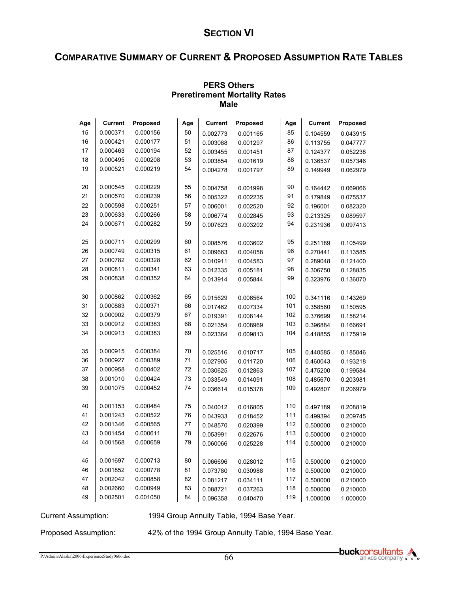# **COMPARATIVE SUMMARY OF CURRENT & PROPOSED ASSUMPTION RATE TABLES**

| mare |          |          |     |                |          |     |          |          |  |  |
|------|----------|----------|-----|----------------|----------|-----|----------|----------|--|--|
| Age  | Current  | Proposed | Age | <b>Current</b> | Proposed | Age | Current  | Proposed |  |  |
| 15   | 0.000371 | 0.000156 | 50  | 0.002773       | 0.001165 | 85  | 0.104559 | 0.043915 |  |  |
| 16   | 0.000421 | 0.000177 | 51  | 0.003088       | 0.001297 | 86  | 0.113755 | 0.047777 |  |  |
| 17   | 0.000463 | 0.000194 | 52  | 0.003455       | 0.001451 | 87  | 0.124377 | 0.052238 |  |  |
| 18   | 0.000495 | 0.000208 | 53  | 0.003854       | 0.001619 | 88  | 0.136537 | 0.057346 |  |  |
| 19   | 0.000521 | 0.000219 | 54  | 0.004278       | 0.001797 | 89  | 0.149949 | 0.062979 |  |  |
|      |          |          |     |                |          |     |          |          |  |  |
| 20   | 0.000545 | 0.000229 | 55  | 0.004758       | 0.001998 | 90  | 0.164442 | 0.069066 |  |  |
| 21   | 0.000570 | 0.000239 | 56  | 0.005322       | 0.002235 | 91  | 0.179849 | 0.075537 |  |  |
| 22   | 0.000598 | 0.000251 | 57  | 0.006001       | 0.002520 | 92  | 0.196001 | 0.082320 |  |  |
| 23   | 0.000633 | 0.000266 | 58  | 0.006774       | 0.002845 | 93  | 0.213325 | 0.089597 |  |  |
| 24   | 0.000671 | 0.000282 | 59  | 0.007623       | 0.003202 | 94  | 0.231936 | 0.097413 |  |  |
|      |          |          |     |                |          |     |          |          |  |  |
| 25   | 0.000711 | 0.000299 | 60  | 0.008576       | 0.003602 | 95  | 0.251189 | 0.105499 |  |  |
| 26   | 0.000749 | 0.000315 | 61  | 0.009663       | 0.004058 | 96  | 0.270441 | 0.113585 |  |  |
| 27   | 0.000782 | 0.000328 | 62  | 0.010911       | 0.004583 | 97  | 0.289048 | 0.121400 |  |  |
| 28   | 0.000811 | 0.000341 | 63  | 0.012335       | 0.005181 | 98  | 0.306750 | 0.128835 |  |  |
| 29   | 0.000838 | 0.000352 | 64  | 0.013914       | 0.005844 | 99  | 0.323976 | 0.136070 |  |  |
|      |          |          |     |                |          |     |          |          |  |  |
| 30   | 0.000862 | 0.000362 | 65  | 0.015629       | 0.006564 | 100 | 0.341116 | 0.143269 |  |  |
| 31   | 0.000883 | 0.000371 | 66  | 0.017462       | 0.007334 | 101 | 0.358560 | 0.150595 |  |  |
| 32   | 0.000902 | 0.000379 | 67  | 0.019391       | 0.008144 | 102 | 0.376699 | 0.158214 |  |  |
| 33   | 0.000912 | 0.000383 | 68  | 0.021354       | 0.008969 | 103 | 0.396884 | 0.166691 |  |  |
| 34   | 0.000913 | 0.000383 | 69  | 0.023364       | 0.009813 | 104 | 0.418855 | 0.175919 |  |  |
|      |          |          |     |                |          |     |          |          |  |  |
| 35   | 0.000915 | 0.000384 | 70  | 0.025516       | 0.010717 | 105 | 0.440585 | 0.185046 |  |  |
| 36   | 0.000927 | 0.000389 | 71  | 0.027905       | 0.011720 | 106 | 0.460043 | 0.193218 |  |  |
| 37   | 0.000958 | 0.000402 | 72  | 0.030625       | 0.012863 | 107 | 0.475200 | 0.199584 |  |  |
| 38   | 0.001010 | 0.000424 | 73  | 0.033549       | 0.014091 | 108 | 0.485670 | 0.203981 |  |  |
| 39   | 0.001075 | 0.000452 | 74  | 0.036614       | 0.015378 | 109 | 0.492807 | 0.206979 |  |  |
|      |          |          |     |                |          |     |          |          |  |  |
| 40   | 0.001153 | 0.000484 | 75  | 0.040012       | 0.016805 | 110 | 0.497189 | 0.208819 |  |  |
| 41   | 0.001243 | 0.000522 | 76  | 0.043933       | 0.018452 | 111 | 0.499394 | 0.209745 |  |  |
| 42   | 0.001346 | 0.000565 | 77  | 0.048570       | 0.020399 | 112 | 0.500000 | 0.210000 |  |  |
| 43   | 0.001454 | 0.000611 | 78  | 0.053991       | 0.022676 | 113 | 0.500000 | 0.210000 |  |  |
| 44   | 0.001568 | 0.000659 | 79  | 0.060066       | 0.025228 | 114 | 0.500000 | 0.210000 |  |  |
|      |          |          |     |                |          |     |          |          |  |  |
| 45   | 0.001697 | 0.000713 | 80  | 0.066696       | 0.028012 | 115 | 0.500000 | 0.210000 |  |  |
| 46   | 0.001852 | 0.000778 | 81  | 0.073780       | 0.030988 | 116 | 0.500000 | 0.210000 |  |  |
| 47   | 0.002042 | 0.000858 | 82  | 0.081217       | 0.034111 | 117 | 0.500000 | 0.210000 |  |  |
| 48   | 0.002660 | 0.000949 | 83  | 0.088721       | 0.037263 | 118 | 0.500000 | 0.210000 |  |  |
| 49   | 0.002501 | 0.001050 | 84  | 0.096358       | 0.040470 | 119 | 1.000000 | 1.000000 |  |  |

#### **PERS Others Preretirement Mortality Rates Male**

Current Assumption: 1994 Group Annuity Table, 1994 Base Year.

Proposed Assumption: 42% of the 1994 Group Annuity Table, 1994 Base Year.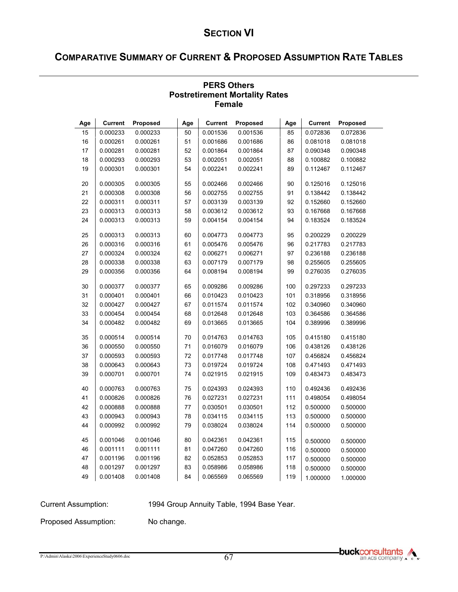# **COMPARATIVE SUMMARY OF CURRENT & PROPOSED ASSUMPTION RATE TABLES**

| <b>GIII</b> qie |                |          |     |                |          |     |                |          |  |  |
|-----------------|----------------|----------|-----|----------------|----------|-----|----------------|----------|--|--|
| Age             | <b>Current</b> | Proposed | Age | <b>Current</b> | Proposed | Age | <b>Current</b> | Proposed |  |  |
| 15              | 0.000233       | 0.000233 | 50  | 0.001536       | 0.001536 | 85  | 0.072836       | 0.072836 |  |  |
| 16              | 0.000261       | 0.000261 | 51  | 0.001686       | 0.001686 | 86  | 0.081018       | 0.081018 |  |  |
| 17              | 0.000281       | 0.000281 | 52  | 0.001864       | 0.001864 | 87  | 0.090348       | 0.090348 |  |  |
| 18              | 0.000293       | 0.000293 | 53  | 0.002051       | 0.002051 | 88  | 0.100882       | 0.100882 |  |  |
| 19              | 0.000301       | 0.000301 | 54  | 0.002241       | 0.002241 | 89  | 0.112467       | 0.112467 |  |  |
| 20              | 0.000305       | 0.000305 | 55  | 0.002466       | 0.002466 | 90  | 0.125016       | 0.125016 |  |  |
| 21              | 0.000308       | 0.000308 | 56  | 0.002755       | 0.002755 | 91  | 0.138442       | 0.138442 |  |  |
| 22              | 0.000311       | 0.000311 | 57  | 0.003139       | 0.003139 | 92  | 0.152660       | 0.152660 |  |  |
| 23              | 0.000313       | 0.000313 | 58  | 0.003612       | 0.003612 | 93  | 0.167668       | 0.167668 |  |  |
| 24              | 0.000313       | 0.000313 | 59  | 0.004154       | 0.004154 | 94  | 0.183524       | 0.183524 |  |  |
| 25              | 0.000313       | 0.000313 | 60  | 0.004773       | 0.004773 | 95  | 0.200229       | 0.200229 |  |  |
| 26              | 0.000316       | 0.000316 | 61  | 0.005476       | 0.005476 | 96  | 0.217783       | 0.217783 |  |  |
| 27              | 0.000324       | 0.000324 | 62  | 0.006271       | 0.006271 | 97  | 0.236188       | 0.236188 |  |  |
| 28              | 0.000338       | 0.000338 | 63  | 0.007179       | 0.007179 | 98  | 0.255605       | 0.255605 |  |  |
| 29              | 0.000356       | 0.000356 | 64  | 0.008194       | 0.008194 | 99  | 0.276035       | 0.276035 |  |  |
| 30              | 0.000377       | 0.000377 | 65  | 0.009286       | 0.009286 | 100 | 0.297233       | 0.297233 |  |  |
| 31              | 0.000401       | 0.000401 | 66  | 0.010423       | 0.010423 | 101 | 0.318956       | 0.318956 |  |  |
| 32              | 0.000427       | 0.000427 | 67  | 0.011574       | 0.011574 | 102 | 0.340960       | 0.340960 |  |  |
| 33              | 0.000454       | 0.000454 | 68  | 0.012648       | 0.012648 | 103 | 0.364586       | 0.364586 |  |  |
| 34              | 0.000482       | 0.000482 | 69  | 0.013665       | 0.013665 | 104 | 0.389996       | 0.389996 |  |  |
| 35              | 0.000514       | 0.000514 | 70  | 0.014763       | 0.014763 | 105 | 0.415180       | 0.415180 |  |  |
| 36              | 0.000550       | 0.000550 | 71  | 0.016079       | 0.016079 | 106 | 0.438126       | 0.438126 |  |  |
| 37              | 0.000593       | 0.000593 | 72  | 0.017748       | 0.017748 | 107 | 0.456824       | 0.456824 |  |  |
| 38              | 0.000643       | 0.000643 | 73  | 0.019724       | 0.019724 | 108 | 0.471493       | 0.471493 |  |  |
| 39              | 0.000701       | 0.000701 | 74  | 0.021915       | 0.021915 | 109 | 0.483473       | 0.483473 |  |  |
| 40              | 0.000763       | 0.000763 | 75  | 0.024393       | 0.024393 | 110 | 0.492436       | 0.492436 |  |  |
| 41              | 0.000826       | 0.000826 | 76  | 0.027231       | 0.027231 | 111 | 0.498054       | 0.498054 |  |  |
| 42              | 0.000888       | 0.000888 | 77  | 0.030501       | 0.030501 | 112 | 0.500000       | 0.500000 |  |  |
| 43              | 0.000943       | 0.000943 | 78  | 0.034115       | 0.034115 | 113 | 0.500000       | 0.500000 |  |  |
| 44              | 0.000992       | 0.000992 | 79  | 0.038024       | 0.038024 | 114 | 0.500000       | 0.500000 |  |  |
| 45              | 0.001046       | 0.001046 | 80  | 0.042361       | 0.042361 | 115 | 0.500000       | 0.500000 |  |  |
| 46              | 0.001111       | 0.001111 | 81  | 0.047260       | 0.047260 | 116 | 0.500000       | 0.500000 |  |  |
| 47              | 0.001196       | 0.001196 | 82  | 0.052853       | 0.052853 | 117 | 0.500000       | 0.500000 |  |  |
| 48              | 0.001297       | 0.001297 | 83  | 0.058986       | 0.058986 | 118 | 0.500000       | 0.500000 |  |  |
| 49              | 0.001408       | 0.001408 | 84  | 0.065569       | 0.065569 | 119 | 1.000000       | 1.000000 |  |  |

#### **PERS Others Postretirement Mortality Rates Female**

Current Assumption: 1994 Group Annuity Table, 1994 Base Year.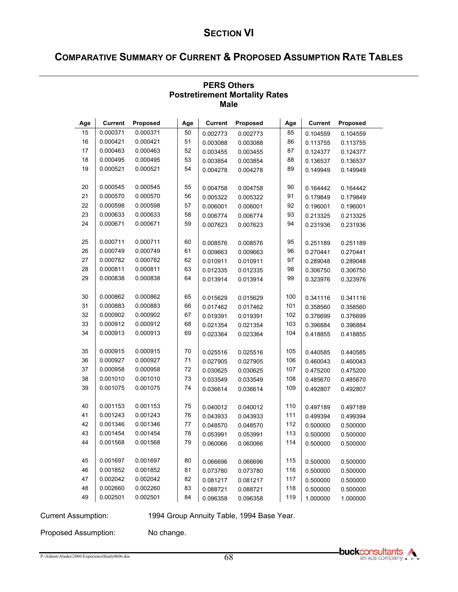# **COMPARATIVE SUMMARY OF CURRENT & PROPOSED ASSUMPTION RATE TABLES**

| marc     |                      |          |     |                |          |            |                |          |  |
|----------|----------------------|----------|-----|----------------|----------|------------|----------------|----------|--|
| Age      | <b>Current</b>       | Proposed | Age | <b>Current</b> | Proposed | Age        | <b>Current</b> | Proposed |  |
| 15       | 0.000371             | 0.000371 | 50  | 0.002773       | 0.002773 | 85         | 0.104559       | 0.104559 |  |
| 16       | 0.000421             | 0.000421 | 51  | 0.003088       | 0.003088 | 86         | 0.113755       | 0.113755 |  |
| 17       | 0.000463             | 0.000463 | 52  | 0.003455       | 0.003455 | 87         | 0.124377       | 0.124377 |  |
| 18       | 0.000495             | 0.000495 | 53  | 0.003854       | 0.003854 | 88         | 0.136537       | 0.136537 |  |
| 19       | 0.000521             | 0.000521 | 54  | 0.004278       | 0.004278 | 89         | 0.149949       | 0.149949 |  |
|          |                      |          |     |                |          |            |                |          |  |
| 20       | 0.000545             | 0.000545 | 55  | 0.004758       | 0.004758 | 90         | 0.164442       | 0.164442 |  |
| 21       | 0.000570             | 0.000570 | 56  | 0.005322       | 0.005322 | 91         | 0.179849       | 0.179849 |  |
| 22       | 0.000598             | 0.000598 | 57  | 0.006001       | 0.006001 | 92         | 0.196001       | 0.196001 |  |
| 23       | 0.000633             | 0.000633 | 58  | 0.006774       | 0.006774 | 93         | 0.213325       | 0.213325 |  |
| 24       | 0.000671             | 0.000671 | 59  | 0.007623       | 0.007623 | 94         | 0.231936       | 0.231936 |  |
|          |                      |          |     |                |          |            |                |          |  |
| 25       | 0.000711             | 0.000711 | 60  | 0.008576       | 0.008576 | 95         | 0.251189       | 0.251189 |  |
| 26       | 0.000749             | 0.000749 | 61  | 0.009663       | 0.009663 | 96         | 0.270441       | 0.270441 |  |
| 27       | 0.000782             | 0.000782 | 62  | 0.010911       | 0.010911 | 97         | 0.289048       | 0.289048 |  |
| 28       | 0.000811             | 0.000811 | 63  | 0.012335       | 0.012335 | 98         | 0.306750       | 0.306750 |  |
| 29       | 0.000838             | 0.000838 | 64  | 0.013914       | 0.013914 | 99         | 0.323976       | 0.323976 |  |
|          |                      |          |     |                |          |            |                |          |  |
| 30       | 0.000862             | 0.000862 | 65  | 0.015629       | 0.015629 | 100        | 0.341116       | 0.341116 |  |
| 31       | 0.000883             | 0.000883 | 66  | 0.017462       | 0.017462 | 101        | 0.358560       | 0.358560 |  |
| 32       | 0.000902             | 0.000902 | 67  | 0.019391       | 0.019391 | 102        | 0.376699       | 0.376699 |  |
| 33       | 0.000912             | 0.000912 | 68  | 0.021354       | 0.021354 | 103        | 0.396884       | 0.396884 |  |
| 34       | 0.000913             | 0.000913 | 69  | 0.023364       | 0.023364 | 104        | 0.418855       | 0.418855 |  |
|          |                      |          |     |                |          |            |                |          |  |
| 35       | 0.000915             | 0.000915 | 70  | 0.025516       | 0.025516 | 105        | 0.440585       | 0.440585 |  |
| 36       | 0.000927             | 0.000927 | 71  | 0.027905       | 0.027905 | 106        | 0.460043       | 0.460043 |  |
| 37       | 0.000958             | 0.000958 | 72  | 0.030625       | 0.030625 | 107        | 0.475200       | 0.475200 |  |
| 38       | 0.001010             | 0.001010 | 73  | 0.033549       | 0.033549 | 108        | 0.485670       | 0.485670 |  |
| 39       | 0.001075             | 0.001075 | 74  | 0.036614       | 0.036614 | 109        | 0.492807       | 0.492807 |  |
| 40       | 0.001153             | 0.001153 |     |                |          |            |                |          |  |
|          |                      |          | 75  | 0.040012       | 0.040012 | 110        | 0.497189       | 0.497189 |  |
| 41<br>42 | 0.001243<br>0.001346 | 0.001243 | 76  | 0.043933       | 0.043933 | 111        | 0.499394       | 0.499394 |  |
|          |                      | 0.001346 | 77  | 0.048570       | 0.048570 | 112<br>113 | 0.500000       | 0.500000 |  |
| 43       | 0.001454             | 0.001454 | 78  | 0.053991       | 0.053991 |            | 0.500000       | 0.500000 |  |
| 44       | 0.001568             | 0.001568 | 79  | 0.060066       | 0.060066 | 114        | 0.500000       | 0.500000 |  |
| 45       | 0.001697             | 0.001697 | 80  |                |          | 115        |                |          |  |
| 46       | 0.001852             | 0.001852 | 81  | 0.066696       | 0.066696 |            | 0.500000       | 0.500000 |  |
| 47       | 0.002042             | 0.002042 | 82  | 0.073780       | 0.073780 | 116<br>117 | 0.500000       | 0.500000 |  |
| 48       | 0.002660             | 0.002260 |     | 0.081217       | 0.081217 | 118        | 0.500000       | 0.500000 |  |
|          |                      |          | 83  | 0.088721       | 0.088721 |            | 0.500000       | 0.500000 |  |
| 49       | 0.002501             | 0.002501 | 84  | 0.096358       | 0.096358 | 119        | 1.000000       | 1.000000 |  |

#### **PERS Others Postretirement Mortality Rates Male**

Current Assumption: 1994 Group Annuity Table, 1994 Base Year.

Proposed Assumption: No change.

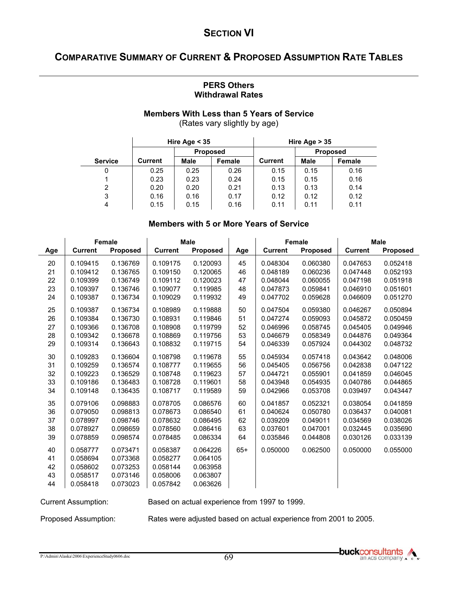# **COMPARATIVE SUMMARY OF CURRENT & PROPOSED ASSUMPTION RATE TABLES**

#### **PERS Others Withdrawal Rates**

#### **Members With Less than 5 Years of Service**  (Rates vary slightly by age)

 $\mathbf{I}$ 

|                |                | Hire Age $<$ 35 |        | Hire Age $> 35$ |                 |        |  |
|----------------|----------------|-----------------|--------|-----------------|-----------------|--------|--|
|                |                | <b>Proposed</b> |        |                 | <b>Proposed</b> |        |  |
| <b>Service</b> | <b>Current</b> | <b>Male</b>     | Female | <b>Current</b>  | <b>Male</b>     | Female |  |
| 0              | 0.25           | 0.25            | 0.26   | 0.15            | 0.15            | 0.16   |  |
|                | 0.23           | 0.23            | 0.24   | 0.15            | 0.15            | 0.16   |  |
| 2              | 0.20           | 0.20            | 0.21   | 0.13            | 0.13            | 0.14   |  |
| 3              | 0.16           | 0.16            | 0.17   | 0.12            | 0.12            | 0.12   |  |
| 4              | 0.15           | 0.15            | 0.16   | 0.11            | 0.11            | 0.11   |  |

#### **Members with 5 or More Years of Service**

|     | <b>Female</b>  |                 | <b>Male</b>    |                 |       |                | <b>Female</b> |                | <b>Male</b>     |  |
|-----|----------------|-----------------|----------------|-----------------|-------|----------------|---------------|----------------|-----------------|--|
| Age | <b>Current</b> | <b>Proposed</b> | <b>Current</b> | <b>Proposed</b> | Age   | <b>Current</b> | Proposed      | <b>Current</b> | <b>Proposed</b> |  |
| 20  | 0.109415       | 0.136769        | 0.109175       | 0.120093        | 45    | 0.048304       | 0.060380      | 0.047653       | 0.052418        |  |
| 21  | 0.109412       | 0.136765        | 0.109150       | 0.120065        | 46    | 0.048189       | 0.060236      | 0.047448       | 0.052193        |  |
| 22  | 0.109399       | 0.136749        | 0.109112       | 0.120023        | 47    | 0.048044       | 0.060055      | 0.047198       | 0.051918        |  |
| 23  | 0.109397       | 0.136746        | 0.109077       | 0.119985        | 48    | 0.047873       | 0.059841      | 0.046910       | 0.051601        |  |
| 24  | 0.109387       | 0.136734        | 0.109029       | 0.119932        | 49    | 0.047702       | 0.059628      | 0.046609       | 0.051270        |  |
| 25  | 0.109387       | 0.136734        | 0.108989       | 0.119888        | 50    | 0.047504       | 0.059380      | 0.046267       | 0.050894        |  |
| 26  | 0.109384       | 0.136730        | 0.108931       | 0.119846        | 51    | 0.047274       | 0.059093      | 0.045872       | 0.050459        |  |
| 27  | 0.109366       | 0.136708        | 0.108908       | 0.119799        | 52    | 0.046996       | 0.058745      | 0.045405       | 0.049946        |  |
| 28  | 0.109342       | 0.136678        | 0.108869       | 0.119756        | 53    | 0.046679       | 0.058349      | 0.044876       | 0.049364        |  |
| 29  | 0.109314       | 0.136643        | 0.108832       | 0.119715        | 54    | 0.046339       | 0.057924      | 0.044302       | 0.048732        |  |
| 30  | 0.109283       | 0.136604        | 0.108798       | 0.119678        | 55    | 0.045934       | 0.057418      | 0.043642       | 0.048006        |  |
| 31  | 0.109259       | 0.136574        | 0.108777       | 0.119655        | 56    | 0.045405       | 0.056756      | 0.042838       | 0.047122        |  |
| 32  | 0.109223       | 0.136529        | 0.108748       | 0.119623        | 57    | 0.044721       | 0.055901      | 0.041859       | 0.046045        |  |
| 33  | 0.109186       | 0.136483        | 0.108728       | 0.119601        | 58    | 0.043948       | 0.054935      | 0.040786       | 0.044865        |  |
| 34  | 0.109148       | 0.136435        | 0.108717       | 0.119589        | 59    | 0.042966       | 0.053708      | 0.039497       | 0.043447        |  |
| 35  | 0.079106       | 0.098883        | 0.078705       | 0.086576        | 60    | 0.041857       | 0.052321      | 0.038054       | 0.041859        |  |
| 36  | 0.079050       | 0.098813        | 0.078673       | 0.086540        | 61    | 0.040624       | 0.050780      | 0.036437       | 0.040081        |  |
| 37  | 0.078997       | 0.098746        | 0.078632       | 0.086495        | 62    | 0.039209       | 0.049011      | 0.034569       | 0.038026        |  |
| 38  | 0.078927       | 0.098659        | 0.078560       | 0.086416        | 63    | 0.037601       | 0.047001      | 0.032445       | 0.035690        |  |
| 39  | 0.078859       | 0.098574        | 0.078485       | 0.086334        | 64    | 0.035846       | 0.044808      | 0.030126       | 0.033139        |  |
| 40  | 0.058777       | 0.073471        | 0.058387       | 0.064226        | $65+$ | 0.050000       | 0.062500      | 0.050000       | 0.055000        |  |
| 41  | 0.058694       | 0.073368        | 0.058277       | 0.064105        |       |                |               |                |                 |  |
| 42  | 0.058602       | 0.073253        | 0.058144       | 0.063958        |       |                |               |                |                 |  |
| 43  | 0.058517       | 0.073146        | 0.058006       | 0.063807        |       |                |               |                |                 |  |
| 44  | 0.058418       | 0.073023        | 0.057842       | 0.063626        |       |                |               |                |                 |  |

Current Assumption: Based on actual experience from 1997 to 1999.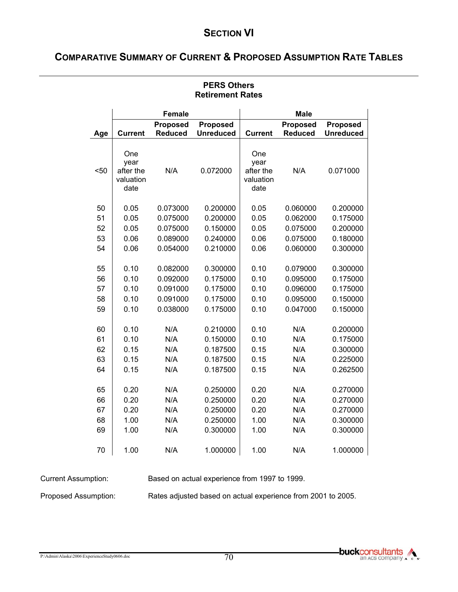# **COMPARATIVE SUMMARY OF CURRENT & PROPOSED ASSUMPTION RATE TABLES**

|      |                                               | <b>Female</b>   |                  |                                               | <b>Male</b>     |                  |
|------|-----------------------------------------------|-----------------|------------------|-----------------------------------------------|-----------------|------------------|
|      |                                               | <b>Proposed</b> | <b>Proposed</b>  |                                               | <b>Proposed</b> | <b>Proposed</b>  |
| Age  | <b>Current</b>                                | <b>Reduced</b>  | <b>Unreduced</b> | <b>Current</b>                                | <b>Reduced</b>  | <b>Unreduced</b> |
| < 50 | One<br>year<br>after the<br>valuation<br>date | N/A             | 0.072000         | One<br>year<br>after the<br>valuation<br>date | N/A             | 0.071000         |
| 50   | 0.05                                          | 0.073000        | 0.200000         | 0.05                                          | 0.060000        | 0.200000         |
| 51   | 0.05                                          | 0.075000        | 0.200000         | 0.05                                          | 0.062000        | 0.175000         |
| 52   | 0.05                                          | 0.075000        | 0.150000         | 0.05                                          | 0.075000        | 0.200000         |
| 53   | 0.06                                          | 0.089000        | 0.240000         | 0.06                                          | 0.075000        | 0.180000         |
| 54   | 0.06                                          | 0.054000        | 0.210000         | 0.06                                          | 0.060000        | 0.300000         |
|      |                                               |                 |                  |                                               |                 |                  |
| 55   | 0.10                                          | 0.082000        | 0.300000         | 0.10                                          | 0.079000        | 0.300000         |
| 56   | 0.10                                          | 0.092000        | 0.175000         | 0.10                                          | 0.095000        | 0.175000         |
| 57   | 0.10                                          | 0.091000        | 0.175000         | 0.10                                          | 0.096000        | 0.175000         |
| 58   | 0.10                                          | 0.091000        | 0.175000         | 0.10                                          | 0.095000        | 0.150000         |
| 59   | 0.10                                          | 0.038000        | 0.175000         | 0.10                                          | 0.047000        | 0.150000         |
|      |                                               |                 |                  |                                               |                 |                  |
| 60   | 0.10                                          | N/A             | 0.210000         | 0.10                                          | N/A             | 0.200000         |
| 61   | 0.10                                          | N/A             | 0.150000         | 0.10                                          | N/A             | 0.175000         |
| 62   | 0.15                                          | N/A             | 0.187500         | 0.15                                          | N/A             | 0.300000         |
| 63   | 0.15                                          | N/A             | 0.187500         | 0.15                                          | N/A             | 0.225000         |
| 64   | 0.15                                          | N/A             | 0.187500         | 0.15                                          | N/A             | 0.262500         |
| 65   | 0.20                                          | N/A             | 0.250000         | 0.20                                          | N/A             | 0.270000         |
| 66   | 0.20                                          | N/A             | 0.250000         | 0.20                                          | N/A             | 0.270000         |
| 67   | 0.20                                          | N/A             | 0.250000         | 0.20                                          | N/A             | 0.270000         |
| 68   | 1.00                                          | N/A             | 0.250000         | 1.00                                          | N/A             | 0.300000         |
| 69   | 1.00                                          | N/A             | 0.300000         | 1.00                                          | N/A             | 0.300000         |
|      |                                               |                 |                  |                                               |                 |                  |
| 70   | 1.00                                          | N/A             | 1.000000         | 1.00                                          | N/A             | 1.000000         |

#### **PERS Others Retirement Rates**

Current Assumption: Based on actual experience from 1997 to 1999.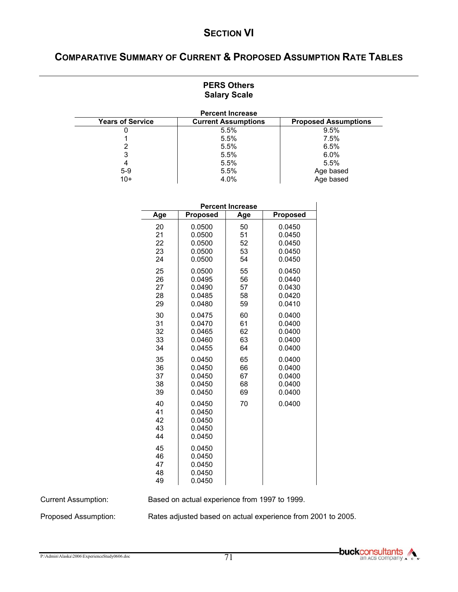# **COMPARATIVE SUMMARY OF CURRENT & PROPOSED ASSUMPTION RATE TABLES**

#### **PERS Others Salary Scale**

| <b>Percent Increase</b> |                            |                             |  |  |  |  |  |  |  |  |
|-------------------------|----------------------------|-----------------------------|--|--|--|--|--|--|--|--|
| <b>Years of Service</b> | <b>Current Assumptions</b> | <b>Proposed Assumptions</b> |  |  |  |  |  |  |  |  |
|                         | 5.5%                       | 9.5%                        |  |  |  |  |  |  |  |  |
|                         | 5.5%                       | 7.5%                        |  |  |  |  |  |  |  |  |
|                         | 5.5%                       | 6.5%                        |  |  |  |  |  |  |  |  |
|                         | 5.5%                       | 6.0%                        |  |  |  |  |  |  |  |  |
|                         | 5.5%                       | 5.5%                        |  |  |  |  |  |  |  |  |
| $5-9$                   | 5.5%                       | Age based                   |  |  |  |  |  |  |  |  |
| $10+$                   | 4.0%                       | Age based                   |  |  |  |  |  |  |  |  |

|                            | <b>Percent Increase</b>                        |            |                 |  |  |  |  |  |  |  |  |
|----------------------------|------------------------------------------------|------------|-----------------|--|--|--|--|--|--|--|--|
| Age                        | Proposed                                       | <b>Age</b> | <b>Proposed</b> |  |  |  |  |  |  |  |  |
| 20                         | 0.0500                                         | 50         | 0.0450          |  |  |  |  |  |  |  |  |
| 21                         | 0.0500                                         | 51         | 0.0450          |  |  |  |  |  |  |  |  |
| 22                         | 0.0500                                         | 52         | 0.0450          |  |  |  |  |  |  |  |  |
| 23                         | 0.0500                                         | 53         | 0.0450          |  |  |  |  |  |  |  |  |
| 24                         | 0.0500                                         | 54         | 0.0450          |  |  |  |  |  |  |  |  |
| 25                         | 0.0500                                         | 55         | 0.0450          |  |  |  |  |  |  |  |  |
| 26                         | 0.0495                                         | 56         | 0.0440          |  |  |  |  |  |  |  |  |
| 27                         | 0.0490                                         | 57         | 0.0430          |  |  |  |  |  |  |  |  |
| 28                         | 0.0485                                         | 58         | 0.0420          |  |  |  |  |  |  |  |  |
| 29                         | 0.0480                                         | 59         | 0.0410          |  |  |  |  |  |  |  |  |
| 30                         | 0.0475                                         | 60         | 0.0400          |  |  |  |  |  |  |  |  |
| 31                         | 0.0470                                         | 61         | 0.0400          |  |  |  |  |  |  |  |  |
| 32                         | 0.0465                                         | 62         | 0.0400          |  |  |  |  |  |  |  |  |
| 33                         | 0.0460                                         | 63         | 0.0400          |  |  |  |  |  |  |  |  |
| 34                         | 0.0455                                         | 64         | 0.0400          |  |  |  |  |  |  |  |  |
| 35                         | 0.0450                                         | 65         | 0.0400          |  |  |  |  |  |  |  |  |
| 36                         | 0.0450                                         | 66         | 0.0400          |  |  |  |  |  |  |  |  |
| 37                         | 0.0450                                         | 67         | 0.0400          |  |  |  |  |  |  |  |  |
| 38                         | 0.0450                                         | 68         | 0.0400          |  |  |  |  |  |  |  |  |
| 39                         | 0.0450                                         | 69         | 0.0400          |  |  |  |  |  |  |  |  |
| 40<br>41<br>42<br>43<br>44 | 0.0450<br>0.0450<br>0.0450<br>0.0450<br>0.0450 | 70         | 0.0400          |  |  |  |  |  |  |  |  |
| 45<br>46<br>47<br>48<br>49 | 0.0450<br>0.0450<br>0.0450<br>0.0450<br>0.0450 |            |                 |  |  |  |  |  |  |  |  |

Current Assumption: Based on actual experience from 1997 to 1999.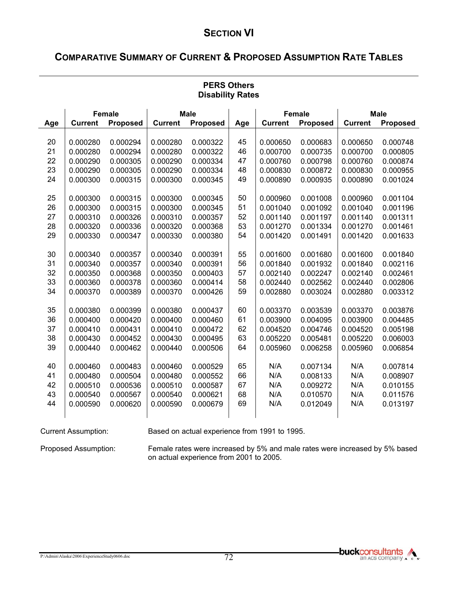# **COMPARATIVE SUMMARY OF CURRENT & PROPOSED ASSUMPTION RATE TABLES**

|          | <b>DISABILITY RATES</b> |                      |                      |                      |          |                      |                      |                |                      |  |  |
|----------|-------------------------|----------------------|----------------------|----------------------|----------|----------------------|----------------------|----------------|----------------------|--|--|
|          |                         | <b>Female</b>        |                      | <b>Male</b>          |          |                      | <b>Female</b>        |                | <b>Male</b>          |  |  |
| Age      | <b>Current</b>          | <b>Proposed</b>      | <b>Current</b>       | <b>Proposed</b>      | Age      | <b>Current</b>       | Proposed             | <b>Current</b> | <b>Proposed</b>      |  |  |
|          |                         |                      |                      |                      |          |                      |                      |                |                      |  |  |
| 20       | 0.000280                | 0.000294             | 0.000280             | 0.000322             | 45       | 0.000650             | 0.000683             | 0.000650       | 0.000748             |  |  |
| 21       | 0.000280                | 0.000294             | 0.000280             | 0.000322             | 46       | 0.000700             | 0.000735             | 0.000700       | 0.000805             |  |  |
| 22       | 0.000290                | 0.000305             | 0.000290             | 0.000334             | 47       | 0.000760             | 0.000798             | 0.000760       | 0.000874             |  |  |
| 23       | 0.000290                | 0.000305             | 0.000290             | 0.000334             | 48       | 0.000830             | 0.000872             | 0.000830       | 0.000955             |  |  |
| 24       | 0.000300                | 0.000315             | 0.000300             | 0.000345             | 49       | 0.000890             | 0.000935             | 0.000890       | 0.001024             |  |  |
| 25       | 0.000300                | 0.000315             | 0.000300             | 0.000345             | 50       | 0.000960             | 0.001008             | 0.000960       | 0.001104             |  |  |
| 26       | 0.000300                | 0.000315             | 0.000300             | 0.000345             | 51       | 0.001040             | 0.001092             | 0.001040       | 0.001196             |  |  |
| 27       | 0.000310                | 0.000326             | 0.000310             | 0.000357             | 52       | 0.001140             | 0.001197             | 0.001140       | 0.001311             |  |  |
| 28       | 0.000320                | 0.000336             | 0.000320             | 0.000368             | 53       | 0.001270             | 0.001334             | 0.001270       | 0.001461             |  |  |
| 29       | 0.000330                | 0.000347             | 0.000330             | 0.000380             | 54       | 0.001420             | 0.001491             | 0.001420       | 0.001633             |  |  |
|          |                         |                      |                      |                      |          |                      |                      |                |                      |  |  |
| 30       | 0.000340                | 0.000357             | 0.000340             | 0.000391             | 55       | 0.001600             | 0.001680             | 0.001600       | 0.001840             |  |  |
| 31<br>32 | 0.000340                | 0.000357             | 0.000340             | 0.000391             | 56<br>57 | 0.001840             | 0.001932             | 0.001840       | 0.002116             |  |  |
| 33       | 0.000350                | 0.000368             | 0.000350             | 0.000403             | 58       | 0.002140             | 0.002247             | 0.002140       | 0.002461             |  |  |
| 34       | 0.000360<br>0.000370    | 0.000378<br>0.000389 | 0.000360<br>0.000370 | 0.000414<br>0.000426 | 59       | 0.002440<br>0.002880 | 0.002562<br>0.003024 | 0.002440       | 0.002806<br>0.003312 |  |  |
|          |                         |                      |                      |                      |          |                      |                      | 0.002880       |                      |  |  |
| 35       | 0.000380                | 0.000399             | 0.000380             | 0.000437             | 60       | 0.003370             | 0.003539             | 0.003370       | 0.003876             |  |  |
| 36       | 0.000400                | 0.000420             | 0.000400             | 0.000460             | 61       | 0.003900             | 0.004095             | 0.003900       | 0.004485             |  |  |
| 37       | 0.000410                | 0.000431             | 0.000410             | 0.000472             | 62       | 0.004520             | 0.004746             | 0.004520       | 0.005198             |  |  |
| 38       | 0.000430                | 0.000452             | 0.000430             | 0.000495             | 63       | 0.005220             | 0.005481             | 0.005220       | 0.006003             |  |  |
| 39       | 0.000440                | 0.000462             | 0.000440             | 0.000506             | 64       | 0.005960             | 0.006258             | 0.005960       | 0.006854             |  |  |
| 40       | 0.000460                | 0.000483             | 0.000460             | 0.000529             | 65       | N/A                  | 0.007134             | N/A            | 0.007814             |  |  |
| 41       | 0.000480                | 0.000504             | 0.000480             | 0.000552             | 66       | N/A                  | 0.008133             | N/A            | 0.008907             |  |  |
| 42       | 0.000510                | 0.000536             | 0.000510             | 0.000587             | 67       | N/A                  | 0.009272             | N/A            | 0.010155             |  |  |
| 43       | 0.000540                | 0.000567             | 0.000540             | 0.000621             | 68       | N/A                  | 0.010570             | N/A            | 0.011576             |  |  |
| 44       | 0.000590                | 0.000620             | 0.000590             | 0.000679             | 69       | N/A                  | 0.012049             | N/A            | 0.013197             |  |  |
|          |                         |                      |                      |                      |          |                      |                      |                |                      |  |  |
|          |                         |                      |                      |                      |          |                      |                      |                |                      |  |  |

#### **PERS Others Disability Rates**

Current Assumption: Based on actual experience from 1991 to 1995.

Proposed Assumption: Female rates were increased by 5% and male rates were increased by 5% based on actual experience from 2001 to 2005.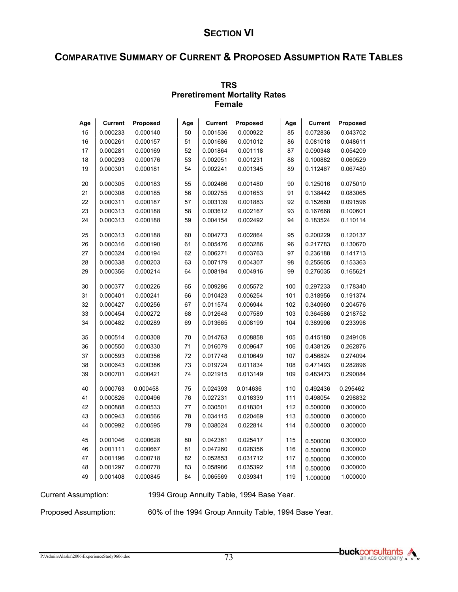# **COMPARATIVE SUMMARY OF CURRENT & PROPOSED ASSUMPTION RATE TABLES**

|     | <b>Female</b>  |          |     |                |          |     |                |          |  |  |  |  |
|-----|----------------|----------|-----|----------------|----------|-----|----------------|----------|--|--|--|--|
| Age | <b>Current</b> | Proposed | Age | <b>Current</b> | Proposed | Age | <b>Current</b> | Proposed |  |  |  |  |
| 15  | 0.000233       | 0.000140 | 50  | 0.001536       | 0.000922 | 85  | 0.072836       | 0.043702 |  |  |  |  |
| 16  | 0.000261       | 0.000157 | 51  | 0.001686       | 0.001012 | 86  | 0.081018       | 0.048611 |  |  |  |  |
| 17  | 0.000281       | 0.000169 | 52  | 0.001864       | 0.001118 | 87  | 0.090348       | 0.054209 |  |  |  |  |
| 18  | 0.000293       | 0.000176 | 53  | 0.002051       | 0.001231 | 88  | 0.100882       | 0.060529 |  |  |  |  |
| 19  | 0.000301       | 0.000181 | 54  | 0.002241       | 0.001345 | 89  | 0.112467       | 0.067480 |  |  |  |  |
| 20  | 0.000305       | 0.000183 | 55  | 0.002466       | 0.001480 | 90  | 0.125016       | 0.075010 |  |  |  |  |
| 21  | 0.000308       | 0.000185 | 56  | 0.002755       | 0.001653 | 91  | 0.138442       | 0.083065 |  |  |  |  |
| 22  | 0.000311       | 0.000187 | 57  | 0.003139       | 0.001883 | 92  | 0.152660       | 0.091596 |  |  |  |  |
| 23  | 0.000313       | 0.000188 | 58  | 0.003612       | 0.002167 | 93  | 0.167668       | 0.100601 |  |  |  |  |
| 24  | 0.000313       | 0.000188 | 59  | 0.004154       | 0.002492 | 94  | 0.183524       | 0.110114 |  |  |  |  |
| 25  | 0.000313       | 0.000188 | 60  | 0.004773       | 0.002864 | 95  | 0.200229       | 0.120137 |  |  |  |  |
| 26  | 0.000316       | 0.000190 | 61  | 0.005476       | 0.003286 | 96  | 0.217783       | 0.130670 |  |  |  |  |
| 27  | 0.000324       | 0.000194 | 62  | 0.006271       | 0.003763 | 97  | 0.236188       | 0.141713 |  |  |  |  |
| 28  | 0.000338       | 0.000203 | 63  | 0.007179       | 0.004307 | 98  | 0.255605       | 0.153363 |  |  |  |  |
| 29  | 0.000356       | 0.000214 | 64  | 0.008194       | 0.004916 | 99  | 0.276035       | 0.165621 |  |  |  |  |
| 30  | 0.000377       | 0.000226 | 65  | 0.009286       | 0.005572 | 100 | 0.297233       | 0.178340 |  |  |  |  |
| 31  | 0.000401       | 0.000241 | 66  | 0.010423       | 0.006254 | 101 | 0.318956       | 0.191374 |  |  |  |  |
| 32  | 0.000427       | 0.000256 | 67  | 0.011574       | 0.006944 | 102 | 0.340960       | 0.204576 |  |  |  |  |
| 33  | 0.000454       | 0.000272 | 68  | 0.012648       | 0.007589 | 103 | 0.364586       | 0.218752 |  |  |  |  |
| 34  | 0.000482       | 0.000289 | 69  | 0.013665       | 0.008199 | 104 | 0.389996       | 0.233998 |  |  |  |  |
| 35  | 0.000514       | 0.000308 | 70  | 0.014763       | 0.008858 | 105 | 0.415180       | 0.249108 |  |  |  |  |
| 36  | 0.000550       | 0.000330 | 71  | 0.016079       | 0.009647 | 106 | 0.438126       | 0.262876 |  |  |  |  |
| 37  | 0.000593       | 0.000356 | 72  | 0.017748       | 0.010649 | 107 | 0.456824       | 0.274094 |  |  |  |  |
| 38  | 0.000643       | 0.000386 | 73  | 0.019724       | 0.011834 | 108 | 0.471493       | 0.282896 |  |  |  |  |
| 39  | 0.000701       | 0.000421 | 74  | 0.021915       | 0.013149 | 109 | 0.483473       | 0.290084 |  |  |  |  |
| 40  | 0.000763       | 0.000458 | 75  | 0.024393       | 0.014636 | 110 | 0.492436       | 0.295462 |  |  |  |  |
| 41  | 0.000826       | 0.000496 | 76  | 0.027231       | 0.016339 | 111 | 0.498054       | 0.298832 |  |  |  |  |
| 42  | 0.000888       | 0.000533 | 77  | 0.030501       | 0.018301 | 112 | 0.500000       | 0.300000 |  |  |  |  |
| 43  | 0.000943       | 0.000566 | 78  | 0.034115       | 0.020469 | 113 | 0.500000       | 0.300000 |  |  |  |  |
| 44  | 0.000992       | 0.000595 | 79  | 0.038024       | 0.022814 | 114 | 0.500000       | 0.300000 |  |  |  |  |
| 45  | 0.001046       | 0.000628 | 80  | 0.042361       | 0.025417 | 115 | 0.500000       | 0.300000 |  |  |  |  |
| 46  | 0.001111       | 0.000667 | 81  | 0.047260       | 0.028356 | 116 | 0.500000       | 0.300000 |  |  |  |  |
| 47  | 0.001196       | 0.000718 | 82  | 0.052853       | 0.031712 | 117 | 0.500000       | 0.300000 |  |  |  |  |
| 48  | 0.001297       | 0.000778 | 83  | 0.058986       | 0.035392 | 118 | 0.500000       | 0.300000 |  |  |  |  |
| 49  | 0.001408       | 0.000845 | 84  | 0.065569       | 0.039341 | 119 | 1.000000       | 1.000000 |  |  |  |  |

#### **TRS Preretirement Mortality Rates Female**

Current Assumption: 1994 Group Annuity Table, 1994 Base Year.

Proposed Assumption: 60% of the 1994 Group Annuity Table, 1994 Base Year.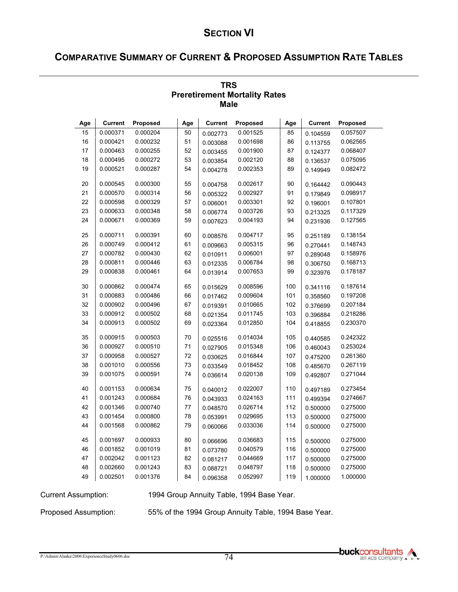# **COMPARATIVE SUMMARY OF CURRENT & PROPOSED ASSUMPTION RATE TABLES**

|     | <b>Male</b>    |          |     |                |          |     |                |          |  |  |  |  |
|-----|----------------|----------|-----|----------------|----------|-----|----------------|----------|--|--|--|--|
| Age | <b>Current</b> | Proposed | Age | <b>Current</b> | Proposed | Age | <b>Current</b> | Proposed |  |  |  |  |
| 15  | 0.000371       | 0.000204 | 50  | 0.002773       | 0.001525 | 85  | 0.104559       | 0.057507 |  |  |  |  |
| 16  | 0.000421       | 0.000232 | 51  | 0.003088       | 0.001698 | 86  | 0.113755       | 0.062565 |  |  |  |  |
| 17  | 0.000463       | 0.000255 | 52  | 0.003455       | 0.001900 | 87  | 0.124377       | 0.068407 |  |  |  |  |
| 18  | 0.000495       | 0.000272 | 53  | 0.003854       | 0.002120 | 88  | 0.136537       | 0.075095 |  |  |  |  |
| 19  | 0.000521       | 0.000287 | 54  | 0.004278       | 0.002353 | 89  | 0.149949       | 0.082472 |  |  |  |  |
| 20  | 0.000545       | 0.000300 | 55  | 0.004758       | 0.002617 | 90  | 0.164442       | 0.090443 |  |  |  |  |
| 21  | 0.000570       | 0.000314 | 56  | 0.005322       | 0.002927 | 91  | 0.179849       | 0.098917 |  |  |  |  |
| 22  | 0.000598       | 0.000329 | 57  | 0.006001       | 0.003301 | 92  | 0.196001       | 0.107801 |  |  |  |  |
| 23  | 0.000633       | 0.000348 | 58  | 0.006774       | 0.003726 | 93  | 0.213325       | 0.117329 |  |  |  |  |
| 24  | 0.000671       | 0.000369 | 59  | 0.007623       | 0.004193 | 94  | 0.231936       | 0.127565 |  |  |  |  |
| 25  | 0.000711       | 0.000391 | 60  | 0.008576       | 0.004717 | 95  | 0.251189       | 0.138154 |  |  |  |  |
| 26  | 0.000749       | 0.000412 | 61  | 0.009663       | 0.005315 | 96  | 0.270441       | 0.148743 |  |  |  |  |
| 27  | 0.000782       | 0.000430 | 62  | 0.010911       | 0.006001 | 97  | 0.289048       | 0.158976 |  |  |  |  |
| 28  | 0.000811       | 0.000446 | 63  | 0.012335       | 0.006784 | 98  | 0.306750       | 0.168713 |  |  |  |  |
| 29  | 0.000838       | 0.000461 | 64  | 0.013914       | 0.007653 | 99  | 0.323976       | 0.178187 |  |  |  |  |
| 30  | 0.000862       | 0.000474 | 65  | 0.015629       | 0.008596 | 100 | 0.341116       | 0.187614 |  |  |  |  |
| 31  | 0.000883       | 0.000486 | 66  | 0.017462       | 0.009604 | 101 | 0.358560       | 0.197208 |  |  |  |  |
| 32  | 0.000902       | 0.000496 | 67  | 0.019391       | 0.010665 | 102 | 0.376699       | 0.207184 |  |  |  |  |
| 33  | 0.000912       | 0.000502 | 68  | 0.021354       | 0.011745 | 103 | 0.396884       | 0.218286 |  |  |  |  |
| 34  | 0.000913       | 0.000502 | 69  | 0.023364       | 0.012850 | 104 | 0.418855       | 0.230370 |  |  |  |  |
| 35  | 0.000915       | 0.000503 | 70  | 0.025516       | 0.014034 | 105 | 0.440585       | 0.242322 |  |  |  |  |
| 36  | 0.000927       | 0.000510 | 71  | 0.027905       | 0.015348 | 106 | 0.460043       | 0.253024 |  |  |  |  |
| 37  | 0.000958       | 0.000527 | 72  | 0.030625       | 0.016844 | 107 | 0.475200       | 0.261360 |  |  |  |  |
| 38  | 0.001010       | 0.000556 | 73  | 0.033549       | 0.018452 | 108 | 0.485670       | 0.267119 |  |  |  |  |
| 39  | 0.001075       | 0.000591 | 74  | 0.036614       | 0.020138 | 109 | 0.492807       | 0.271044 |  |  |  |  |
| 40  | 0.001153       | 0.000634 | 75  | 0.040012       | 0.022007 | 110 | 0.497189       | 0.273454 |  |  |  |  |
| 41  | 0.001243       | 0.000684 | 76  | 0.043933       | 0.024163 | 111 | 0.499394       | 0.274667 |  |  |  |  |
| 42  | 0.001346       | 0.000740 | 77  | 0.048570       | 0.026714 | 112 | 0.500000       | 0.275000 |  |  |  |  |
| 43  | 0.001454       | 0.000800 | 78  | 0.053991       | 0.029695 | 113 | 0.500000       | 0.275000 |  |  |  |  |
| 44  | 0.001568       | 0.000862 | 79  | 0.060066       | 0.033036 | 114 | 0.500000       | 0.275000 |  |  |  |  |
| 45  | 0.001697       | 0.000933 | 80  | 0.066696       | 0.036683 | 115 | 0.500000       | 0.275000 |  |  |  |  |
| 46  | 0.001852       | 0.001019 | 81  | 0.073780       | 0.040579 | 116 | 0.500000       | 0.275000 |  |  |  |  |
| 47  | 0.002042       | 0.001123 | 82  | 0.081217       | 0.044669 | 117 | 0.500000       | 0.275000 |  |  |  |  |
| 48  | 0.002660       | 0.001243 | 83  | 0.088721       | 0.048797 | 118 | 0.500000       | 0.275000 |  |  |  |  |
| 49  | 0.002501       | 0.001376 | 84  | 0.096358       | 0.052997 | 119 | 1.000000       | 1.000000 |  |  |  |  |

# **TRS Preretirement Mortality Rates**

Current Assumption: 1994 Group Annuity Table, 1994 Base Year.

Proposed Assumption: 55% of the 1994 Group Annuity Table, 1994 Base Year.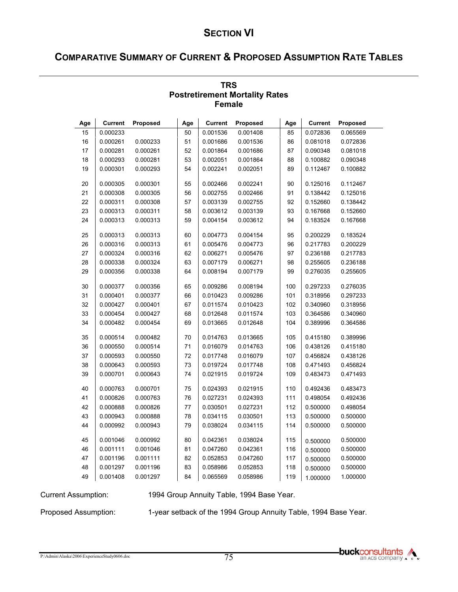# **COMPARATIVE SUMMARY OF CURRENT & PROPOSED ASSUMPTION RATE TABLES**

|     | <b>Female</b>  |                 |     |                |          |     |                |          |  |  |  |
|-----|----------------|-----------------|-----|----------------|----------|-----|----------------|----------|--|--|--|
| Age | <b>Current</b> | <b>Proposed</b> | Age | <b>Current</b> | Proposed | Age | <b>Current</b> | Proposed |  |  |  |
| 15  | 0.000233       |                 | 50  | 0.001536       | 0.001408 | 85  | 0.072836       | 0.065569 |  |  |  |
| 16  | 0.000261       | 0.000233        | 51  | 0.001686       | 0.001536 | 86  | 0.081018       | 0.072836 |  |  |  |
| 17  | 0.000281       | 0.000261        | 52  | 0.001864       | 0.001686 | 87  | 0.090348       | 0.081018 |  |  |  |
| 18  | 0.000293       | 0.000281        | 53  | 0.002051       | 0.001864 | 88  | 0.100882       | 0.090348 |  |  |  |
| 19  | 0.000301       | 0.000293        | 54  | 0.002241       | 0.002051 | 89  | 0.112467       | 0.100882 |  |  |  |
| 20  | 0.000305       | 0.000301        | 55  | 0.002466       | 0.002241 | 90  | 0.125016       | 0.112467 |  |  |  |
| 21  | 0.000308       | 0.000305        | 56  | 0.002755       | 0.002466 | 91  | 0.138442       | 0.125016 |  |  |  |
| 22  | 0.000311       | 0.000308        | 57  | 0.003139       | 0.002755 | 92  | 0.152660       | 0.138442 |  |  |  |
| 23  | 0.000313       | 0.000311        | 58  | 0.003612       | 0.003139 | 93  | 0.167668       | 0.152660 |  |  |  |
| 24  | 0.000313       | 0.000313        | 59  | 0.004154       | 0.003612 | 94  | 0.183524       | 0.167668 |  |  |  |
| 25  | 0.000313       | 0.000313        | 60  | 0.004773       | 0.004154 | 95  | 0.200229       | 0.183524 |  |  |  |
| 26  | 0.000316       | 0.000313        | 61  | 0.005476       | 0.004773 | 96  | 0.217783       | 0.200229 |  |  |  |
| 27  | 0.000324       | 0.000316        | 62  | 0.006271       | 0.005476 | 97  | 0.236188       | 0.217783 |  |  |  |
| 28  | 0.000338       | 0.000324        | 63  | 0.007179       | 0.006271 | 98  | 0.255605       | 0.236188 |  |  |  |
| 29  | 0.000356       | 0.000338        | 64  | 0.008194       | 0.007179 | 99  | 0.276035       | 0.255605 |  |  |  |
| 30  | 0.000377       | 0.000356        | 65  | 0.009286       | 0.008194 | 100 | 0.297233       | 0.276035 |  |  |  |
| 31  | 0.000401       | 0.000377        | 66  | 0.010423       | 0.009286 | 101 | 0.318956       | 0.297233 |  |  |  |
| 32  | 0.000427       | 0.000401        | 67  | 0.011574       | 0.010423 | 102 | 0.340960       | 0.318956 |  |  |  |
| 33  | 0.000454       | 0.000427        | 68  | 0.012648       | 0.011574 | 103 | 0.364586       | 0.340960 |  |  |  |
| 34  | 0.000482       | 0.000454        | 69  | 0.013665       | 0.012648 | 104 | 0.389996       | 0.364586 |  |  |  |
| 35  | 0.000514       | 0.000482        | 70  | 0.014763       | 0.013665 | 105 | 0.415180       | 0.389996 |  |  |  |
| 36  | 0.000550       | 0.000514        | 71  | 0.016079       | 0.014763 | 106 | 0.438126       | 0.415180 |  |  |  |
| 37  | 0.000593       | 0.000550        | 72  | 0.017748       | 0.016079 | 107 | 0.456824       | 0.438126 |  |  |  |
| 38  | 0.000643       | 0.000593        | 73  | 0.019724       | 0.017748 | 108 | 0.471493       | 0.456824 |  |  |  |
| 39  | 0.000701       | 0.000643        | 74  | 0.021915       | 0.019724 | 109 | 0.483473       | 0.471493 |  |  |  |
| 40  | 0.000763       | 0.000701        | 75  | 0.024393       | 0.021915 | 110 | 0.492436       | 0.483473 |  |  |  |
| 41  | 0.000826       | 0.000763        | 76  | 0.027231       | 0.024393 | 111 | 0.498054       | 0.492436 |  |  |  |
| 42  | 0.000888       | 0.000826        | 77  | 0.030501       | 0.027231 | 112 | 0.500000       | 0.498054 |  |  |  |
| 43  | 0.000943       | 0.000888        | 78  | 0.034115       | 0.030501 | 113 | 0.500000       | 0.500000 |  |  |  |
| 44  | 0.000992       | 0.000943        | 79  | 0.038024       | 0.034115 | 114 | 0.500000       | 0.500000 |  |  |  |
| 45  | 0.001046       | 0.000992        | 80  | 0.042361       | 0.038024 | 115 | 0.500000       | 0.500000 |  |  |  |
| 46  | 0.001111       | 0.001046        | 81  | 0.047260       | 0.042361 | 116 | 0.500000       | 0.500000 |  |  |  |
| 47  | 0.001196       | 0.001111        | 82  | 0.052853       | 0.047260 | 117 | 0.500000       | 0.500000 |  |  |  |
| 48  | 0.001297       | 0.001196        | 83  | 0.058986       | 0.052853 | 118 | 0.500000       | 0.500000 |  |  |  |
| 49  | 0.001408       | 0.001297        | 84  | 0.065569       | 0.058986 | 119 | 1.000000       | 1.000000 |  |  |  |

#### **TRS Postretirement Mortality Rates Female**

Current Assumption: 1994 Group Annuity Table, 1994 Base Year.

Proposed Assumption: 1-year setback of the 1994 Group Annuity Table, 1994 Base Year.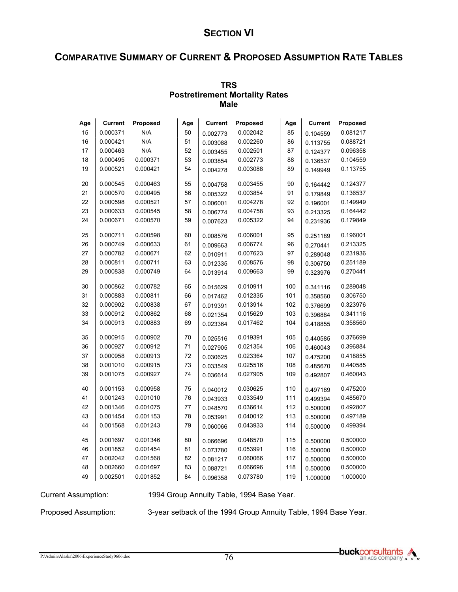# **COMPARATIVE SUMMARY OF CURRENT & PROPOSED ASSUMPTION RATE TABLES**

|     | <b>Male</b>    |          |     |                |          |     |                |          |  |  |  |  |
|-----|----------------|----------|-----|----------------|----------|-----|----------------|----------|--|--|--|--|
| Age | <b>Current</b> | Proposed | Age | <b>Current</b> | Proposed | Age | <b>Current</b> | Proposed |  |  |  |  |
| 15  | 0.000371       | N/A      | 50  | 0.002773       | 0.002042 | 85  | 0.104559       | 0.081217 |  |  |  |  |
| 16  | 0.000421       | N/A      | 51  | 0.003088       | 0.002260 | 86  | 0.113755       | 0.088721 |  |  |  |  |
| 17  | 0.000463       | N/A      | 52  | 0.003455       | 0.002501 | 87  | 0.124377       | 0.096358 |  |  |  |  |
| 18  | 0.000495       | 0.000371 | 53  | 0.003854       | 0.002773 | 88  | 0.136537       | 0.104559 |  |  |  |  |
| 19  | 0.000521       | 0.000421 | 54  | 0.004278       | 0.003088 | 89  | 0.149949       | 0.113755 |  |  |  |  |
| 20  | 0.000545       | 0.000463 | 55  | 0.004758       | 0.003455 | 90  | 0.164442       | 0.124377 |  |  |  |  |
| 21  | 0.000570       | 0.000495 | 56  | 0.005322       | 0.003854 | 91  | 0.179849       | 0.136537 |  |  |  |  |
| 22  | 0.000598       | 0.000521 | 57  | 0.006001       | 0.004278 | 92  | 0.196001       | 0.149949 |  |  |  |  |
| 23  | 0.000633       | 0.000545 | 58  | 0.006774       | 0.004758 | 93  | 0.213325       | 0.164442 |  |  |  |  |
| 24  | 0.000671       | 0.000570 | 59  | 0.007623       | 0.005322 | 94  | 0.231936       | 0.179849 |  |  |  |  |
| 25  | 0.000711       | 0.000598 | 60  | 0.008576       | 0.006001 | 95  | 0.251189       | 0.196001 |  |  |  |  |
| 26  | 0.000749       | 0.000633 | 61  | 0.009663       | 0.006774 | 96  | 0.270441       | 0.213325 |  |  |  |  |
| 27  | 0.000782       | 0.000671 | 62  | 0.010911       | 0.007623 | 97  | 0.289048       | 0.231936 |  |  |  |  |
| 28  | 0.000811       | 0.000711 | 63  | 0.012335       | 0.008576 | 98  | 0.306750       | 0.251189 |  |  |  |  |
| 29  | 0.000838       | 0.000749 | 64  | 0.013914       | 0.009663 | 99  | 0.323976       | 0.270441 |  |  |  |  |
| 30  | 0.000862       | 0.000782 | 65  | 0.015629       | 0.010911 | 100 | 0.341116       | 0.289048 |  |  |  |  |
| 31  | 0.000883       | 0.000811 | 66  | 0.017462       | 0.012335 | 101 | 0.358560       | 0.306750 |  |  |  |  |
| 32  | 0.000902       | 0.000838 | 67  | 0.019391       | 0.013914 | 102 | 0.376699       | 0.323976 |  |  |  |  |
| 33  | 0.000912       | 0.000862 | 68  | 0.021354       | 0.015629 | 103 | 0.396884       | 0.341116 |  |  |  |  |
| 34  | 0.000913       | 0.000883 | 69  | 0.023364       | 0.017462 | 104 | 0.418855       | 0.358560 |  |  |  |  |
| 35  | 0.000915       | 0.000902 | 70  | 0.025516       | 0.019391 | 105 | 0.440585       | 0.376699 |  |  |  |  |
| 36  | 0.000927       | 0.000912 | 71  | 0.027905       | 0.021354 | 106 | 0.460043       | 0.396884 |  |  |  |  |
| 37  | 0.000958       | 0.000913 | 72  | 0.030625       | 0.023364 | 107 | 0.475200       | 0.418855 |  |  |  |  |
| 38  | 0.001010       | 0.000915 | 73  | 0.033549       | 0.025516 | 108 | 0.485670       | 0.440585 |  |  |  |  |
| 39  | 0.001075       | 0.000927 | 74  | 0.036614       | 0.027905 | 109 | 0.492807       | 0.460043 |  |  |  |  |
| 40  | 0.001153       | 0.000958 | 75  | 0.040012       | 0.030625 | 110 | 0.497189       | 0.475200 |  |  |  |  |
| 41  | 0.001243       | 0.001010 | 76  | 0.043933       | 0.033549 | 111 | 0.499394       | 0.485670 |  |  |  |  |
| 42  | 0.001346       | 0.001075 | 77  | 0.048570       | 0.036614 | 112 | 0.500000       | 0.492807 |  |  |  |  |
| 43  | 0.001454       | 0.001153 | 78  | 0.053991       | 0.040012 | 113 | 0.500000       | 0.497189 |  |  |  |  |
| 44  | 0.001568       | 0.001243 | 79  | 0.060066       | 0.043933 | 114 | 0.500000       | 0.499394 |  |  |  |  |
| 45  | 0.001697       | 0.001346 | 80  | 0.066696       | 0.048570 | 115 | 0.500000       | 0.500000 |  |  |  |  |
| 46  | 0.001852       | 0.001454 | 81  | 0.073780       | 0.053991 | 116 | 0.500000       | 0.500000 |  |  |  |  |
| 47  | 0.002042       | 0.001568 | 82  | 0.081217       | 0.060066 | 117 | 0.500000       | 0.500000 |  |  |  |  |
| 48  | 0.002660       | 0.001697 | 83  | 0.088721       | 0.066696 | 118 | 0.500000       | 0.500000 |  |  |  |  |
| 49  | 0.002501       | 0.001852 | 84  | 0.096358       | 0.073780 | 119 | 1.000000       | 1.000000 |  |  |  |  |

#### **TRS Postretirement Mortality Rates Male**

Current Assumption: 1994 Group Annuity Table, 1994 Base Year.

Proposed Assumption: 3-year setback of the 1994 Group Annuity Table, 1994 Base Year.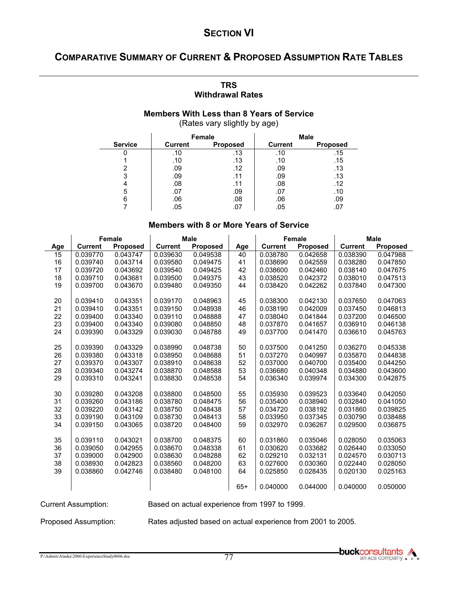# **COMPARATIVE SUMMARY OF CURRENT & PROPOSED ASSUMPTION RATE TABLES**

#### **TRS Withdrawal Rates**

#### **Members With Less than 8 Years of Service**  (Rates vary slightly by age)

|                |                                   | <b>Female</b> |                | <b>Male</b>     |
|----------------|-----------------------------------|---------------|----------------|-----------------|
| <b>Service</b> | <b>Current</b><br><b>Proposed</b> |               | <b>Current</b> | <b>Proposed</b> |
|                | .10                               | .13           | .10            | .15             |
|                | .10                               | .13           | .10            | .15             |
|                | .09                               | .12           | .09            | .13             |
| 3              | .09                               | .11           | .09            | .13             |
|                | .08                               | .11           | .08            | .12             |
| 5              | .07                               | .09           | .07            | .10             |
|                | .06                               | .08           | .06            | .09             |
|                | .05                               |               | .05            | ، ل             |

#### **Members with 8 or More Years of Service**

|     | <b>Female</b>  |                 | <b>Male</b>    |                 |       | <b>Female</b>  |                 | <b>Male</b>    |                 |
|-----|----------------|-----------------|----------------|-----------------|-------|----------------|-----------------|----------------|-----------------|
| Age | <b>Current</b> | <b>Proposed</b> | <b>Current</b> | <b>Proposed</b> | Age   | <b>Current</b> | <b>Proposed</b> | <b>Current</b> | <b>Proposed</b> |
| 15  | 0.039770       | 0.043747        | 0.039630       | 0.049538        | 40    | 0.038780       | 0.042658        | 0.038390       | 0.047988        |
| 16  | 0.039740       | 0.043714        | 0.039580       | 0.049475        | 41    | 0.038690       | 0.042559        | 0.038280       | 0.047850        |
| 17  | 0.039720       | 0.043692        | 0.039540       | 0.049425        | 42    | 0.038600       | 0.042460        | 0.038140       | 0.047675        |
| 18  | 0.039710       | 0.043681        | 0.039500       | 0.049375        | 43    | 0.038520       | 0.042372        | 0.038010       | 0.047513        |
| 19  | 0.039700       | 0.043670        | 0.039480       | 0.049350        | 44    | 0.038420       | 0.042262        | 0.037840       | 0.047300        |
|     |                |                 |                |                 |       |                |                 |                |                 |
| 20  | 0.039410       | 0.043351        | 0.039170       | 0.048963        | 45    | 0.038300       | 0.042130        | 0.037650       | 0.047063        |
| 21  | 0.039410       | 0.043351        | 0.039150       | 0.048938        | 46    | 0.038190       | 0.042009        | 0.037450       | 0.046813        |
| 22  | 0.039400       | 0.043340        | 0.039110       | 0.048888        | 47    | 0.038040       | 0.041844        | 0.037200       | 0.046500        |
| 23  | 0.039400       | 0.043340        | 0.039080       | 0.048850        | 48    | 0.037870       | 0.041657        | 0.036910       | 0.046138        |
| 24  | 0.039390       | 0.043329        | 0.039030       | 0.048788        | 49    | 0.037700       | 0.041470        | 0.036610       | 0.045763        |
|     |                |                 |                |                 |       |                |                 |                |                 |
| 25  | 0.039390       | 0.043329        | 0.038990       | 0.048738        | 50    | 0.037500       | 0.041250        | 0.036270       | 0.045338        |
| 26  | 0.039380       | 0.043318        | 0.038950       | 0.048688        | 51    | 0.037270       | 0.040997        | 0.035870       | 0.044838        |
| 27  | 0.039370       | 0.043307        | 0.038910       | 0.048638        | 52    | 0.037000       | 0.040700        | 0.035400       | 0.044250        |
| 28  | 0.039340       | 0.043274        | 0.038870       | 0.048588        | 53    | 0.036680       | 0.040348        | 0.034880       | 0.043600        |
| 29  | 0.039310       | 0.043241        | 0.038830       | 0.048538        | 54    | 0.036340       | 0.039974        | 0.034300       | 0.042875        |
|     |                |                 |                |                 |       |                |                 |                |                 |
| 30  | 0.039280       | 0.043208        | 0.038800       | 0.048500        | 55    | 0.035930       | 0.039523        | 0.033640       | 0.042050        |
| 31  | 0.039260       | 0.043186        | 0.038780       | 0.048475        | 56    | 0.035400       | 0.038940        | 0.032840       | 0.041050        |
| 32  | 0.039220       | 0.043142        | 0.038750       | 0.048438        | 57    | 0.034720       | 0.038192        | 0.031860       | 0.039825        |
| 33  | 0.039190       | 0.043109        | 0.038730       | 0.048413        | 58    | 0.033950       | 0.037345        | 0.030790       | 0.038488        |
| 34  | 0.039150       | 0.043065        | 0.038720       | 0.048400        | 59    | 0.032970       | 0.036267        | 0.029500       | 0.036875        |
|     |                |                 |                |                 |       |                |                 |                |                 |
| 35  | 0.039110       | 0.043021        | 0.038700       | 0.048375        | 60    | 0.031860       | 0.035046        | 0.028050       | 0.035063        |
| 36  | 0.039050       | 0.042955        | 0.038670       | 0.048338        | 61    | 0.030620       | 0.033682        | 0.026440       | 0.033050        |
| 37  | 0.039000       | 0.042900        | 0.038630       | 0.048288        | 62    | 0.029210       | 0.032131        | 0.024570       | 0.030713        |
| 38  | 0.038930       | 0.042823        | 0.038560       | 0.048200        | 63    | 0.027600       | 0.030360        | 0.022440       | 0.028050        |
| 39  | 0.038860       | 0.042746        | 0.038480       | 0.048100        | 64    | 0.025850       | 0.028435        | 0.020130       | 0.025163        |
|     |                |                 |                |                 |       |                |                 |                |                 |
|     |                |                 |                |                 | $65+$ | 0.040000       | 0.044000        | 0.040000       | 0.050000        |
|     |                |                 |                |                 |       |                |                 |                |                 |

Current Assumption: Based on actual experience from 1997 to 1999.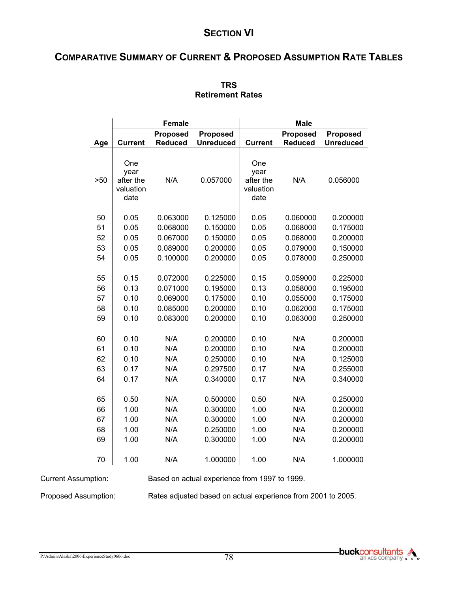# **COMPARATIVE SUMMARY OF CURRENT & PROPOSED ASSUMPTION RATE TABLES**

|     |                                               | <b>Female</b>                     |                                     | <b>Male</b>                                   |                                   |                                     |  |
|-----|-----------------------------------------------|-----------------------------------|-------------------------------------|-----------------------------------------------|-----------------------------------|-------------------------------------|--|
| Age | <b>Current</b>                                | <b>Proposed</b><br><b>Reduced</b> | <b>Proposed</b><br><b>Unreduced</b> | <b>Current</b>                                | <b>Proposed</b><br><b>Reduced</b> | <b>Proposed</b><br><b>Unreduced</b> |  |
| >50 | One<br>year<br>after the<br>valuation<br>date | N/A                               | 0.057000                            | One<br>year<br>after the<br>valuation<br>date | N/A                               | 0.056000                            |  |
| 50  | 0.05                                          | 0.063000                          | 0.125000                            | 0.05                                          | 0.060000                          | 0.200000                            |  |
| 51  | 0.05                                          | 0.068000                          | 0.150000                            | 0.05                                          | 0.068000                          | 0.175000                            |  |
| 52  | 0.05                                          | 0.067000                          | 0.150000                            | 0.05                                          | 0.068000                          | 0.200000                            |  |
| 53  | 0.05                                          | 0.089000                          | 0.200000                            | 0.05                                          | 0.079000                          | 0.150000                            |  |
| 54  | 0.05                                          | 0.100000                          | 0.200000                            | 0.05                                          | 0.078000                          | 0.250000                            |  |
| 55  | 0.15                                          | 0.072000                          | 0.225000                            | 0.15                                          | 0.059000                          | 0.225000                            |  |
| 56  | 0.13                                          | 0.071000                          | 0.195000                            | 0.13                                          | 0.058000                          | 0.195000                            |  |
| 57  | 0.10                                          | 0.069000                          | 0.175000                            | 0.10                                          | 0.055000                          | 0.175000                            |  |
| 58  | 0.10                                          | 0.085000                          | 0.200000                            | 0.10                                          | 0.062000                          | 0.175000                            |  |
| 59  | 0.10                                          | 0.083000                          | 0.200000                            | 0.10                                          | 0.063000                          | 0.250000                            |  |
| 60  | 0.10                                          | N/A                               | 0.200000                            | 0.10                                          | N/A                               | 0.200000                            |  |
| 61  | 0.10                                          | N/A                               | 0.200000                            | 0.10                                          | N/A                               | 0.200000                            |  |
| 62  | 0.10                                          | N/A                               | 0.250000                            | 0.10                                          | N/A                               | 0.125000                            |  |
| 63  | 0.17                                          | N/A                               | 0.297500                            | 0.17                                          | N/A                               | 0.255000                            |  |
| 64  | 0.17                                          | N/A                               | 0.340000                            | 0.17                                          | N/A                               | 0.340000                            |  |
| 65  | 0.50                                          | N/A                               | 0.500000                            | 0.50                                          | N/A                               | 0.250000                            |  |
| 66  | 1.00                                          | N/A                               | 0.300000                            | 1.00                                          | N/A                               | 0.200000                            |  |
| 67  | 1.00                                          | N/A                               | 0.300000                            | 1.00                                          | N/A                               | 0.200000                            |  |
| 68  | 1.00                                          | N/A                               | 0.250000                            | 1.00                                          | N/A                               | 0.200000                            |  |
| 69  | 1.00                                          | N/A                               | 0.300000                            | 1.00                                          | N/A                               | 0.200000                            |  |
| 70  | 1.00                                          | N/A                               | 1.000000                            | 1.00                                          | N/A                               | 1.000000                            |  |

### **TRS Retirement Rates**

Current Assumption: Based on actual experience from 1997 to 1999.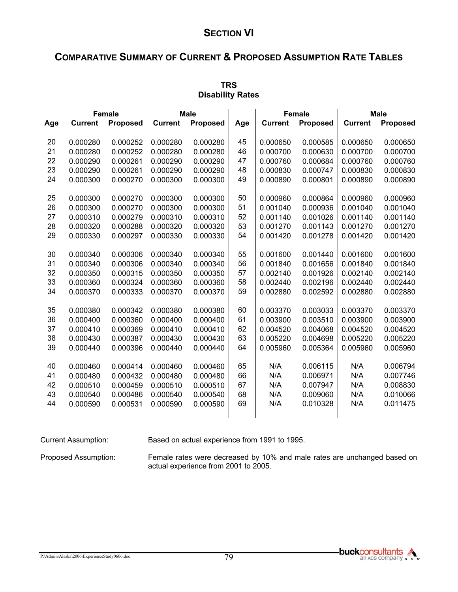# **COMPARATIVE SUMMARY OF CURRENT & PROPOSED ASSUMPTION RATE TABLES**

| <b>Disability Rates</b> |                      |                 |                |          |          |                |                 |                      |                      |
|-------------------------|----------------------|-----------------|----------------|----------|----------|----------------|-----------------|----------------------|----------------------|
|                         | <b>Female</b>        |                 | <b>Male</b>    |          |          | <b>Female</b>  |                 | <b>Male</b>          |                      |
| Age                     | <b>Current</b>       | <b>Proposed</b> | <b>Current</b> | Proposed | Age      | <b>Current</b> | <b>Proposed</b> | <b>Current</b>       | Proposed             |
|                         |                      |                 |                |          |          |                |                 |                      |                      |
| 20                      | 0.000280             | 0.000252        | 0.000280       | 0.000280 | 45       | 0.000650       | 0.000585        | 0.000650             | 0.000650             |
| 21                      | 0.000280             | 0.000252        | 0.000280       | 0.000280 | 46       | 0.000700       | 0.000630        | 0.000700             | 0.000700             |
| 22                      | 0.000290             | 0.000261        | 0.000290       | 0.000290 | 47       | 0.000760       | 0.000684        | 0.000760             | 0.000760             |
| 23<br>24                | 0.000290<br>0.000300 | 0.000261        | 0.000290       | 0.000290 | 48<br>49 | 0.000830       | 0.000747        | 0.000830<br>0.000890 | 0.000830<br>0.000890 |
|                         |                      | 0.000270        | 0.000300       | 0.000300 |          | 0.000890       | 0.000801        |                      |                      |
| 25                      | 0.000300             | 0.000270        | 0.000300       | 0.000300 | 50       | 0.000960       | 0.000864        | 0.000960             | 0.000960             |
| 26                      | 0.000300             | 0.000270        | 0.000300       | 0.000300 | 51       | 0.001040       | 0.000936        | 0.001040             | 0.001040             |
| 27                      | 0.000310             | 0.000279        | 0.000310       | 0.000310 | 52       | 0.001140       | 0.001026        | 0.001140             | 0.001140             |
| 28                      | 0.000320             | 0.000288        | 0.000320       | 0.000320 | 53       | 0.001270       | 0.001143        | 0.001270             | 0.001270             |
| 29                      | 0.000330             | 0.000297        | 0.000330       | 0.000330 | 54       | 0.001420       | 0.001278        | 0.001420             | 0.001420             |
|                         |                      |                 |                |          |          |                |                 |                      |                      |
| 30                      | 0.000340             | 0.000306        | 0.000340       | 0.000340 | 55       | 0.001600       | 0.001440        | 0.001600             | 0.001600             |
| 31                      | 0.000340             | 0.000306        | 0.000340       | 0.000340 | 56       | 0.001840       | 0.001656        | 0.001840             | 0.001840             |
| 32                      | 0.000350             | 0.000315        | 0.000350       | 0.000350 | 57       | 0.002140       | 0.001926        | 0.002140             | 0.002140             |
| 33                      | 0.000360             | 0.000324        | 0.000360       | 0.000360 | 58       | 0.002440       | 0.002196        | 0.002440             | 0.002440             |
| 34                      | 0.000370             | 0.000333        | 0.000370       | 0.000370 | 59       | 0.002880       | 0.002592        | 0.002880             | 0.002880             |
| 35                      | 0.000380             | 0.000342        | 0.000380       | 0.000380 | 60       | 0.003370       | 0.003033        | 0.003370             | 0.003370             |
| 36                      | 0.000400             | 0.000360        | 0.000400       | 0.000400 | 61       | 0.003900       | 0.003510        | 0.003900             | 0.003900             |
| 37                      | 0.000410             | 0.000369        | 0.000410       | 0.000410 | 62       | 0.004520       | 0.004068        | 0.004520             | 0.004520             |
| 38                      | 0.000430             | 0.000387        | 0.000430       | 0.000430 | 63       | 0.005220       | 0.004698        | 0.005220             | 0.005220             |
| 39                      | 0.000440             | 0.000396        | 0.000440       | 0.000440 | 64       | 0.005960       | 0.005364        | 0.005960             | 0.005960             |
|                         |                      |                 |                |          |          |                |                 |                      |                      |
| 40                      | 0.000460             | 0.000414        | 0.000460       | 0.000460 | 65       | N/A            | 0.006115        | N/A                  | 0.006794             |
| 41                      | 0.000480             | 0.000432        | 0.000480       | 0.000480 | 66       | N/A            | 0.006971        | N/A                  | 0.007746             |
| 42                      | 0.000510             | 0.000459        | 0.000510       | 0.000510 | 67       | N/A            | 0.007947        | N/A                  | 0.008830             |
| 43                      | 0.000540             | 0.000486        | 0.000540       | 0.000540 | 68       | N/A            | 0.009060        | N/A                  | 0.010066             |
| 44                      | 0.000590             | 0.000531        | 0.000590       | 0.000590 | 69       | N/A            | 0.010328        | N/A                  | 0.011475             |
|                         |                      |                 |                |          |          |                |                 |                      |                      |

**TRS Disability Rates** 

Current Assumption: Based on actual experience from 1991 to 1995.

Proposed Assumption: Female rates were decreased by 10% and male rates are unchanged based on actual experience from 2001 to 2005.